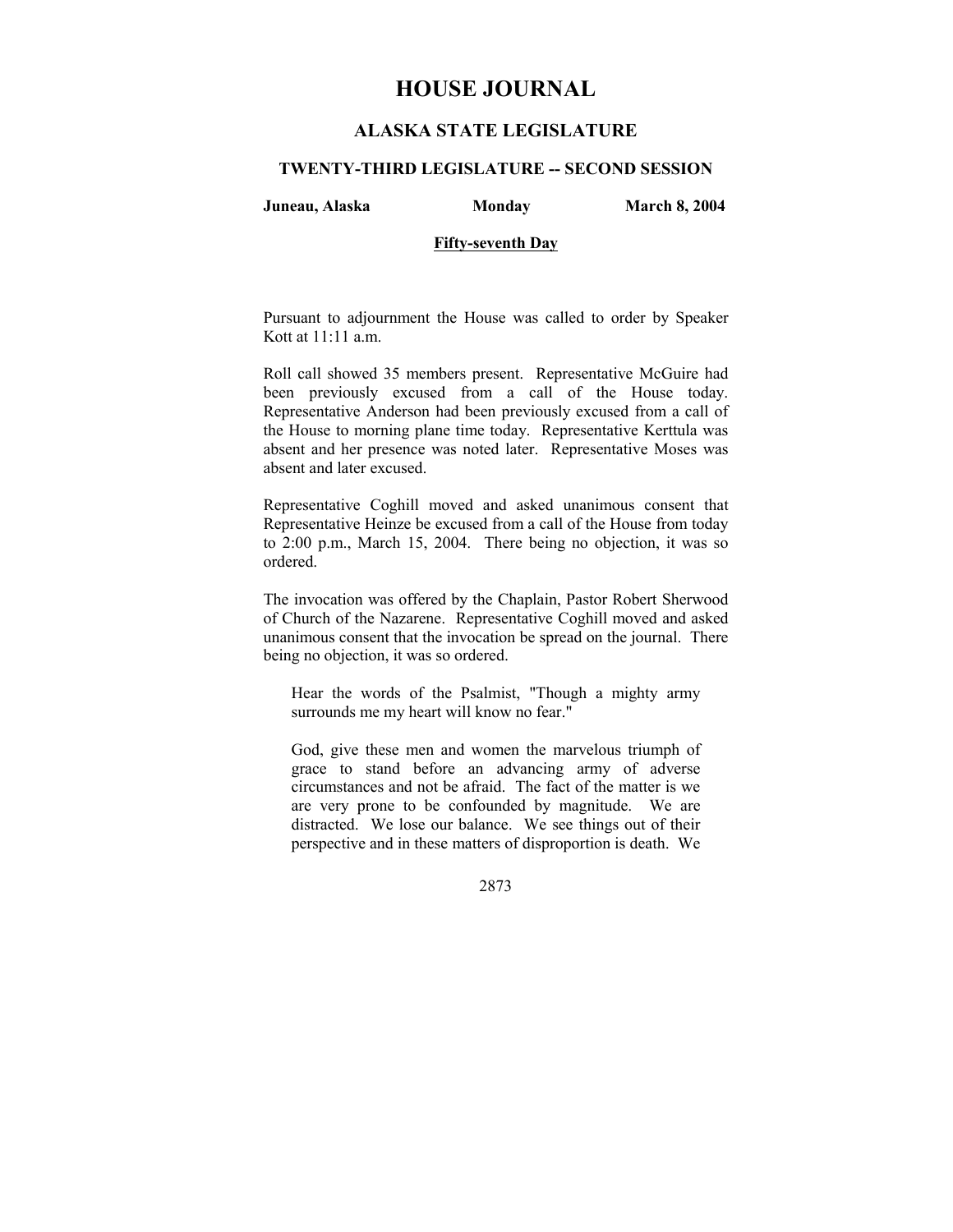# **HOUSE JOURNAL**

# **ALASKA STATE LEGISLATURE**

## **TWENTY-THIRD LEGISLATURE -- SECOND SESSION**

**Juneau, Alaska Monday March 8, 2004** 

# **Fifty-seventh Day**

Pursuant to adjournment the House was called to order by Speaker Kott at 11:11 a.m.

Roll call showed 35 members present. Representative McGuire had been previously excused from a call of the House today. Representative Anderson had been previously excused from a call of the House to morning plane time today. Representative Kerttula was absent and her presence was noted later. Representative Moses was absent and later excused.

Representative Coghill moved and asked unanimous consent that Representative Heinze be excused from a call of the House from today to 2:00 p.m., March 15, 2004. There being no objection, it was so ordered.

The invocation was offered by the Chaplain, Pastor Robert Sherwood of Church of the Nazarene. Representative Coghill moved and asked unanimous consent that the invocation be spread on the journal. There being no objection, it was so ordered.

Hear the words of the Psalmist, "Though a mighty army surrounds me my heart will know no fear."

God, give these men and women the marvelous triumph of grace to stand before an advancing army of adverse circumstances and not be afraid. The fact of the matter is we are very prone to be confounded by magnitude. We are distracted. We lose our balance. We see things out of their perspective and in these matters of disproportion is death. We

2873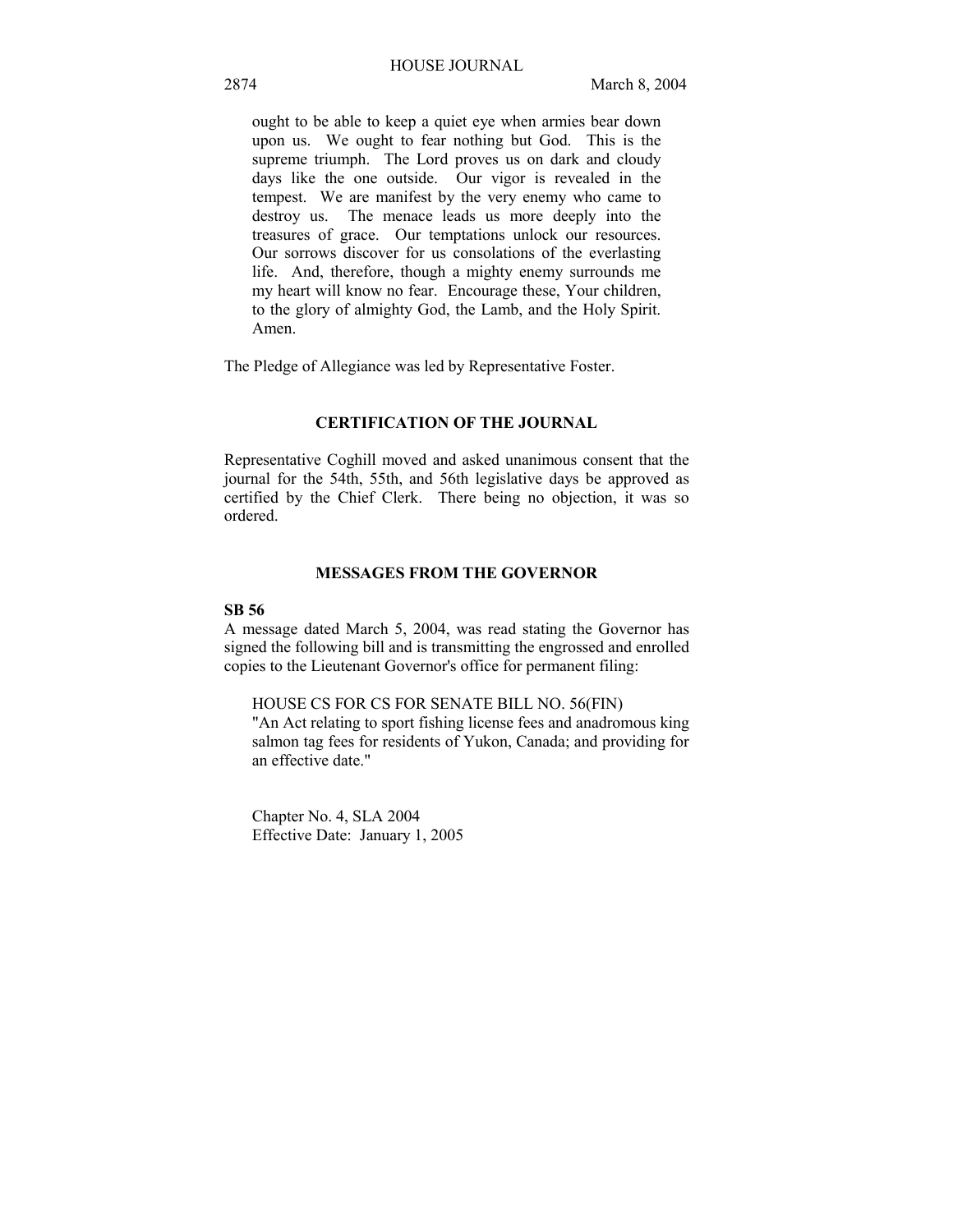ought to be able to keep a quiet eye when armies bear down upon us. We ought to fear nothing but God. This is the supreme triumph. The Lord proves us on dark and cloudy days like the one outside. Our vigor is revealed in the tempest. We are manifest by the very enemy who came to destroy us. The menace leads us more deeply into the treasures of grace. Our temptations unlock our resources. Our sorrows discover for us consolations of the everlasting life. And, therefore, though a mighty enemy surrounds me my heart will know no fear. Encourage these, Your children, to the glory of almighty God, the Lamb, and the Holy Spirit. Amen.

The Pledge of Allegiance was led by Representative Foster.

# **CERTIFICATION OF THE JOURNAL**

Representative Coghill moved and asked unanimous consent that the journal for the 54th, 55th, and 56th legislative days be approved as certified by the Chief Clerk. There being no objection, it was so ordered.

# **MESSAGES FROM THE GOVERNOR**

# **SB 56**

A message dated March 5, 2004, was read stating the Governor has signed the following bill and is transmitting the engrossed and enrolled copies to the Lieutenant Governor's office for permanent filing:

HOUSE CS FOR CS FOR SENATE BILL NO. 56(FIN)

"An Act relating to sport fishing license fees and anadromous king salmon tag fees for residents of Yukon, Canada; and providing for an effective date."

Chapter No. 4, SLA 2004 Effective Date: January 1, 2005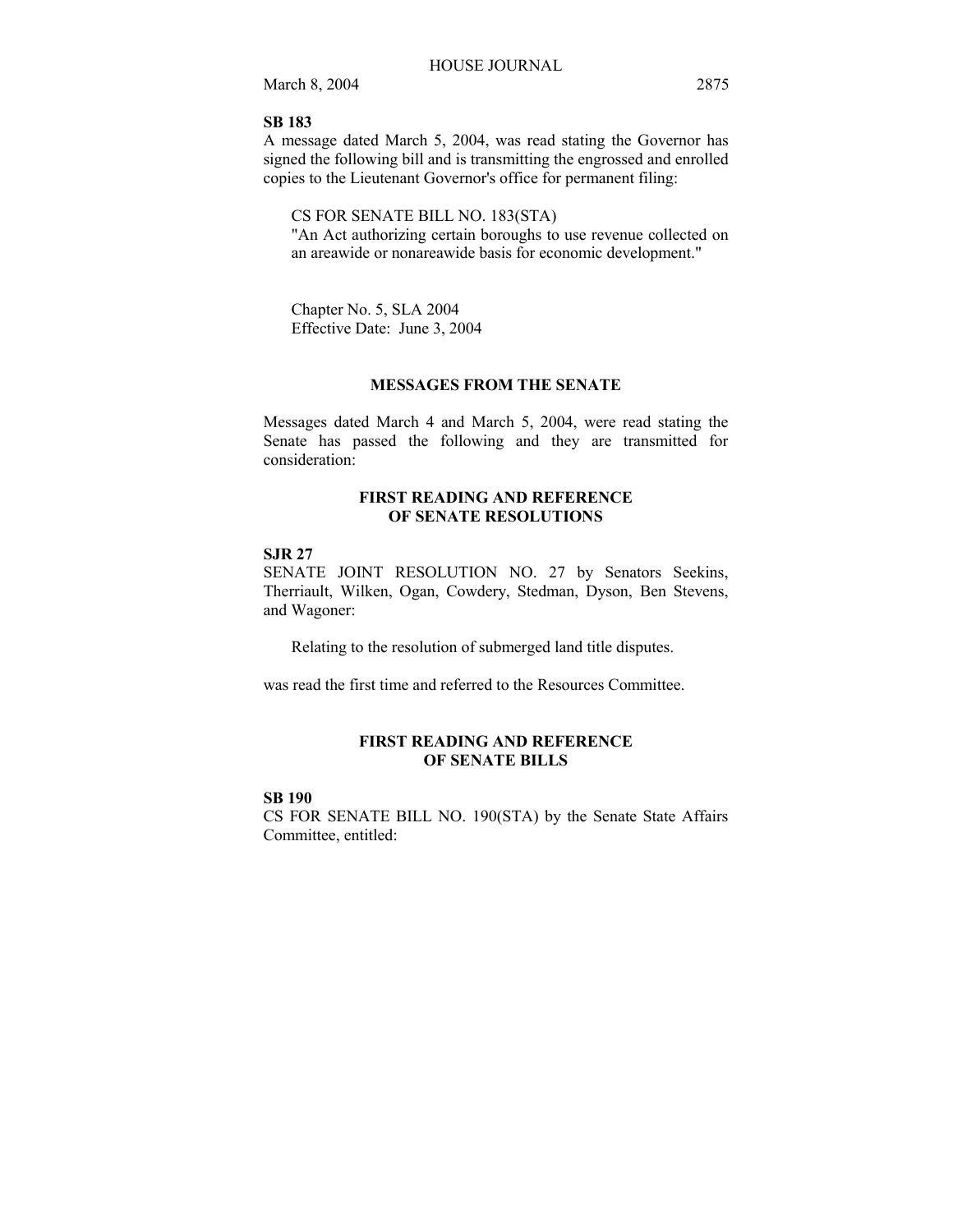# **SB 183**

A message dated March 5, 2004, was read stating the Governor has signed the following bill and is transmitting the engrossed and enrolled copies to the Lieutenant Governor's office for permanent filing:

# CS FOR SENATE BILL NO. 183(STA)

"An Act authorizing certain boroughs to use revenue collected on an areawide or nonareawide basis for economic development."

Chapter No. 5, SLA 2004 Effective Date: June 3, 2004

# **MESSAGES FROM THE SENATE**

Messages dated March 4 and March 5, 2004, were read stating the Senate has passed the following and they are transmitted for consideration:

# **FIRST READING AND REFERENCE OF SENATE RESOLUTIONS**

#### **SJR 27**

SENATE JOINT RESOLUTION NO. 27 by Senators Seekins, Therriault, Wilken, Ogan, Cowdery, Stedman, Dyson, Ben Stevens, and Wagoner:

Relating to the resolution of submerged land title disputes.

was read the first time and referred to the Resources Committee.

# **FIRST READING AND REFERENCE OF SENATE BILLS**

# **SB 190**

CS FOR SENATE BILL NO. 190(STA) by the Senate State Affairs Committee, entitled: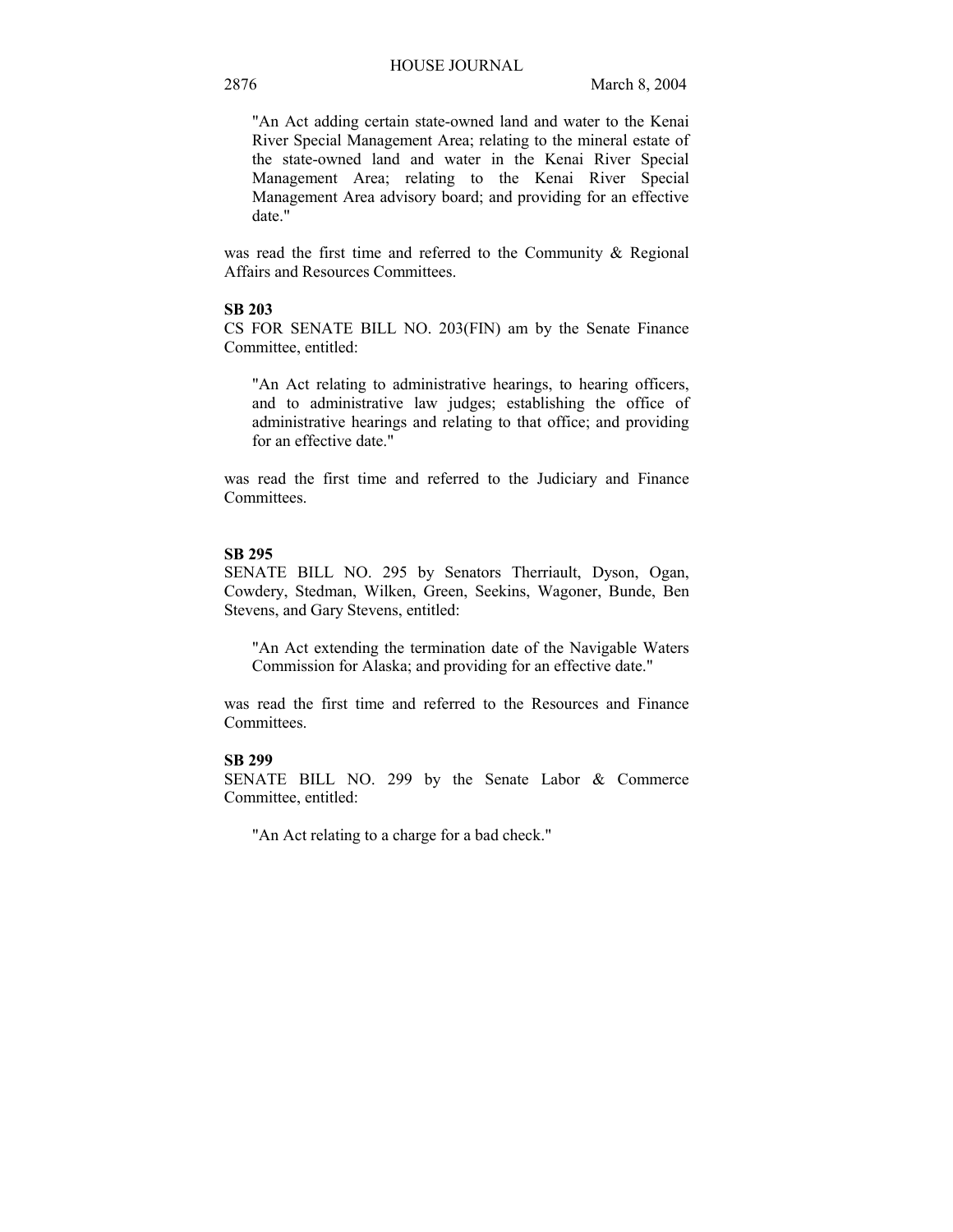"An Act adding certain state-owned land and water to the Kenai River Special Management Area; relating to the mineral estate of the state-owned land and water in the Kenai River Special Management Area; relating to the Kenai River Special Management Area advisory board; and providing for an effective date."

was read the first time and referred to the Community & Regional Affairs and Resources Committees.

# **SB 203**

CS FOR SENATE BILL NO. 203(FIN) am by the Senate Finance Committee, entitled:

"An Act relating to administrative hearings, to hearing officers, and to administrative law judges; establishing the office of administrative hearings and relating to that office; and providing for an effective date."

was read the first time and referred to the Judiciary and Finance Committees.

## **SB 295**

SENATE BILL NO. 295 by Senators Therriault, Dyson, Ogan, Cowdery, Stedman, Wilken, Green, Seekins, Wagoner, Bunde, Ben Stevens, and Gary Stevens, entitled:

"An Act extending the termination date of the Navigable Waters Commission for Alaska; and providing for an effective date."

was read the first time and referred to the Resources and Finance Committees.

# **SB 299**

SENATE BILL NO. 299 by the Senate Labor & Commerce Committee, entitled:

"An Act relating to a charge for a bad check."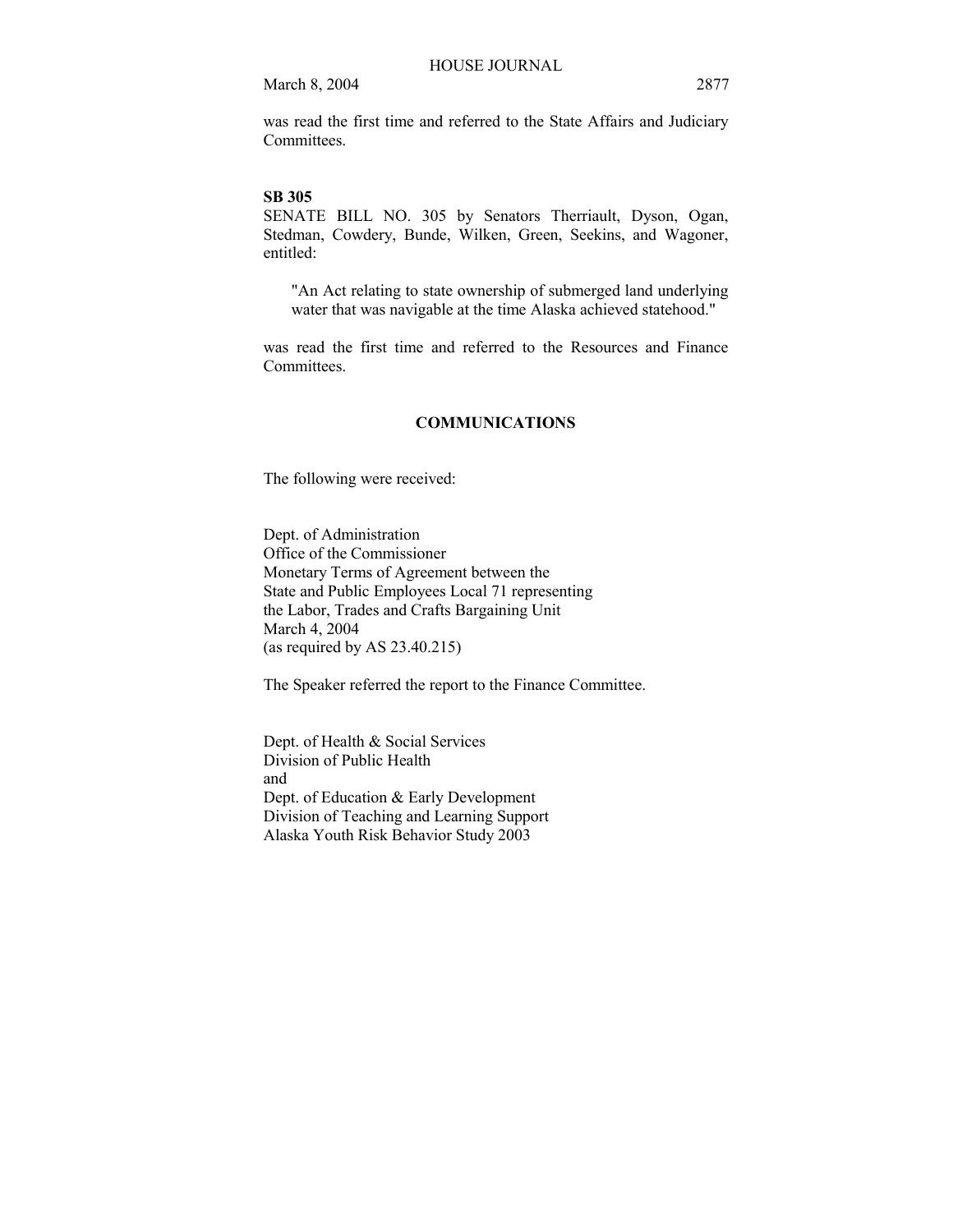was read the first time and referred to the State Affairs and Judiciary **Committees** 

#### **SB 305**

SENATE BILL NO. 305 by Senators Therriault, Dyson, Ogan, Stedman, Cowdery, Bunde, Wilken, Green, Seekins, and Wagoner, entitled:

"An Act relating to state ownership of submerged land underlying water that was navigable at the time Alaska achieved statehood."

was read the first time and referred to the Resources and Finance Committees.

## **COMMUNICATIONS**

The following were received:

Dept. of Administration Office of the Commissioner Monetary Terms of Agreement between the State and Public Employees Local 71 representing the Labor, Trades and Crafts Bargaining Unit March 4, 2004 (as required by AS 23.40.215)

The Speaker referred the report to the Finance Committee.

Dept. of Health & Social Services Division of Public Health and Dept. of Education & Early Development Division of Teaching and Learning Support Alaska Youth Risk Behavior Study 2003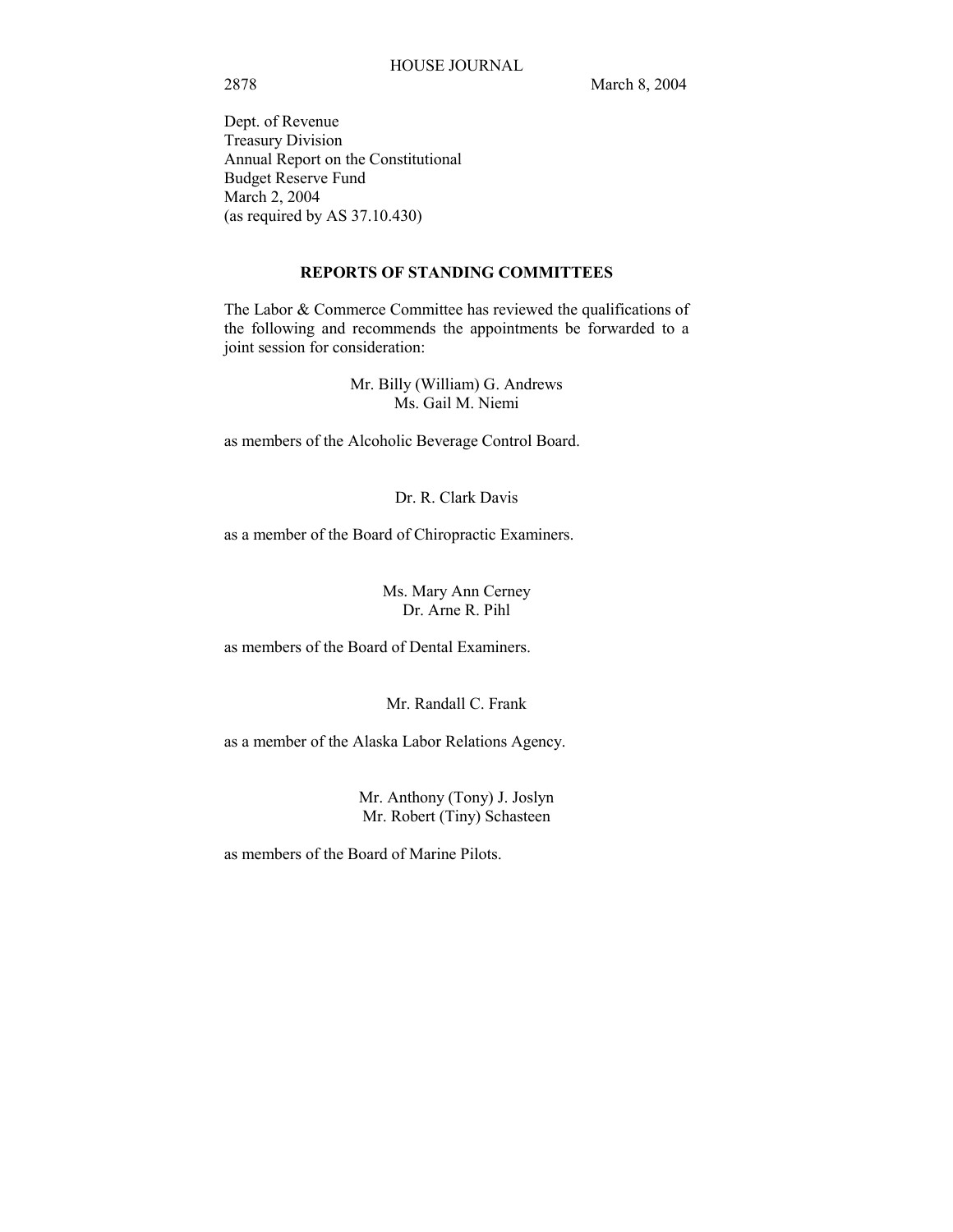Dept. of Revenue Treasury Division Annual Report on the Constitutional Budget Reserve Fund March 2, 2004 (as required by AS 37.10.430)

## **REPORTS OF STANDING COMMITTEES**

The Labor & Commerce Committee has reviewed the qualifications of the following and recommends the appointments be forwarded to a joint session for consideration:

> Mr. Billy (William) G. Andrews Ms. Gail M. Niemi

as members of the Alcoholic Beverage Control Board.

Dr. R. Clark Davis

as a member of the Board of Chiropractic Examiners.

Ms. Mary Ann Cerney Dr. Arne R. Pihl

as members of the Board of Dental Examiners.

Mr. Randall C. Frank

as a member of the Alaska Labor Relations Agency.

Mr. Anthony (Tony) J. Joslyn Mr. Robert (Tiny) Schasteen

as members of the Board of Marine Pilots.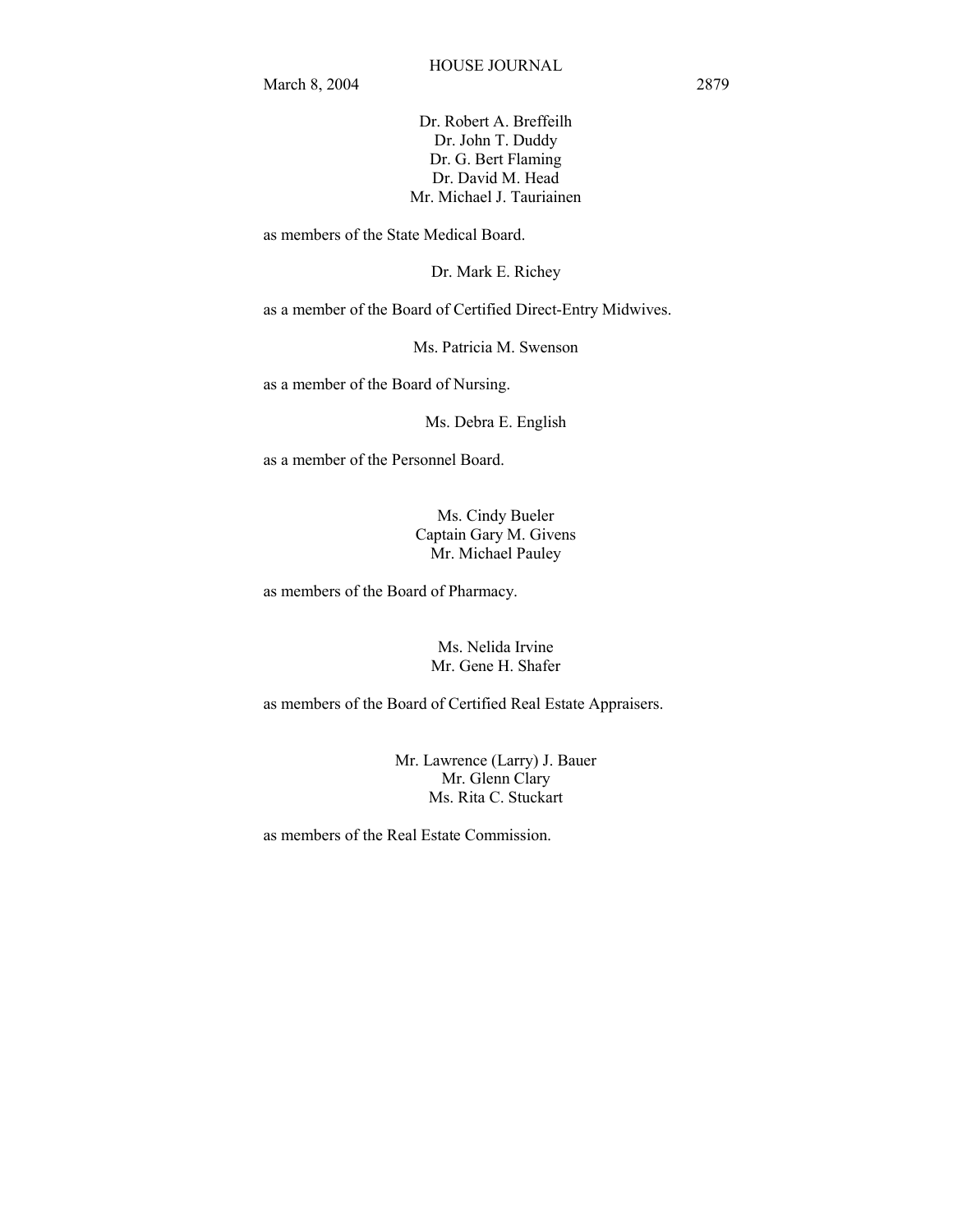Dr. Robert A. Breffeilh Dr. John T. Duddy Dr. G. Bert Flaming Dr. David M. Head Mr. Michael J. Tauriainen

as members of the State Medical Board.

Dr. Mark E. Richey

as a member of the Board of Certified Direct-Entry Midwives.

Ms. Patricia M. Swenson

as a member of the Board of Nursing.

Ms. Debra E. English

as a member of the Personnel Board.

Ms. Cindy Bueler Captain Gary M. Givens Mr. Michael Pauley

as members of the Board of Pharmacy.

Ms. Nelida Irvine Mr. Gene H. Shafer

as members of the Board of Certified Real Estate Appraisers.

Mr. Lawrence (Larry) J. Bauer Mr. Glenn Clary Ms. Rita C. Stuckart

as members of the Real Estate Commission.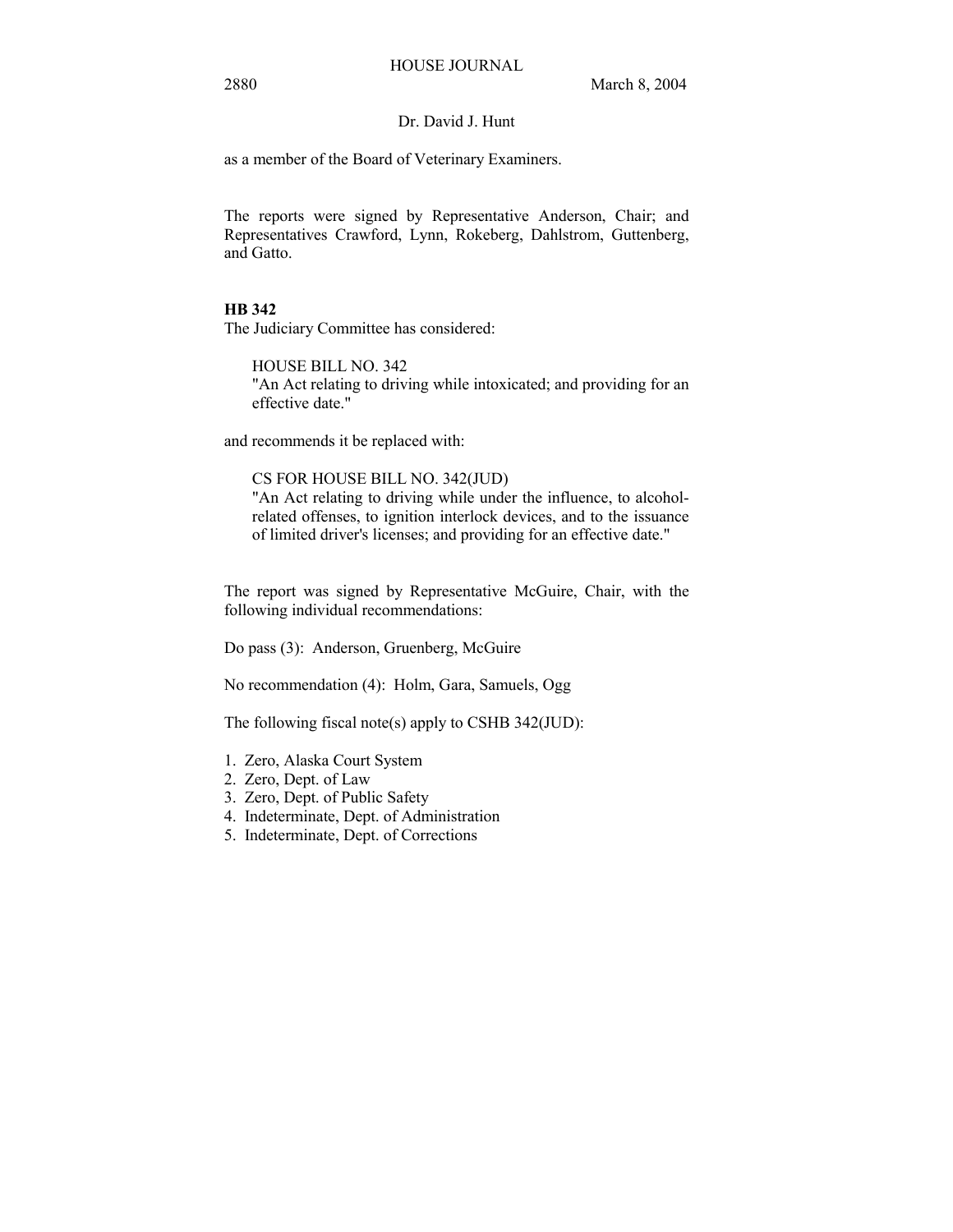# Dr. David J. Hunt

as a member of the Board of Veterinary Examiners.

The reports were signed by Representative Anderson, Chair; and Representatives Crawford, Lynn, Rokeberg, Dahlstrom, Guttenberg, and Gatto.

# **HB 342**

The Judiciary Committee has considered:

HOUSE BILL NO. 342 "An Act relating to driving while intoxicated; and providing for an effective date."

and recommends it be replaced with:

# CS FOR HOUSE BILL NO. 342(JUD)

"An Act relating to driving while under the influence, to alcoholrelated offenses, to ignition interlock devices, and to the issuance of limited driver's licenses; and providing for an effective date."

The report was signed by Representative McGuire, Chair, with the following individual recommendations:

Do pass (3): Anderson, Gruenberg, McGuire

No recommendation (4): Holm, Gara, Samuels, Ogg

The following fiscal note(s) apply to CSHB 342(JUD):

- 1. Zero, Alaska Court System
- 2. Zero, Dept. of Law
- 3. Zero, Dept. of Public Safety
- 4. Indeterminate, Dept. of Administration
- 5. Indeterminate, Dept. of Corrections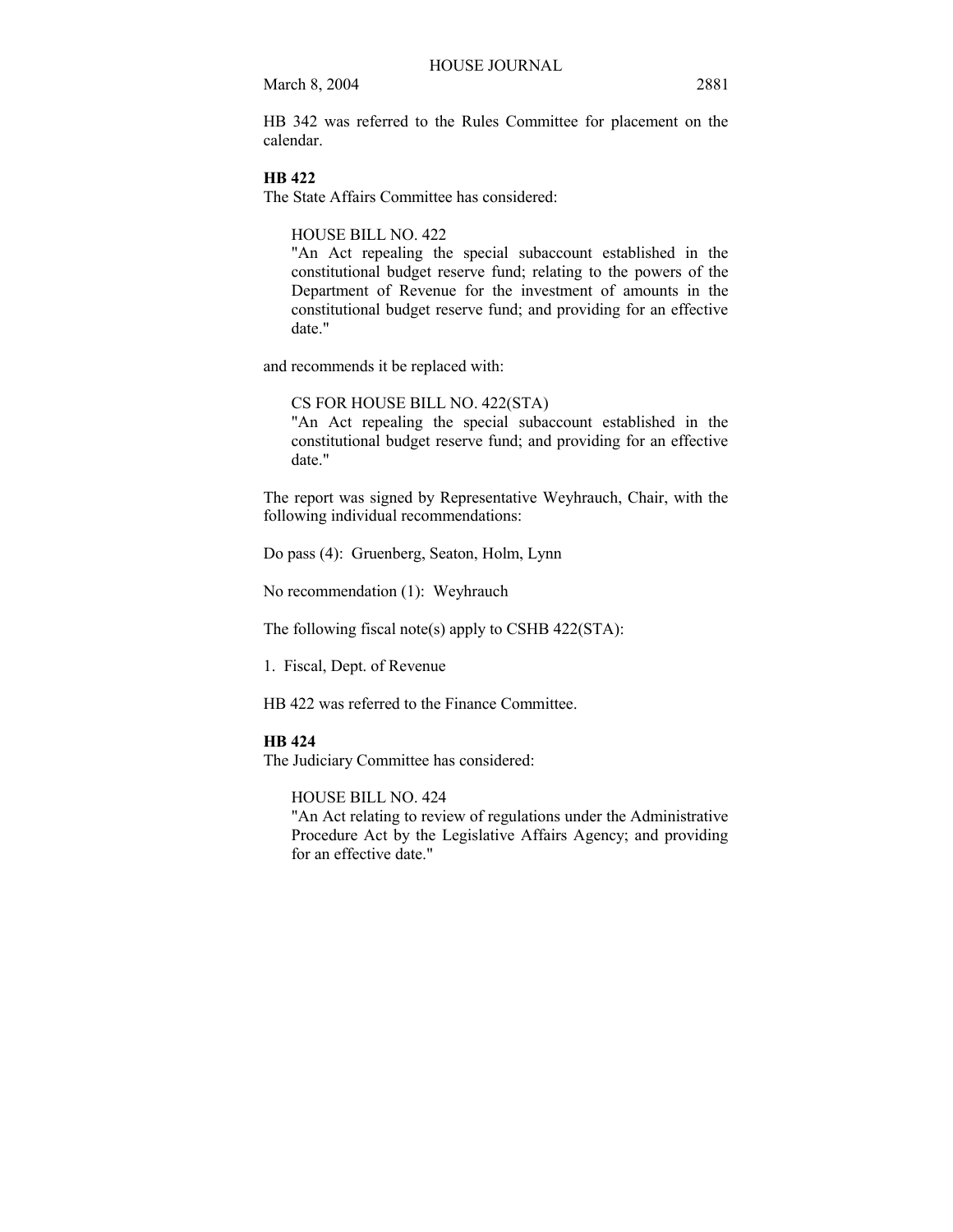HB 342 was referred to the Rules Committee for placement on the calendar.

# **HB 422**

The State Affairs Committee has considered:

## HOUSE BILL NO. 422

"An Act repealing the special subaccount established in the constitutional budget reserve fund; relating to the powers of the Department of Revenue for the investment of amounts in the constitutional budget reserve fund; and providing for an effective date."

and recommends it be replaced with:

### CS FOR HOUSE BILL NO. 422(STA)

"An Act repealing the special subaccount established in the constitutional budget reserve fund; and providing for an effective date."

The report was signed by Representative Weyhrauch, Chair, with the following individual recommendations:

Do pass (4): Gruenberg, Seaton, Holm, Lynn

No recommendation (1): Weyhrauch

The following fiscal note(s) apply to CSHB 422(STA):

1. Fiscal, Dept. of Revenue

HB 422 was referred to the Finance Committee.

## **HB 424**

The Judiciary Committee has considered:

HOUSE BILL NO. 424

"An Act relating to review of regulations under the Administrative Procedure Act by the Legislative Affairs Agency; and providing for an effective date."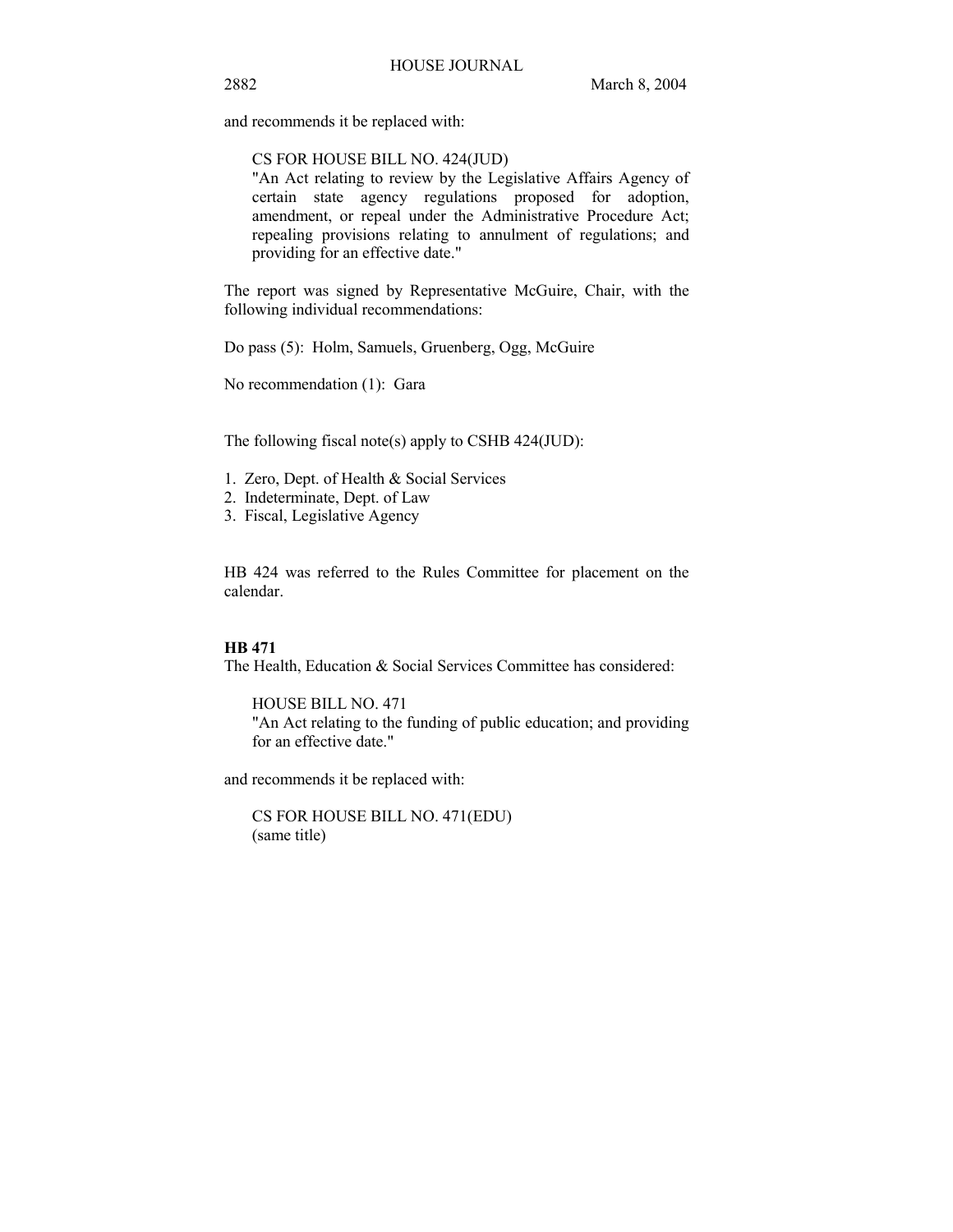and recommends it be replaced with:

## CS FOR HOUSE BILL NO. 424(JUD)

"An Act relating to review by the Legislative Affairs Agency of certain state agency regulations proposed for adoption, amendment, or repeal under the Administrative Procedure Act; repealing provisions relating to annulment of regulations; and providing for an effective date."

The report was signed by Representative McGuire, Chair, with the following individual recommendations:

Do pass (5): Holm, Samuels, Gruenberg, Ogg, McGuire

No recommendation (1): Gara

The following fiscal note(s) apply to CSHB 424(JUD):

- 1. Zero, Dept. of Health & Social Services
- 2. Indeterminate, Dept. of Law
- 3. Fiscal, Legislative Agency

HB 424 was referred to the Rules Committee for placement on the calendar.

# **HB 471**

The Health, Education & Social Services Committee has considered:

HOUSE BILL NO. 471 "An Act relating to the funding of public education; and providing for an effective date."

and recommends it be replaced with:

CS FOR HOUSE BILL NO. 471(EDU) (same title)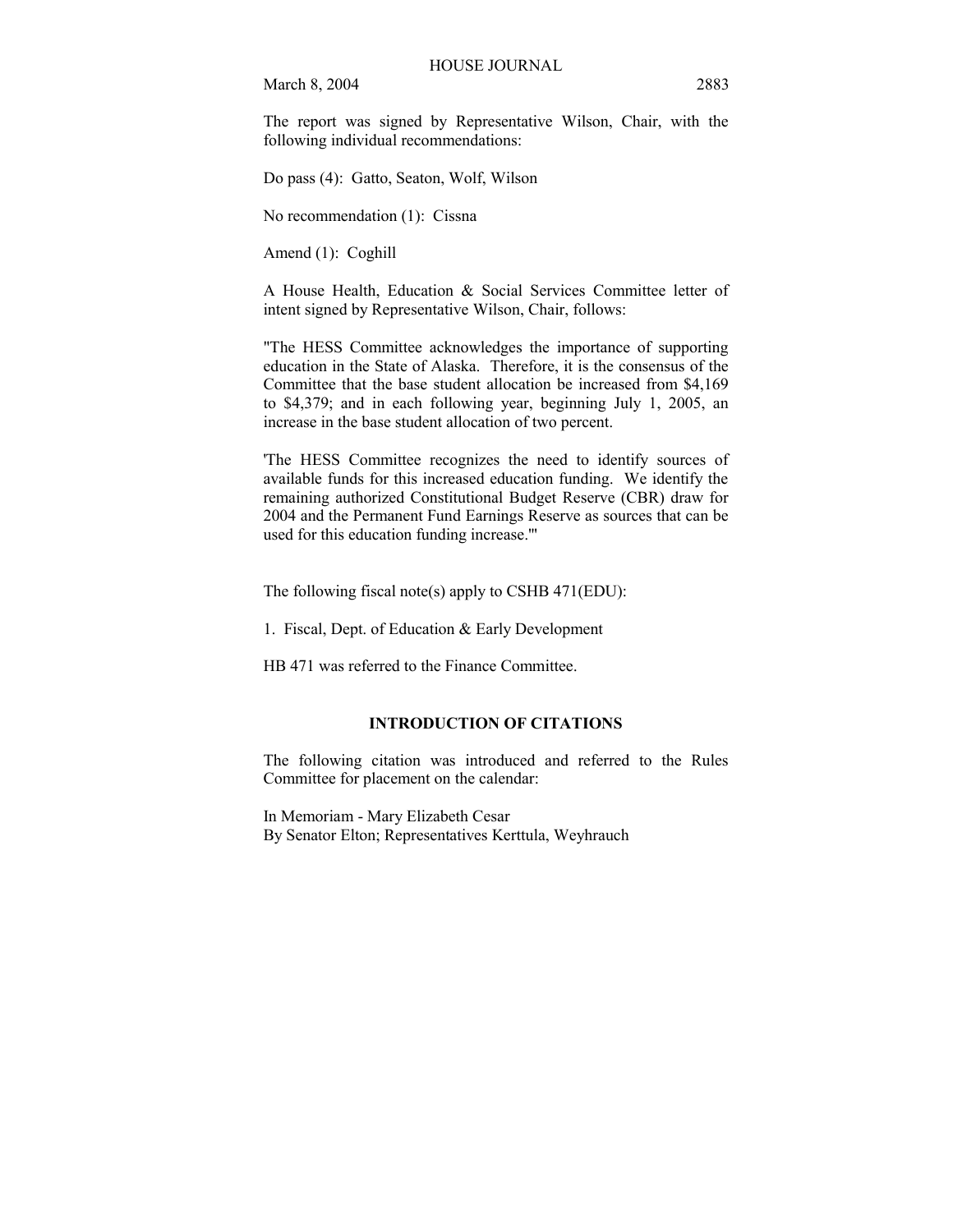The report was signed by Representative Wilson, Chair, with the following individual recommendations:

Do pass (4): Gatto, Seaton, Wolf, Wilson

No recommendation (1): Cissna

Amend (1): Coghill

A House Health, Education & Social Services Committee letter of intent signed by Representative Wilson, Chair, follows:

"The HESS Committee acknowledges the importance of supporting education in the State of Alaska. Therefore, it is the consensus of the Committee that the base student allocation be increased from \$4,169 to \$4,379; and in each following year, beginning July 1, 2005, an increase in the base student allocation of two percent.

'The HESS Committee recognizes the need to identify sources of available funds for this increased education funding. We identify the remaining authorized Constitutional Budget Reserve (CBR) draw for 2004 and the Permanent Fund Earnings Reserve as sources that can be used for this education funding increase.'"

The following fiscal note(s) apply to CSHB 471(EDU):

1. Fiscal, Dept. of Education & Early Development

HB 471 was referred to the Finance Committee.

# **INTRODUCTION OF CITATIONS**

The following citation was introduced and referred to the Rules Committee for placement on the calendar:

In Memoriam - Mary Elizabeth Cesar By Senator Elton; Representatives Kerttula, Weyhrauch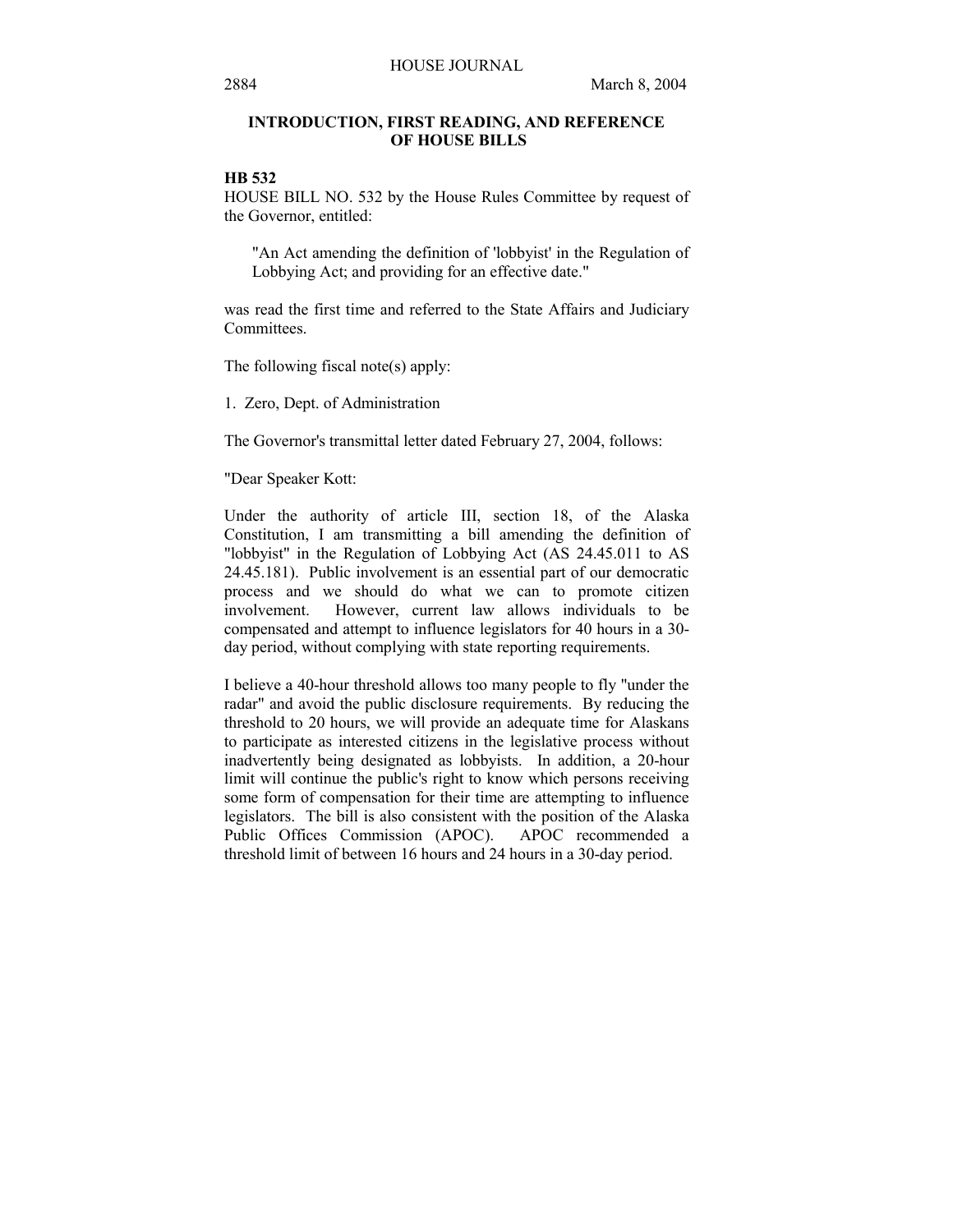# **INTRODUCTION, FIRST READING, AND REFERENCE OF HOUSE BILLS**

# **HB 532**

HOUSE BILL NO. 532 by the House Rules Committee by request of the Governor, entitled:

"An Act amending the definition of 'lobbyist' in the Regulation of Lobbying Act; and providing for an effective date."

was read the first time and referred to the State Affairs and Judiciary Committees.

The following fiscal note(s) apply:

1. Zero, Dept. of Administration

The Governor's transmittal letter dated February 27, 2004, follows:

"Dear Speaker Kott:

Under the authority of article III, section 18, of the Alaska Constitution, I am transmitting a bill amending the definition of "lobbyist" in the Regulation of Lobbying Act (AS 24.45.011 to AS 24.45.181). Public involvement is an essential part of our democratic process and we should do what we can to promote citizen involvement. However, current law allows individuals to be compensated and attempt to influence legislators for 40 hours in a 30 day period, without complying with state reporting requirements.

I believe a 40-hour threshold allows too many people to fly "under the radar" and avoid the public disclosure requirements. By reducing the threshold to 20 hours, we will provide an adequate time for Alaskans to participate as interested citizens in the legislative process without inadvertently being designated as lobbyists. In addition, a 20-hour limit will continue the public's right to know which persons receiving some form of compensation for their time are attempting to influence legislators. The bill is also consistent with the position of the Alaska Public Offices Commission (APOC). APOC recommended a threshold limit of between 16 hours and 24 hours in a 30-day period.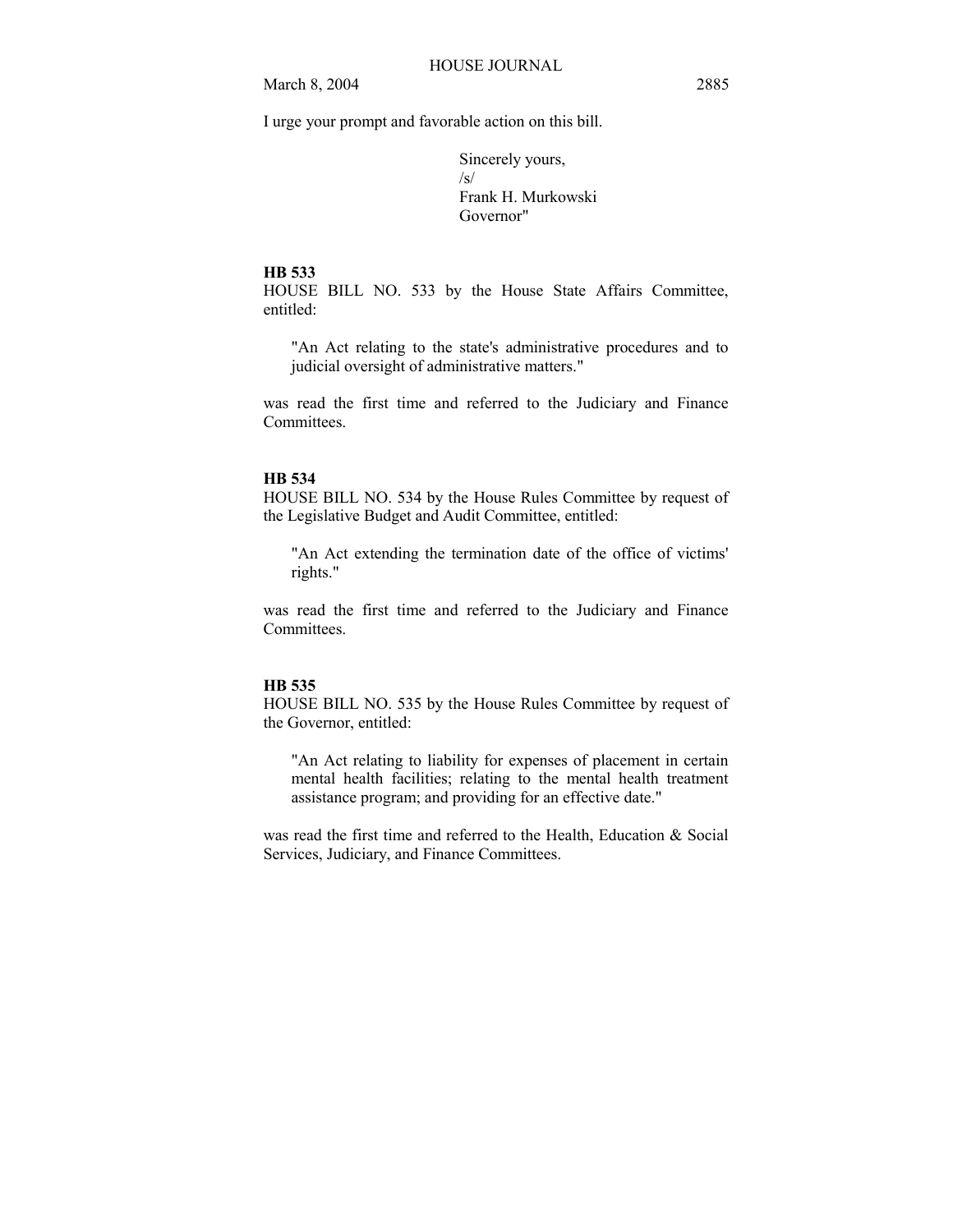I urge your prompt and favorable action on this bill.

Sincerely yours, /s/ Frank H. Murkowski Governor"

#### **HB 533**

HOUSE BILL NO. 533 by the House State Affairs Committee, entitled:

"An Act relating to the state's administrative procedures and to judicial oversight of administrative matters."

was read the first time and referred to the Judiciary and Finance Committees.

## **HB 534**

HOUSE BILL NO. 534 by the House Rules Committee by request of the Legislative Budget and Audit Committee, entitled:

"An Act extending the termination date of the office of victims' rights."

was read the first time and referred to the Judiciary and Finance Committees.

#### **HB 535**

HOUSE BILL NO. 535 by the House Rules Committee by request of the Governor, entitled:

"An Act relating to liability for expenses of placement in certain mental health facilities; relating to the mental health treatment assistance program; and providing for an effective date."

was read the first time and referred to the Health, Education & Social Services, Judiciary, and Finance Committees.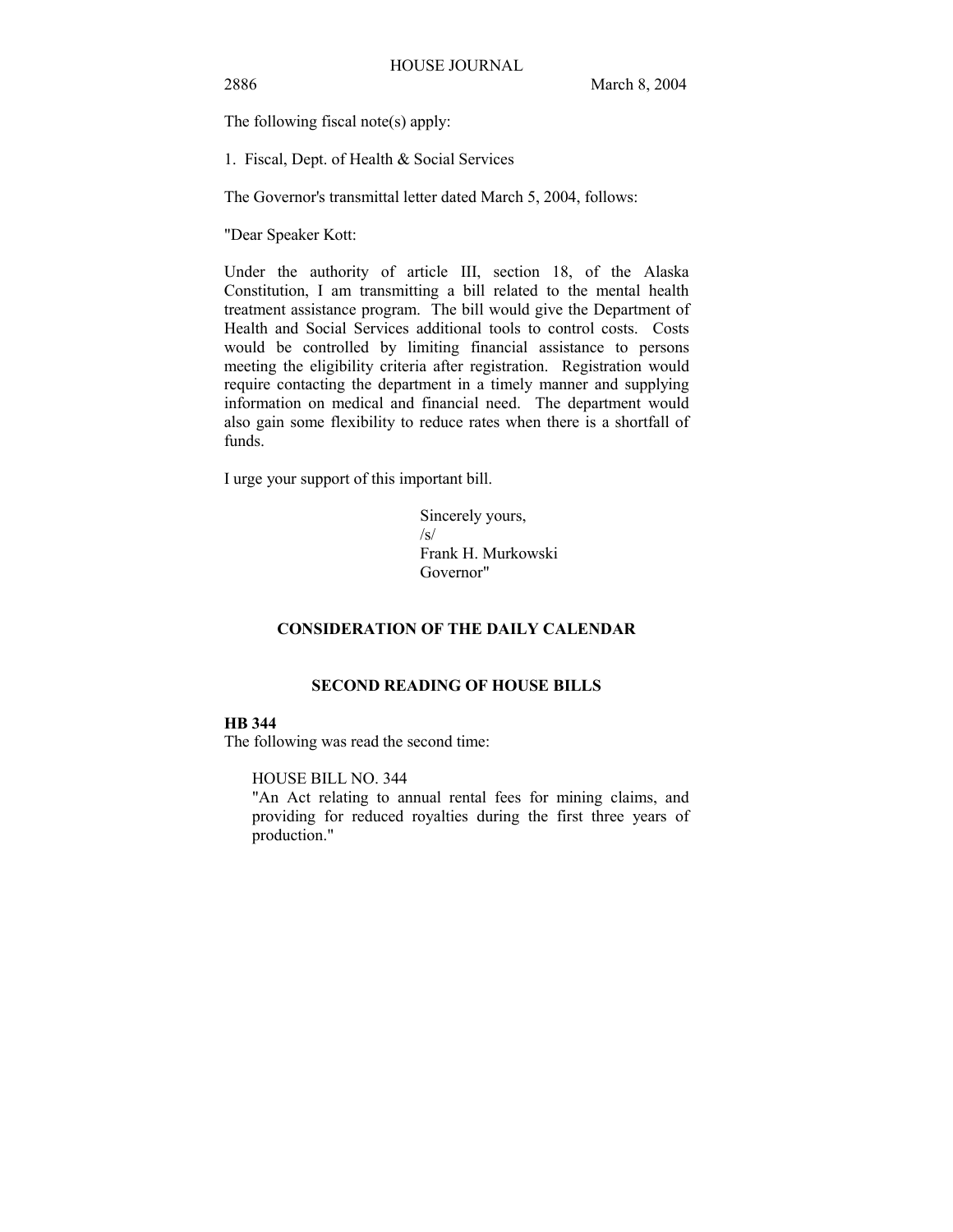The following fiscal note(s) apply:

1. Fiscal, Dept. of Health & Social Services

The Governor's transmittal letter dated March 5, 2004, follows:

"Dear Speaker Kott:

Under the authority of article III, section 18, of the Alaska Constitution, I am transmitting a bill related to the mental health treatment assistance program. The bill would give the Department of Health and Social Services additional tools to control costs. Costs would be controlled by limiting financial assistance to persons meeting the eligibility criteria after registration. Registration would require contacting the department in a timely manner and supplying information on medical and financial need. The department would also gain some flexibility to reduce rates when there is a shortfall of funds.

I urge your support of this important bill.

Sincerely yours,  $\sqrt{s}$ Frank H. Murkowski Governor"

# **CONSIDERATION OF THE DAILY CALENDAR**

# **SECOND READING OF HOUSE BILLS**

# **HB 344**

The following was read the second time:

HOUSE BILL NO. 344

"An Act relating to annual rental fees for mining claims, and providing for reduced royalties during the first three years of production."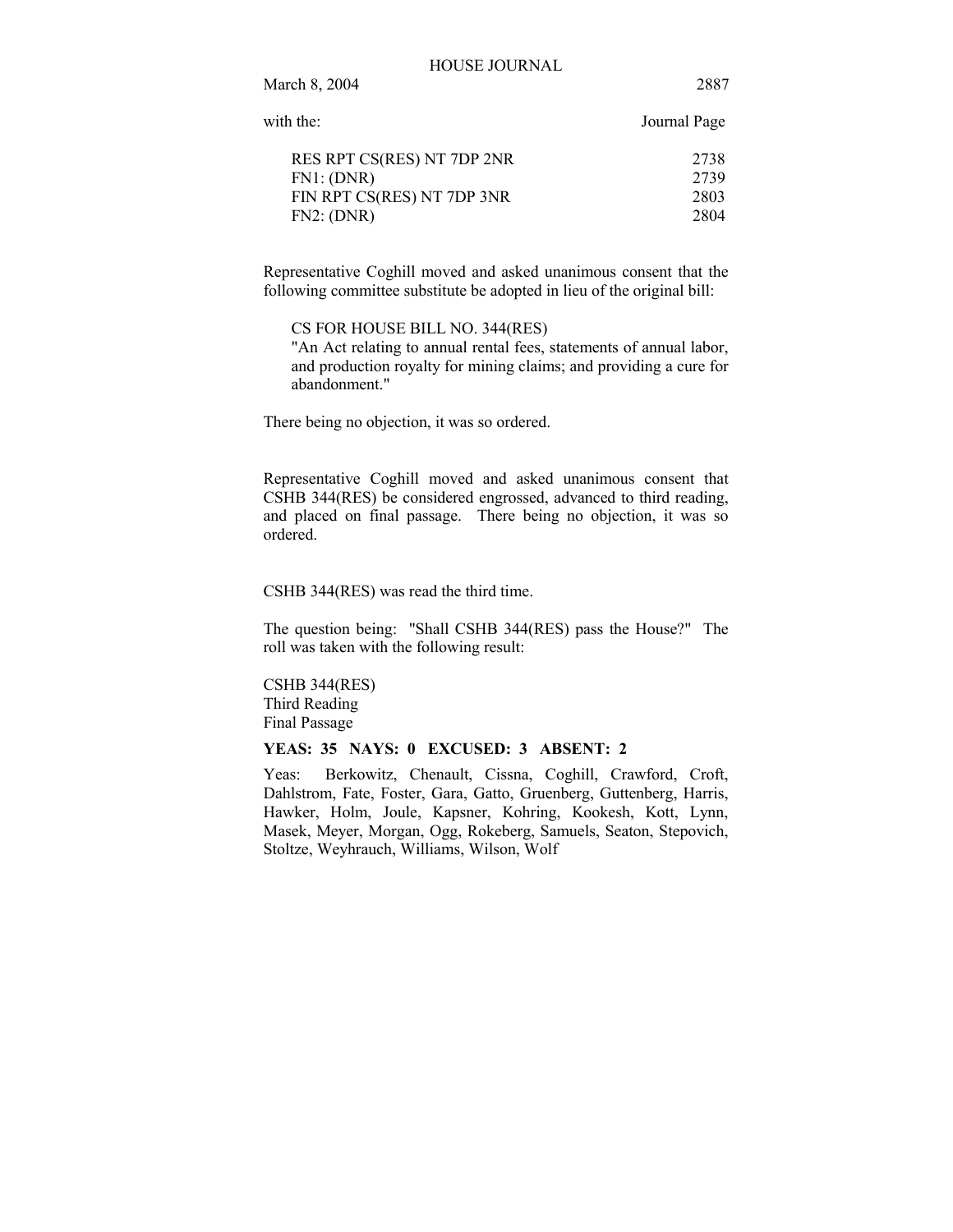#### HOUSE JOURNAL

March 8, 2004 2887

| with the:                  | Journal Page |
|----------------------------|--------------|
| RES RPT CS(RES) NT 7DP 2NR | 2738         |
| FN1: (DNR)                 | 2739         |
| FIN RPT CS(RES) NT 7DP 3NR | 2803         |
| FN2: (DNR)                 | 2804         |

Representative Coghill moved and asked unanimous consent that the following committee substitute be adopted in lieu of the original bill:

CS FOR HOUSE BILL NO. 344(RES)

"An Act relating to annual rental fees, statements of annual labor, and production royalty for mining claims; and providing a cure for abandonment."

There being no objection, it was so ordered.

Representative Coghill moved and asked unanimous consent that CSHB 344(RES) be considered engrossed, advanced to third reading, and placed on final passage. There being no objection, it was so ordered.

CSHB 344(RES) was read the third time.

The question being: "Shall CSHB 344(RES) pass the House?" The roll was taken with the following result:

CSHB 344(RES) Third Reading Final Passage

## **YEAS: 35 NAYS: 0 EXCUSED: 3 ABSENT: 2**

Yeas: Berkowitz, Chenault, Cissna, Coghill, Crawford, Croft, Dahlstrom, Fate, Foster, Gara, Gatto, Gruenberg, Guttenberg, Harris, Hawker, Holm, Joule, Kapsner, Kohring, Kookesh, Kott, Lynn, Masek, Meyer, Morgan, Ogg, Rokeberg, Samuels, Seaton, Stepovich, Stoltze, Weyhrauch, Williams, Wilson, Wolf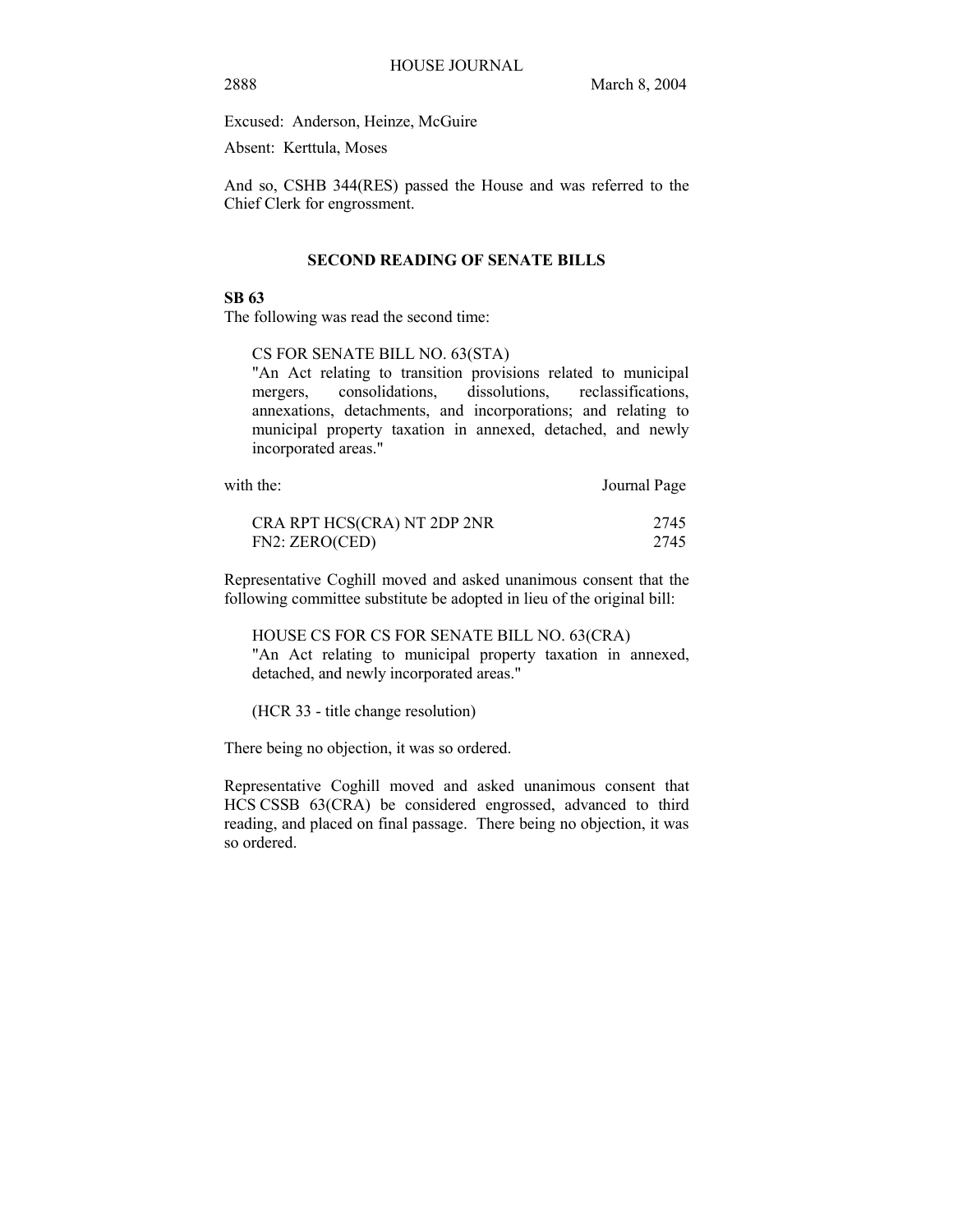Excused: Anderson, Heinze, McGuire

Absent: Kerttula, Moses

And so, CSHB 344(RES) passed the House and was referred to the Chief Clerk for engrossment.

## **SECOND READING OF SENATE BILLS**

#### **SB 63**

The following was read the second time:

#### CS FOR SENATE BILL NO. 63(STA)

"An Act relating to transition provisions related to municipal mergers, consolidations, dissolutions, reclassifications, annexations, detachments, and incorporations; and relating to municipal property taxation in annexed, detached, and newly incorporated areas."

| with the:                   | Journal Page |
|-----------------------------|--------------|
| CRA RPT HCS(CRA) NT 2DP 2NR | 2745         |
| FN2: ZERO(CED)              | 2745         |

Representative Coghill moved and asked unanimous consent that the following committee substitute be adopted in lieu of the original bill:

HOUSE CS FOR CS FOR SENATE BILL NO. 63(CRA) "An Act relating to municipal property taxation in annexed, detached, and newly incorporated areas."

(HCR 33 - title change resolution)

There being no objection, it was so ordered.

Representative Coghill moved and asked unanimous consent that HCS CSSB 63(CRA) be considered engrossed, advanced to third reading, and placed on final passage. There being no objection, it was so ordered.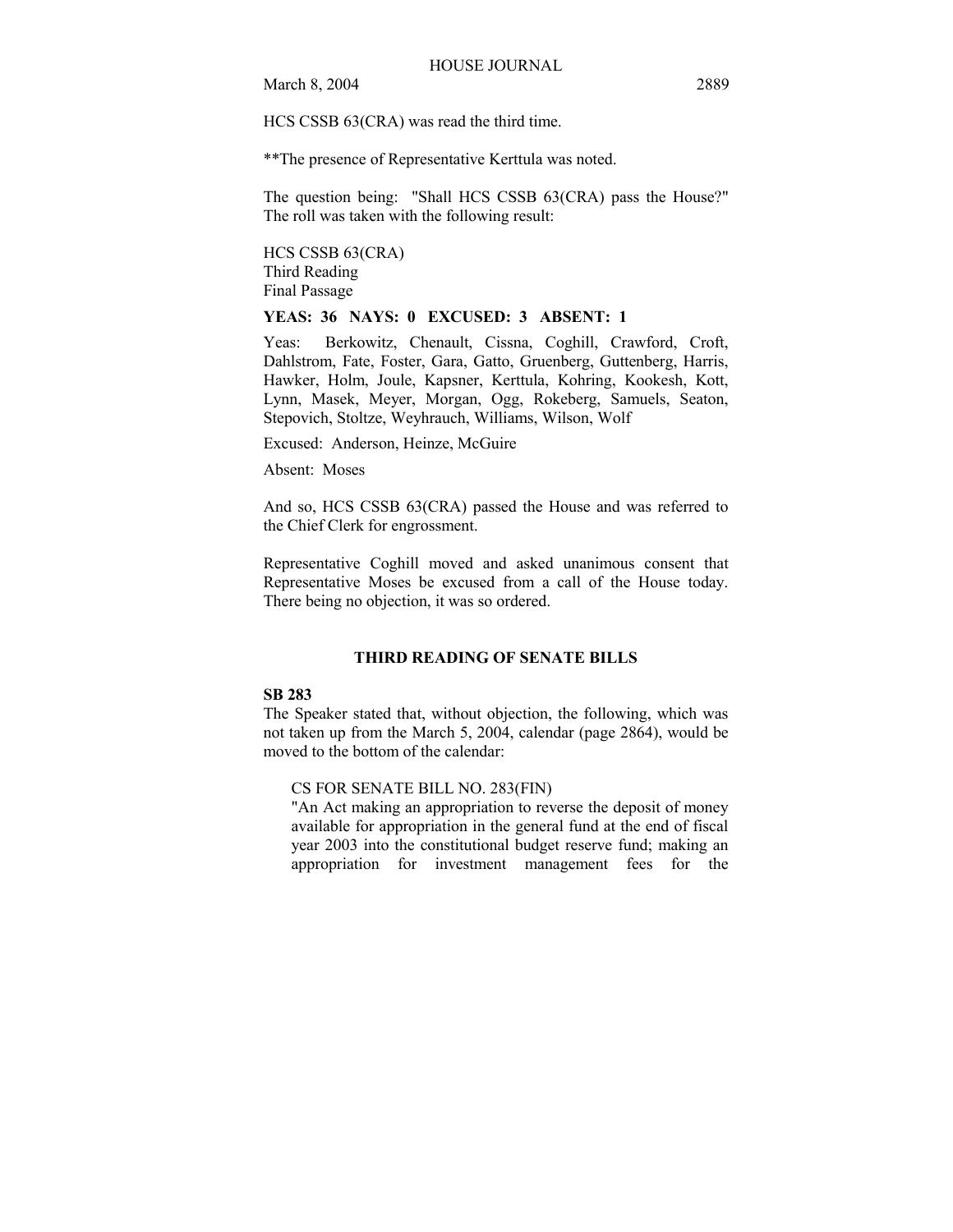HCS CSSB 63(CRA) was read the third time.

\*\*The presence of Representative Kerttula was noted.

The question being: "Shall HCS CSSB 63(CRA) pass the House?" The roll was taken with the following result:

HCS CSSB 63(CRA) Third Reading Final Passage

# **YEAS: 36 NAYS: 0 EXCUSED: 3 ABSENT: 1**

Yeas: Berkowitz, Chenault, Cissna, Coghill, Crawford, Croft, Dahlstrom, Fate, Foster, Gara, Gatto, Gruenberg, Guttenberg, Harris, Hawker, Holm, Joule, Kapsner, Kerttula, Kohring, Kookesh, Kott, Lynn, Masek, Meyer, Morgan, Ogg, Rokeberg, Samuels, Seaton, Stepovich, Stoltze, Weyhrauch, Williams, Wilson, Wolf

Excused: Anderson, Heinze, McGuire

Absent: Moses

And so, HCS CSSB 63(CRA) passed the House and was referred to the Chief Clerk for engrossment.

Representative Coghill moved and asked unanimous consent that Representative Moses be excused from a call of the House today. There being no objection, it was so ordered.

## **THIRD READING OF SENATE BILLS**

### **SB 283**

The Speaker stated that, without objection, the following, which was not taken up from the March 5, 2004, calendar (page 2864), would be moved to the bottom of the calendar:

CS FOR SENATE BILL NO. 283(FIN)

"An Act making an appropriation to reverse the deposit of money available for appropriation in the general fund at the end of fiscal year 2003 into the constitutional budget reserve fund; making an appropriation for investment management fees for the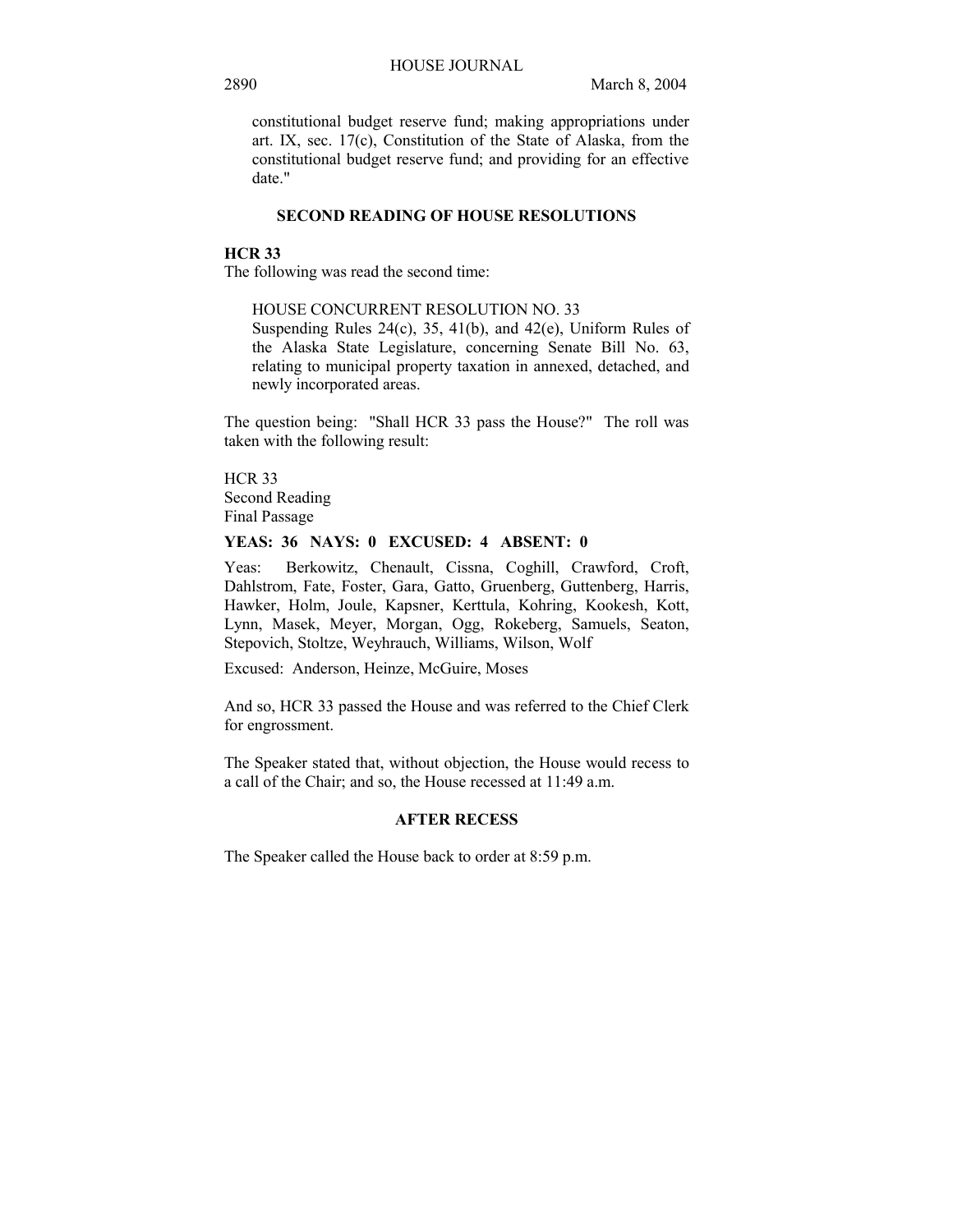constitutional budget reserve fund; making appropriations under art. IX, sec. 17(c), Constitution of the State of Alaska, from the constitutional budget reserve fund; and providing for an effective date."

# **SECOND READING OF HOUSE RESOLUTIONS**

#### **HCR 33**

The following was read the second time:

HOUSE CONCURRENT RESOLUTION NO. 33

Suspending Rules 24(c), 35, 41(b), and 42(e), Uniform Rules of the Alaska State Legislature, concerning Senate Bill No. 63, relating to municipal property taxation in annexed, detached, and newly incorporated areas.

The question being: "Shall HCR 33 pass the House?" The roll was taken with the following result:

HCR 33 Second Reading Final Passage

## **YEAS: 36 NAYS: 0 EXCUSED: 4 ABSENT: 0**

Yeas: Berkowitz, Chenault, Cissna, Coghill, Crawford, Croft, Dahlstrom, Fate, Foster, Gara, Gatto, Gruenberg, Guttenberg, Harris, Hawker, Holm, Joule, Kapsner, Kerttula, Kohring, Kookesh, Kott, Lynn, Masek, Meyer, Morgan, Ogg, Rokeberg, Samuels, Seaton, Stepovich, Stoltze, Weyhrauch, Williams, Wilson, Wolf

Excused: Anderson, Heinze, McGuire, Moses

And so, HCR 33 passed the House and was referred to the Chief Clerk for engrossment.

The Speaker stated that, without objection, the House would recess to a call of the Chair; and so, the House recessed at 11:49 a.m.

## **AFTER RECESS**

The Speaker called the House back to order at 8:59 p.m.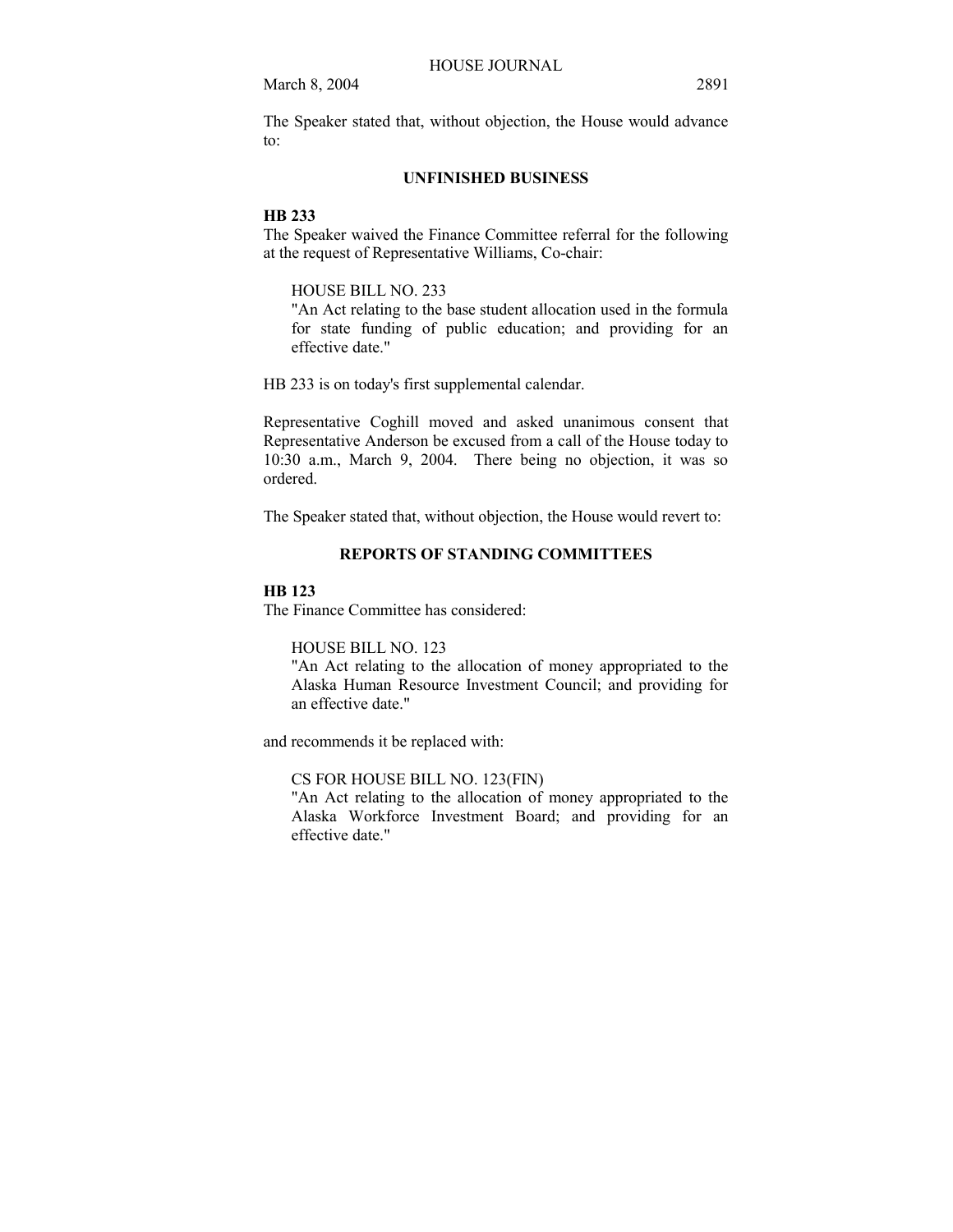The Speaker stated that, without objection, the House would advance to:

# **UNFINISHED BUSINESS**

## **HB 233**

The Speaker waived the Finance Committee referral for the following at the request of Representative Williams, Co-chair:

# HOUSE BILL NO. 233

"An Act relating to the base student allocation used in the formula for state funding of public education; and providing for an effective date."

HB 233 is on today's first supplemental calendar.

Representative Coghill moved and asked unanimous consent that Representative Anderson be excused from a call of the House today to 10:30 a.m., March 9, 2004. There being no objection, it was so ordered.

The Speaker stated that, without objection, the House would revert to:

## **REPORTS OF STANDING COMMITTEES**

## **HB 123**

The Finance Committee has considered:

HOUSE BILL NO. 123

"An Act relating to the allocation of money appropriated to the Alaska Human Resource Investment Council; and providing for an effective date."

and recommends it be replaced with:

CS FOR HOUSE BILL NO. 123(FIN)

"An Act relating to the allocation of money appropriated to the Alaska Workforce Investment Board; and providing for an effective date."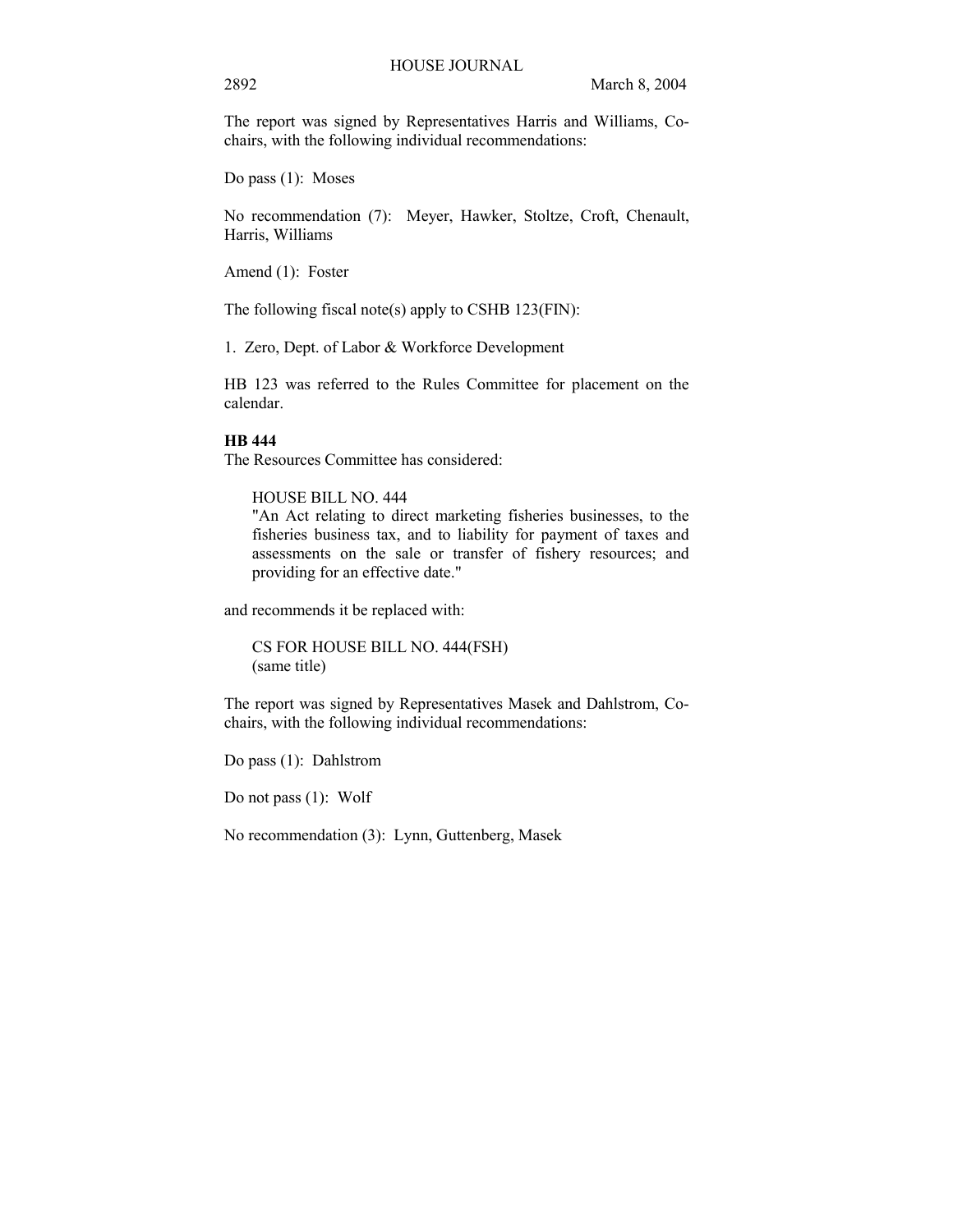The report was signed by Representatives Harris and Williams, Cochairs, with the following individual recommendations:

Do pass (1): Moses

No recommendation (7): Meyer, Hawker, Stoltze, Croft, Chenault, Harris, Williams

Amend (1): Foster

The following fiscal note(s) apply to CSHB 123(FIN):

1. Zero, Dept. of Labor & Workforce Development

HB 123 was referred to the Rules Committee for placement on the calendar.

# **HB 444**

The Resources Committee has considered:

HOUSE BILL NO. 444

"An Act relating to direct marketing fisheries businesses, to the fisheries business tax, and to liability for payment of taxes and assessments on the sale or transfer of fishery resources; and providing for an effective date."

and recommends it be replaced with:

CS FOR HOUSE BILL NO. 444(FSH) (same title)

The report was signed by Representatives Masek and Dahlstrom, Cochairs, with the following individual recommendations:

Do pass (1): Dahlstrom

Do not pass (1): Wolf

No recommendation (3): Lynn, Guttenberg, Masek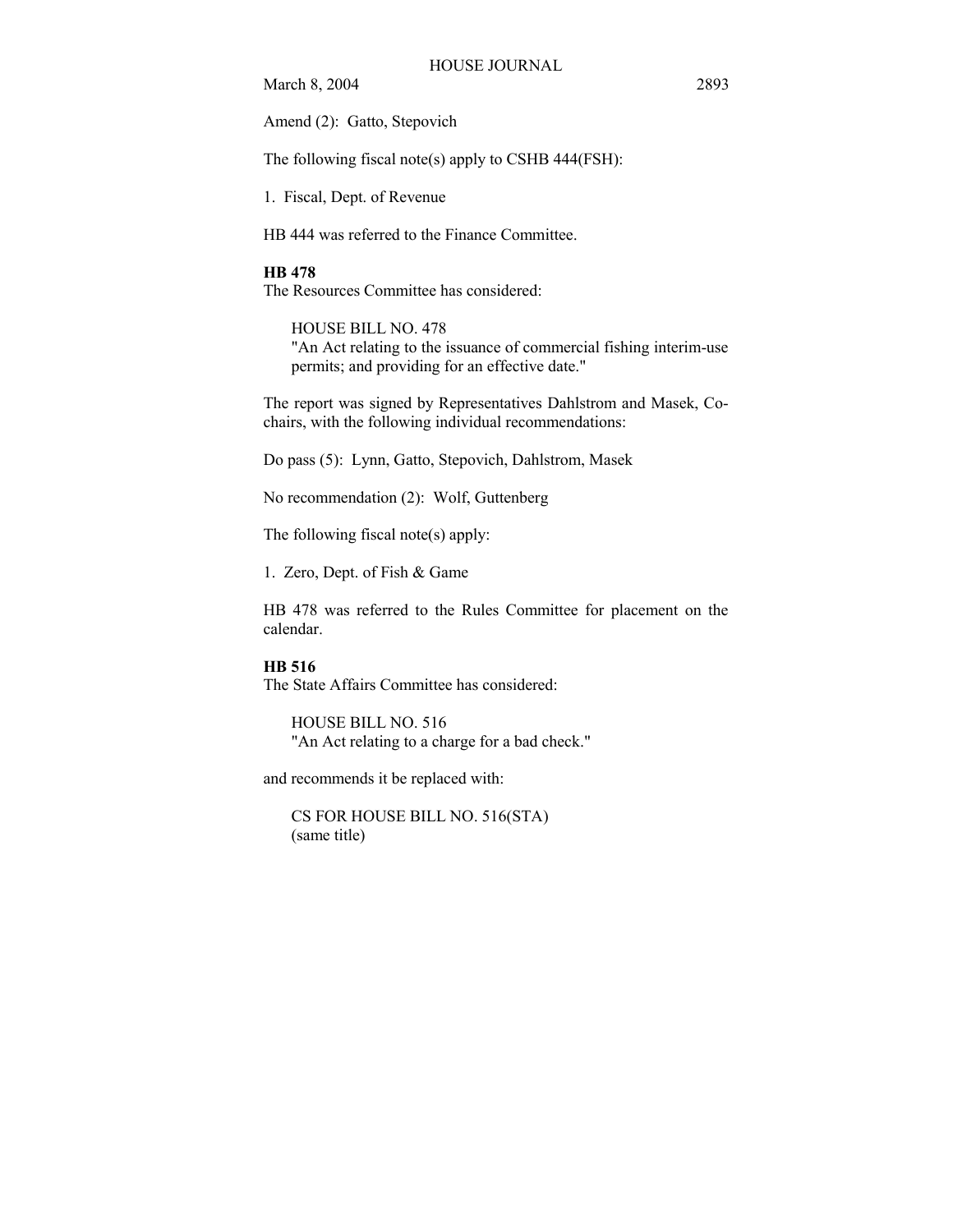Amend (2): Gatto, Stepovich

The following fiscal note(s) apply to CSHB 444(FSH):

1. Fiscal, Dept. of Revenue

HB 444 was referred to the Finance Committee.

#### **HB 478**

The Resources Committee has considered:

HOUSE BILL NO. 478 "An Act relating to the issuance of commercial fishing interim-use permits; and providing for an effective date."

The report was signed by Representatives Dahlstrom and Masek, Cochairs, with the following individual recommendations:

Do pass (5): Lynn, Gatto, Stepovich, Dahlstrom, Masek

No recommendation (2): Wolf, Guttenberg

The following fiscal note(s) apply:

1. Zero, Dept. of Fish & Game

HB 478 was referred to the Rules Committee for placement on the calendar.

# **HB 516**

The State Affairs Committee has considered:

HOUSE BILL NO. 516 "An Act relating to a charge for a bad check."

and recommends it be replaced with:

CS FOR HOUSE BILL NO. 516(STA) (same title)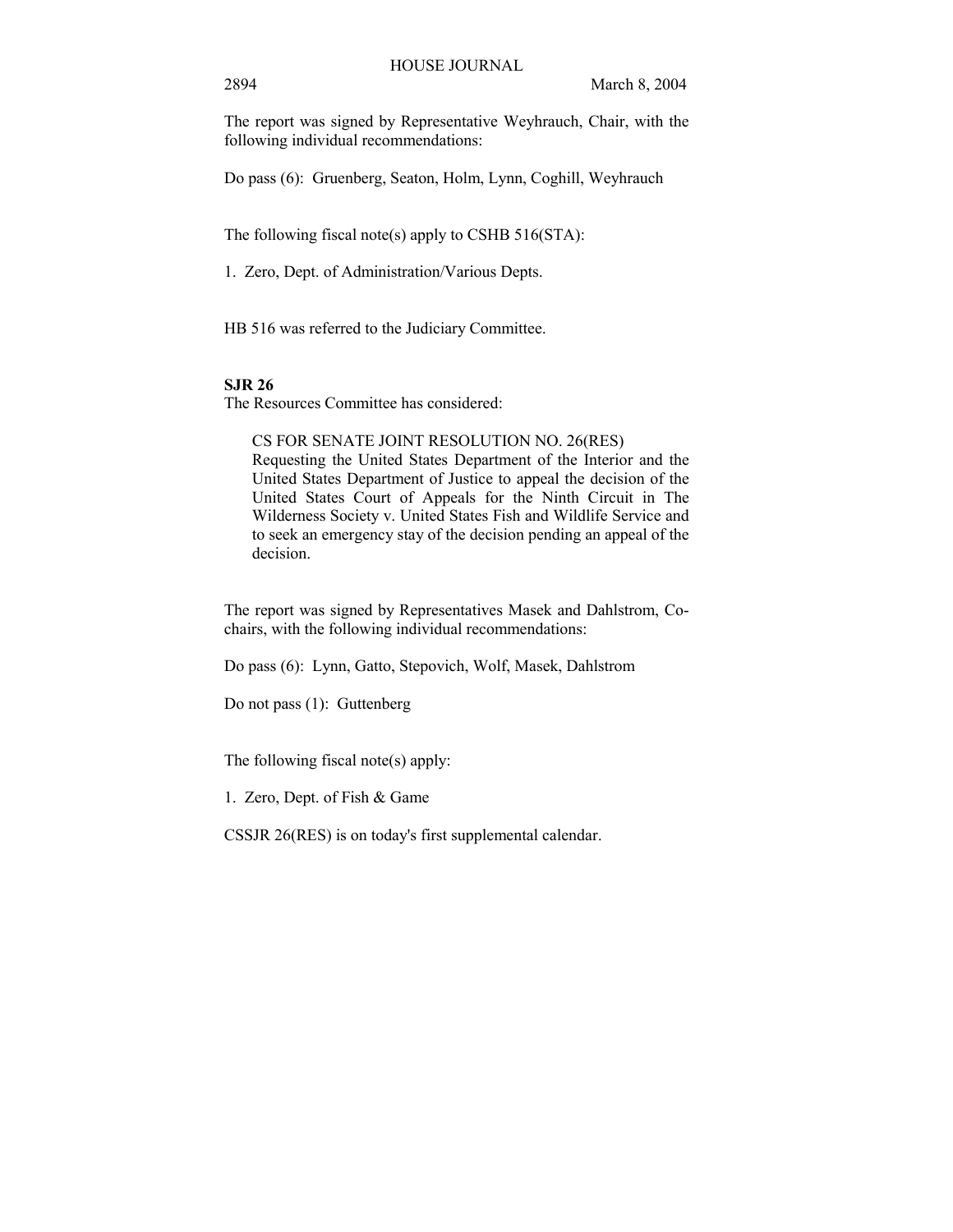The report was signed by Representative Weyhrauch, Chair, with the following individual recommendations:

Do pass (6): Gruenberg, Seaton, Holm, Lynn, Coghill, Weyhrauch

The following fiscal note(s) apply to CSHB 516(STA):

1. Zero, Dept. of Administration/Various Depts.

HB 516 was referred to the Judiciary Committee.

# **SJR 26**

The Resources Committee has considered:

CS FOR SENATE JOINT RESOLUTION NO. 26(RES) Requesting the United States Department of the Interior and the United States Department of Justice to appeal the decision of the United States Court of Appeals for the Ninth Circuit in The Wilderness Society v. United States Fish and Wildlife Service and to seek an emergency stay of the decision pending an appeal of the decision.

The report was signed by Representatives Masek and Dahlstrom, Cochairs, with the following individual recommendations:

Do pass (6): Lynn, Gatto, Stepovich, Wolf, Masek, Dahlstrom

Do not pass (1): Guttenberg

The following fiscal note(s) apply:

1. Zero, Dept. of Fish & Game

CSSJR 26(RES) is on today's first supplemental calendar.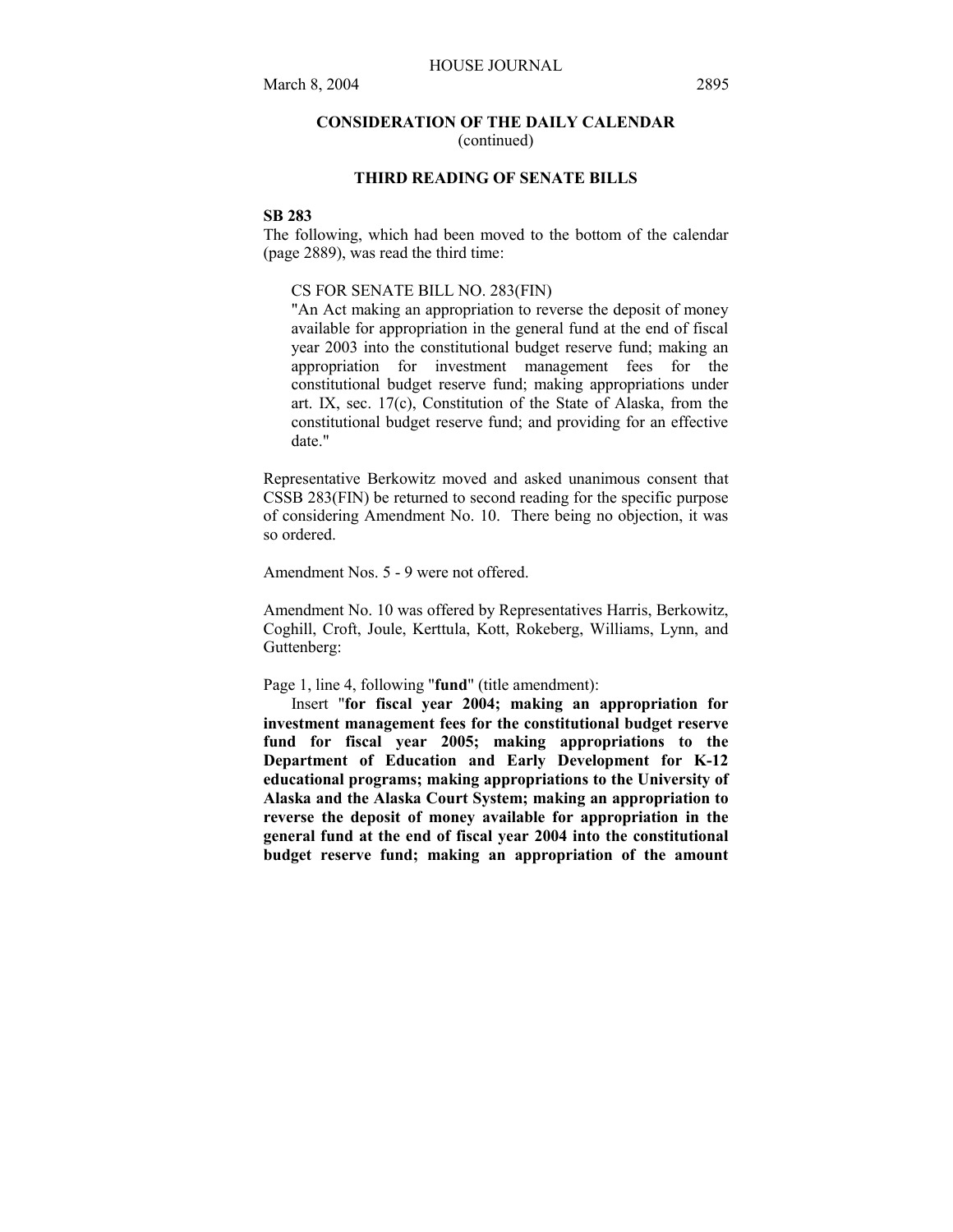# **CONSIDERATION OF THE DAILY CALENDAR**  (continued)

# **THIRD READING OF SENATE BILLS**

# **SB 283**

The following, which had been moved to the bottom of the calendar (page 2889), was read the third time:

# CS FOR SENATE BILL NO. 283(FIN)

"An Act making an appropriation to reverse the deposit of money available for appropriation in the general fund at the end of fiscal year 2003 into the constitutional budget reserve fund; making an appropriation for investment management fees for the constitutional budget reserve fund; making appropriations under art. IX, sec. 17(c), Constitution of the State of Alaska, from the constitutional budget reserve fund; and providing for an effective date."

Representative Berkowitz moved and asked unanimous consent that CSSB 283(FIN) be returned to second reading for the specific purpose of considering Amendment No. 10. There being no objection, it was so ordered.

Amendment Nos. 5 - 9 were not offered.

Amendment No. 10 was offered by Representatives Harris, Berkowitz, Coghill, Croft, Joule, Kerttula, Kott, Rokeberg, Williams, Lynn, and Guttenberg:

Page 1, line 4, following "**fund**" (title amendment):

Insert "**for fiscal year 2004; making an appropriation for investment management fees for the constitutional budget reserve fund for fiscal year 2005; making appropriations to the Department of Education and Early Development for K-12 educational programs; making appropriations to the University of Alaska and the Alaska Court System; making an appropriation to reverse the deposit of money available for appropriation in the general fund at the end of fiscal year 2004 into the constitutional budget reserve fund; making an appropriation of the amount**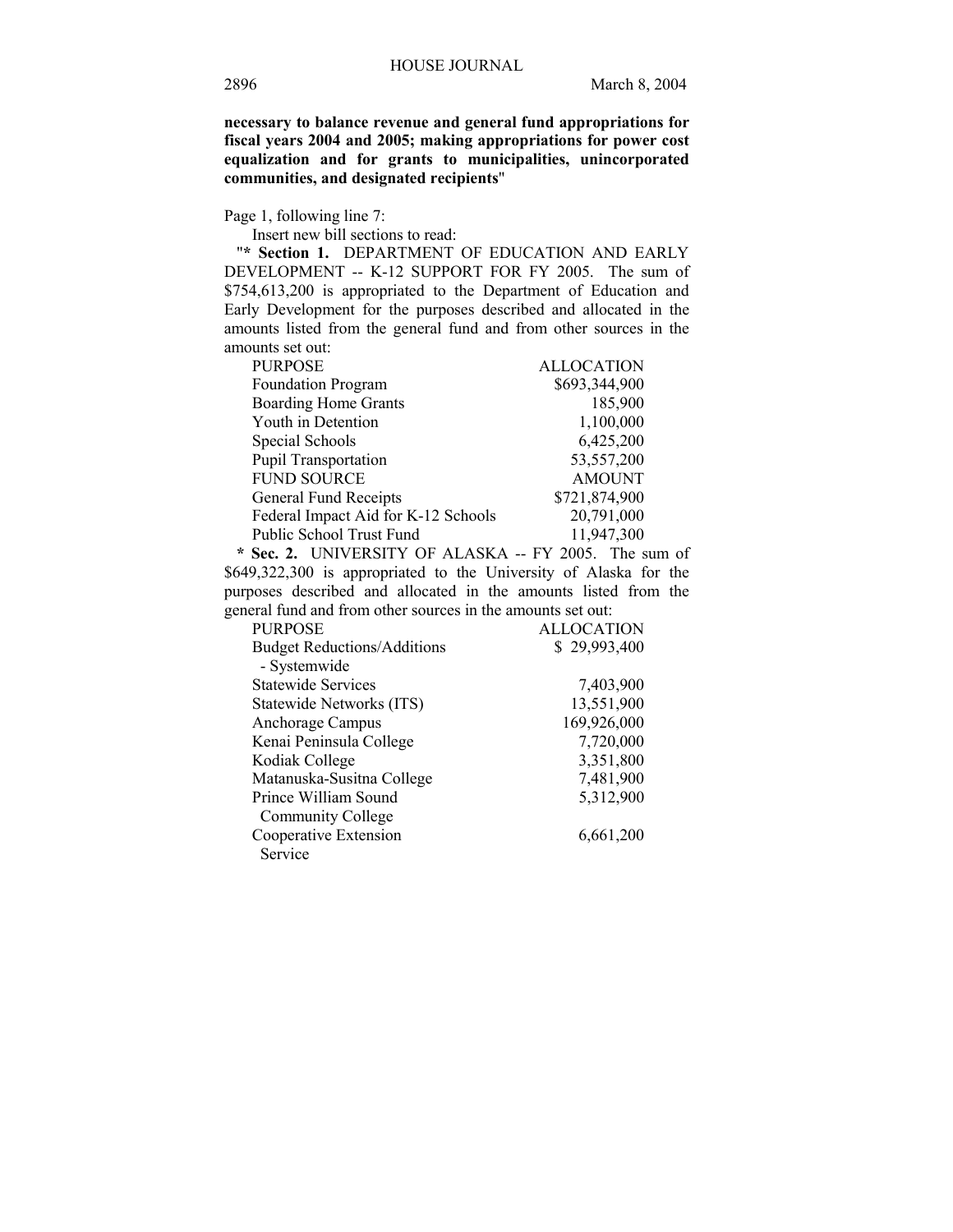**necessary to balance revenue and general fund appropriations for fiscal years 2004 and 2005; making appropriations for power cost equalization and for grants to municipalities, unincorporated communities, and designated recipients**"

Page 1, following line 7:

Insert new bill sections to read:

"**\* Section 1.** DEPARTMENT OF EDUCATION AND EARLY DEVELOPMENT -- K-12 SUPPORT FOR FY 2005. The sum of \$754,613,200 is appropriated to the Department of Education and Early Development for the purposes described and allocated in the amounts listed from the general fund and from other sources in the amounts set out:

| <b>PURPOSE</b>                      | <b>ALLOCATION</b> |
|-------------------------------------|-------------------|
| Foundation Program                  | \$693,344,900     |
| <b>Boarding Home Grants</b>         | 185,900           |
| Youth in Detention                  | 1,100,000         |
| Special Schools                     | 6,425,200         |
| <b>Pupil Transportation</b>         | 53,557,200        |
| <b>FUND SOURCE</b>                  | <b>AMOUNT</b>     |
| General Fund Receipts               | \$721,874,900     |
| Federal Impact Aid for K-12 Schools | 20,791,000        |
| Public School Trust Fund            | 11,947,300        |

 **\* Sec. 2.** UNIVERSITY OF ALASKA -- FY 2005. The sum of \$649,322,300 is appropriated to the University of Alaska for the purposes described and allocated in the amounts listed from the general fund and from other sources in the amounts set out:

| <b>PURPOSE</b>                     | <b>ALLOCATION</b> |
|------------------------------------|-------------------|
| <b>Budget Reductions/Additions</b> | \$29,993,400      |
| - Systemwide                       |                   |
| <b>Statewide Services</b>          | 7,403,900         |
| Statewide Networks (ITS)           | 13,551,900        |
| Anchorage Campus                   | 169,926,000       |
| Kenai Peninsula College            | 7,720,000         |
| Kodiak College                     | 3,351,800         |
| Matanuska-Susitna College          | 7,481,900         |
| Prince William Sound               | 5,312,900         |
| <b>Community College</b>           |                   |
| Cooperative Extension              | 6,661,200         |
| Service                            |                   |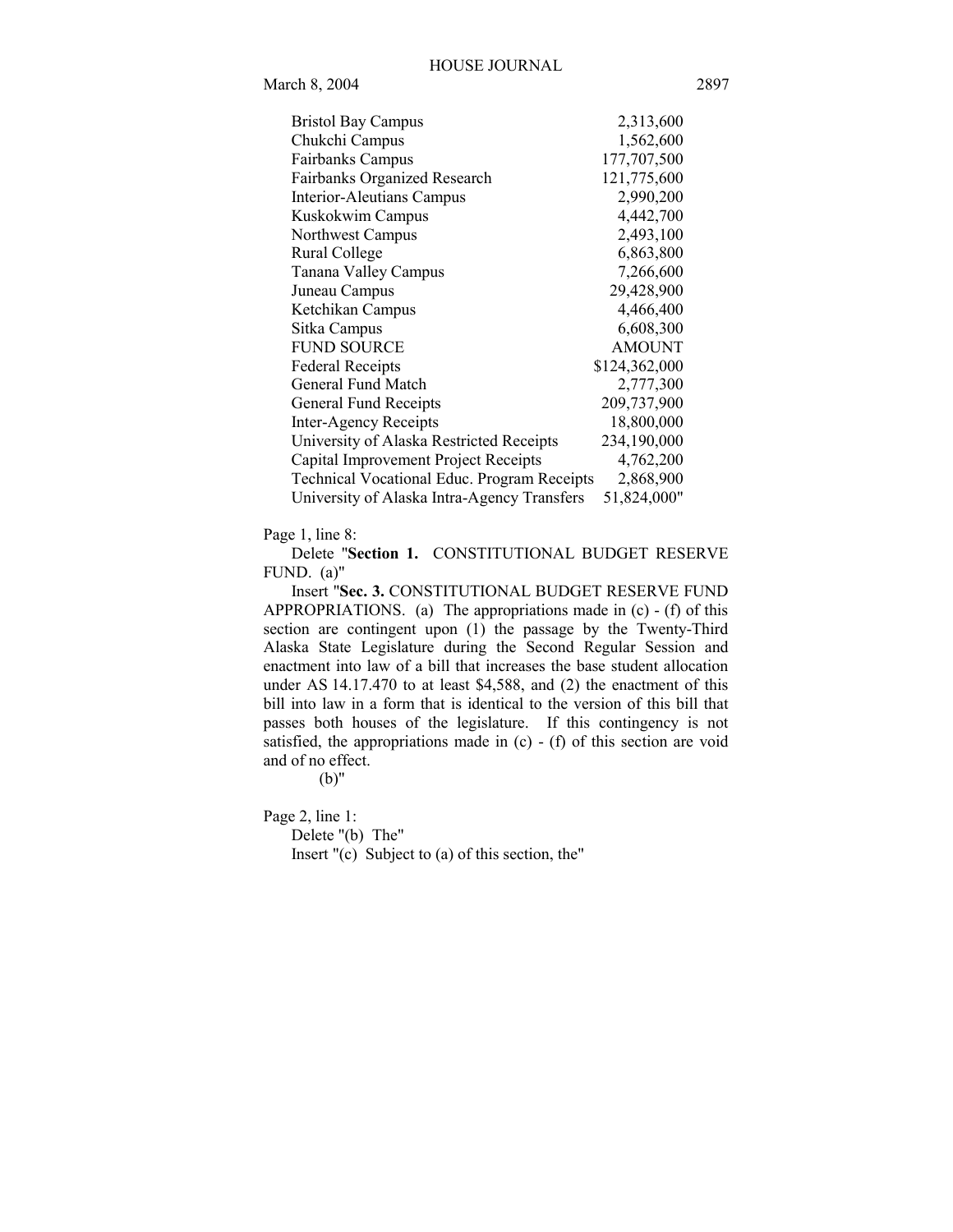| <b>Bristol Bay Campus</b>                          | 2,313,600     |
|----------------------------------------------------|---------------|
| Chukchi Campus                                     | 1,562,600     |
| <b>Fairbanks Campus</b>                            | 177,707,500   |
| Fairbanks Organized Research                       | 121,775,600   |
| Interior-Aleutians Campus                          | 2,990,200     |
| Kuskokwim Campus                                   | 4,442,700     |
| Northwest Campus                                   | 2,493,100     |
| Rural College                                      | 6,863,800     |
| Tanana Valley Campus                               | 7,266,600     |
| Juneau Campus                                      | 29,428,900    |
| Ketchikan Campus                                   | 4,466,400     |
| Sitka Campus                                       | 6,608,300     |
| <b>FUND SOURCE</b>                                 | <b>AMOUNT</b> |
| <b>Federal Receipts</b>                            | \$124,362,000 |
| General Fund Match                                 | 2,777,300     |
| General Fund Receipts                              | 209,737,900   |
| Inter-Agency Receipts                              | 18,800,000    |
| University of Alaska Restricted Receipts           | 234,190,000   |
| Capital Improvement Project Receipts               | 4,762,200     |
| <b>Technical Vocational Educ. Program Receipts</b> | 2,868,900     |
| University of Alaska Intra-Agency Transfers        | 51,824,000"   |

Page 1, line 8:

Delete "**Section 1.** CONSTITUTIONAL BUDGET RESERVE FUND. (a)"

Insert "**Sec. 3.** CONSTITUTIONAL BUDGET RESERVE FUND APPROPRIATIONS. (a) The appropriations made in (c) - (f) of this section are contingent upon (1) the passage by the Twenty-Third Alaska State Legislature during the Second Regular Session and enactment into law of a bill that increases the base student allocation under AS 14.17.470 to at least \$4,588, and (2) the enactment of this bill into law in a form that is identical to the version of this bill that passes both houses of the legislature. If this contingency is not satisfied, the appropriations made in (c) - (f) of this section are void and of no effect.

(b)"

Page 2, line 1:

Delete "(b) The" Insert "(c) Subject to (a) of this section, the"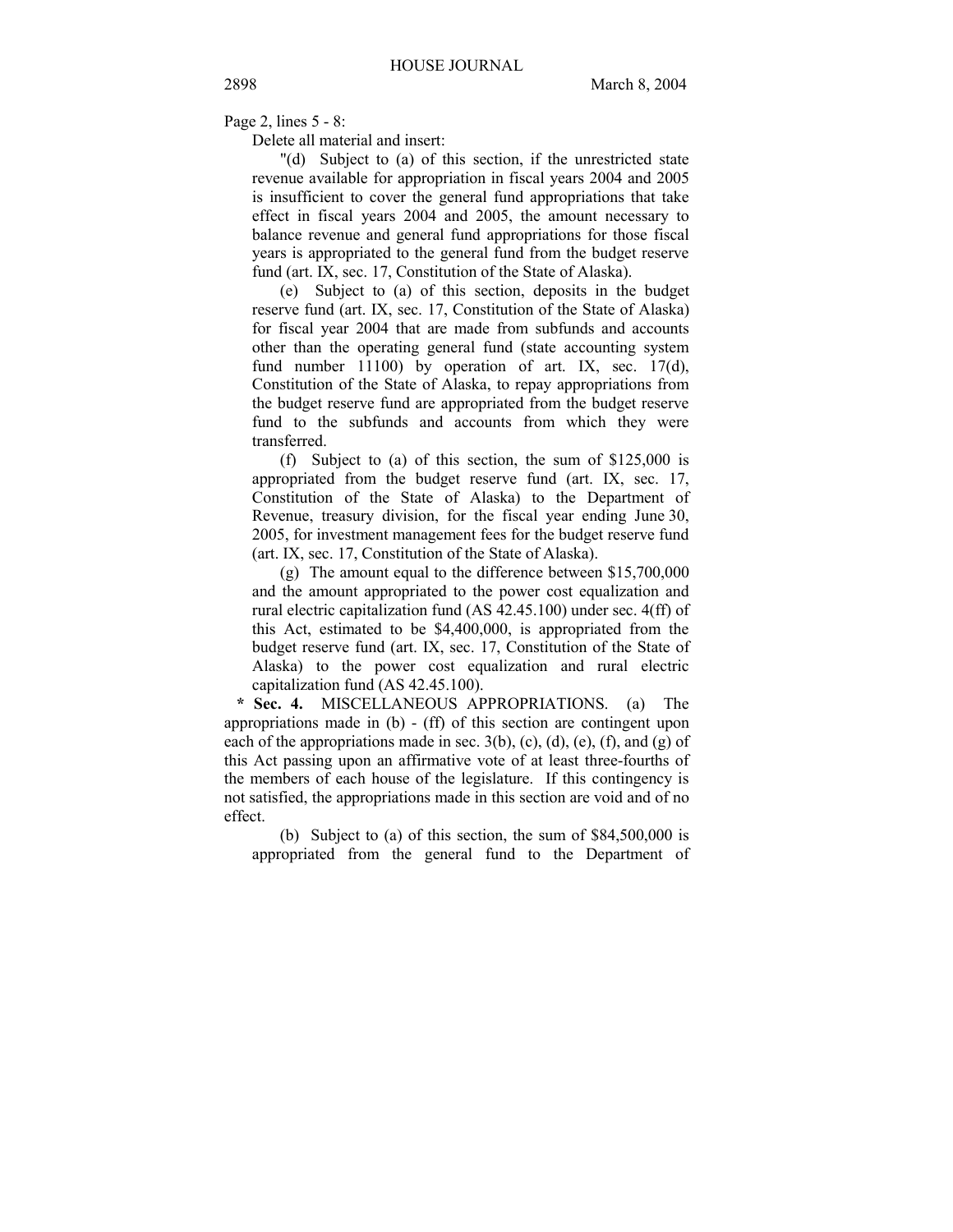Page 2, lines 5 - 8:

Delete all material and insert:

"(d) Subject to (a) of this section, if the unrestricted state revenue available for appropriation in fiscal years 2004 and 2005 is insufficient to cover the general fund appropriations that take effect in fiscal years 2004 and 2005, the amount necessary to balance revenue and general fund appropriations for those fiscal years is appropriated to the general fund from the budget reserve fund (art. IX, sec. 17, Constitution of the State of Alaska).

(e) Subject to (a) of this section, deposits in the budget reserve fund (art. IX, sec. 17, Constitution of the State of Alaska) for fiscal year 2004 that are made from subfunds and accounts other than the operating general fund (state accounting system fund number 11100) by operation of art. IX, sec. 17(d), Constitution of the State of Alaska, to repay appropriations from the budget reserve fund are appropriated from the budget reserve fund to the subfunds and accounts from which they were transferred.

(f) Subject to (a) of this section, the sum of \$125,000 is appropriated from the budget reserve fund (art. IX, sec. 17, Constitution of the State of Alaska) to the Department of Revenue, treasury division, for the fiscal year ending June 30, 2005, for investment management fees for the budget reserve fund (art. IX, sec. 17, Constitution of the State of Alaska).

(g) The amount equal to the difference between \$15,700,000 and the amount appropriated to the power cost equalization and rural electric capitalization fund (AS 42.45.100) under sec. 4(ff) of this Act, estimated to be \$4,400,000, is appropriated from the budget reserve fund (art. IX, sec. 17, Constitution of the State of Alaska) to the power cost equalization and rural electric capitalization fund (AS 42.45.100).

 **\* Sec. 4.** MISCELLANEOUS APPROPRIATIONS. (a) The appropriations made in (b) - (ff) of this section are contingent upon each of the appropriations made in sec.  $3(b)$ , (c), (d), (e), (f), and (g) of this Act passing upon an affirmative vote of at least three-fourths of the members of each house of the legislature. If this contingency is not satisfied, the appropriations made in this section are void and of no effect.

(b) Subject to (a) of this section, the sum of \$84,500,000 is appropriated from the general fund to the Department of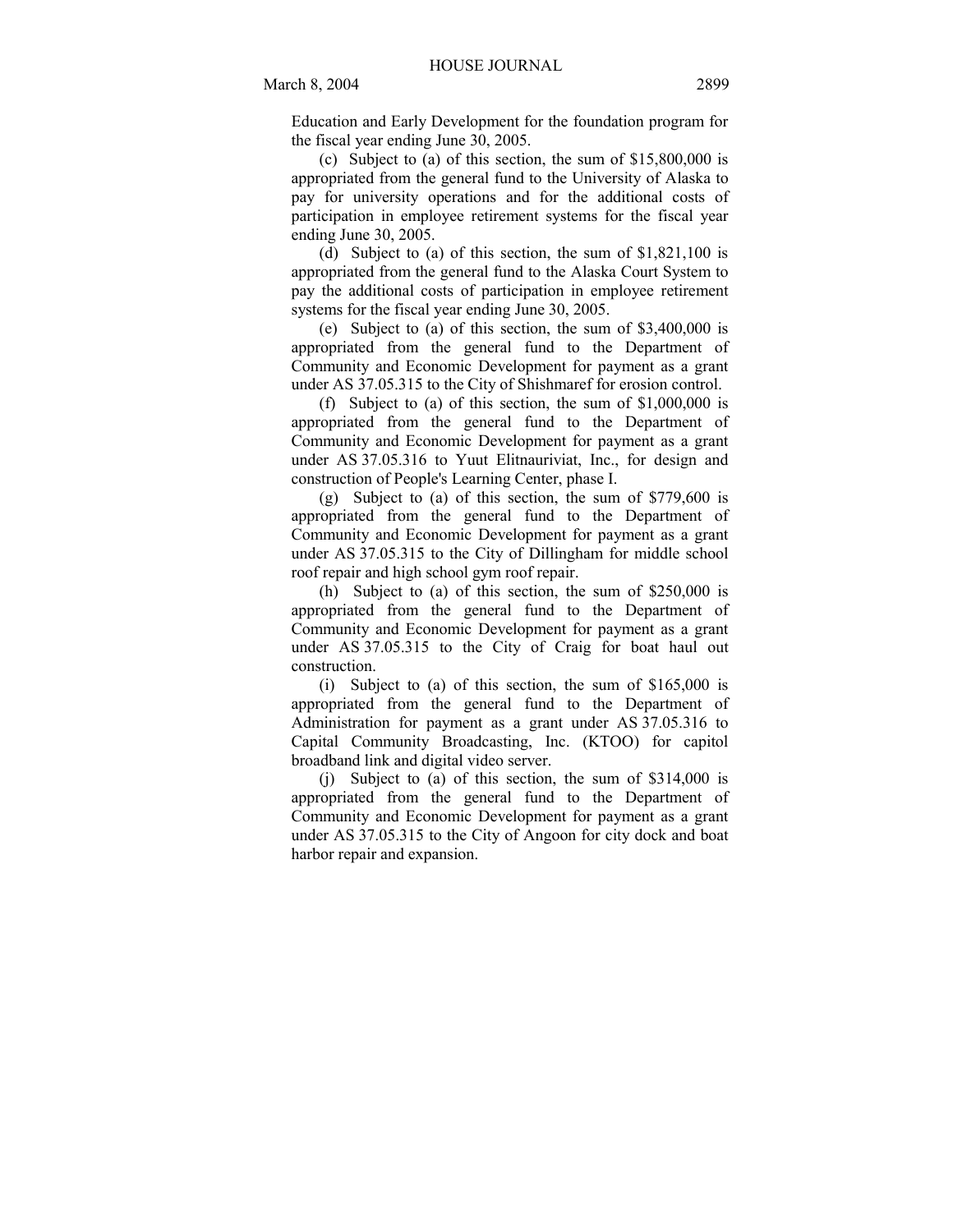Education and Early Development for the foundation program for the fiscal year ending June 30, 2005.

(c) Subject to (a) of this section, the sum of \$15,800,000 is appropriated from the general fund to the University of Alaska to pay for university operations and for the additional costs of participation in employee retirement systems for the fiscal year ending June 30, 2005.

(d) Subject to (a) of this section, the sum of \$1,821,100 is appropriated from the general fund to the Alaska Court System to pay the additional costs of participation in employee retirement systems for the fiscal year ending June 30, 2005.

(e) Subject to (a) of this section, the sum of \$3,400,000 is appropriated from the general fund to the Department of Community and Economic Development for payment as a grant under AS 37.05.315 to the City of Shishmaref for erosion control.

(f) Subject to (a) of this section, the sum of \$1,000,000 is appropriated from the general fund to the Department of Community and Economic Development for payment as a grant under AS 37.05.316 to Yuut Elitnauriviat, Inc., for design and construction of People's Learning Center, phase I.

(g) Subject to (a) of this section, the sum of \$779,600 is appropriated from the general fund to the Department of Community and Economic Development for payment as a grant under AS 37.05.315 to the City of Dillingham for middle school roof repair and high school gym roof repair.

(h) Subject to (a) of this section, the sum of \$250,000 is appropriated from the general fund to the Department of Community and Economic Development for payment as a grant under AS 37.05.315 to the City of Craig for boat haul out construction.

(i) Subject to (a) of this section, the sum of \$165,000 is appropriated from the general fund to the Department of Administration for payment as a grant under AS 37.05.316 to Capital Community Broadcasting, Inc. (KTOO) for capitol broadband link and digital video server.

(j) Subject to (a) of this section, the sum of \$314,000 is appropriated from the general fund to the Department of Community and Economic Development for payment as a grant under AS 37.05.315 to the City of Angoon for city dock and boat harbor repair and expansion.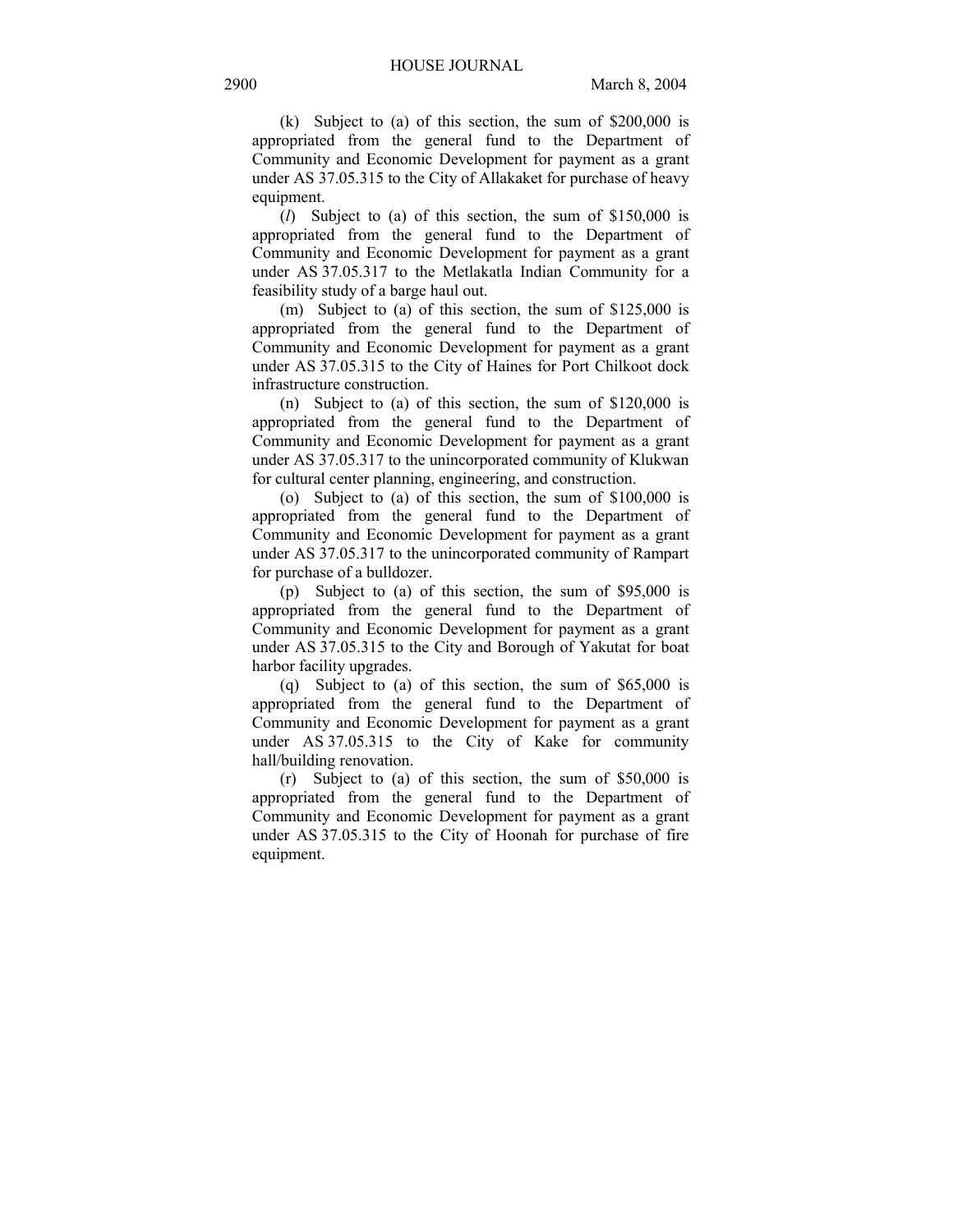(k) Subject to (a) of this section, the sum of \$200,000 is appropriated from the general fund to the Department of Community and Economic Development for payment as a grant under AS 37.05.315 to the City of Allakaket for purchase of heavy equipment.

(*l*) Subject to (a) of this section, the sum of \$150,000 is appropriated from the general fund to the Department of Community and Economic Development for payment as a grant under AS 37.05.317 to the Metlakatla Indian Community for a feasibility study of a barge haul out.

(m) Subject to (a) of this section, the sum of \$125,000 is appropriated from the general fund to the Department of Community and Economic Development for payment as a grant under AS 37.05.315 to the City of Haines for Port Chilkoot dock infrastructure construction.

(n) Subject to (a) of this section, the sum of \$120,000 is appropriated from the general fund to the Department of Community and Economic Development for payment as a grant under AS 37.05.317 to the unincorporated community of Klukwan for cultural center planning, engineering, and construction.

(o) Subject to (a) of this section, the sum of \$100,000 is appropriated from the general fund to the Department of Community and Economic Development for payment as a grant under AS 37.05.317 to the unincorporated community of Rampart for purchase of a bulldozer.

(p) Subject to (a) of this section, the sum of \$95,000 is appropriated from the general fund to the Department of Community and Economic Development for payment as a grant under AS 37.05.315 to the City and Borough of Yakutat for boat harbor facility upgrades.

(q) Subject to (a) of this section, the sum of \$65,000 is appropriated from the general fund to the Department of Community and Economic Development for payment as a grant under AS 37.05.315 to the City of Kake for community hall/building renovation.

(r) Subject to (a) of this section, the sum of \$50,000 is appropriated from the general fund to the Department of Community and Economic Development for payment as a grant under AS 37.05.315 to the City of Hoonah for purchase of fire equipment.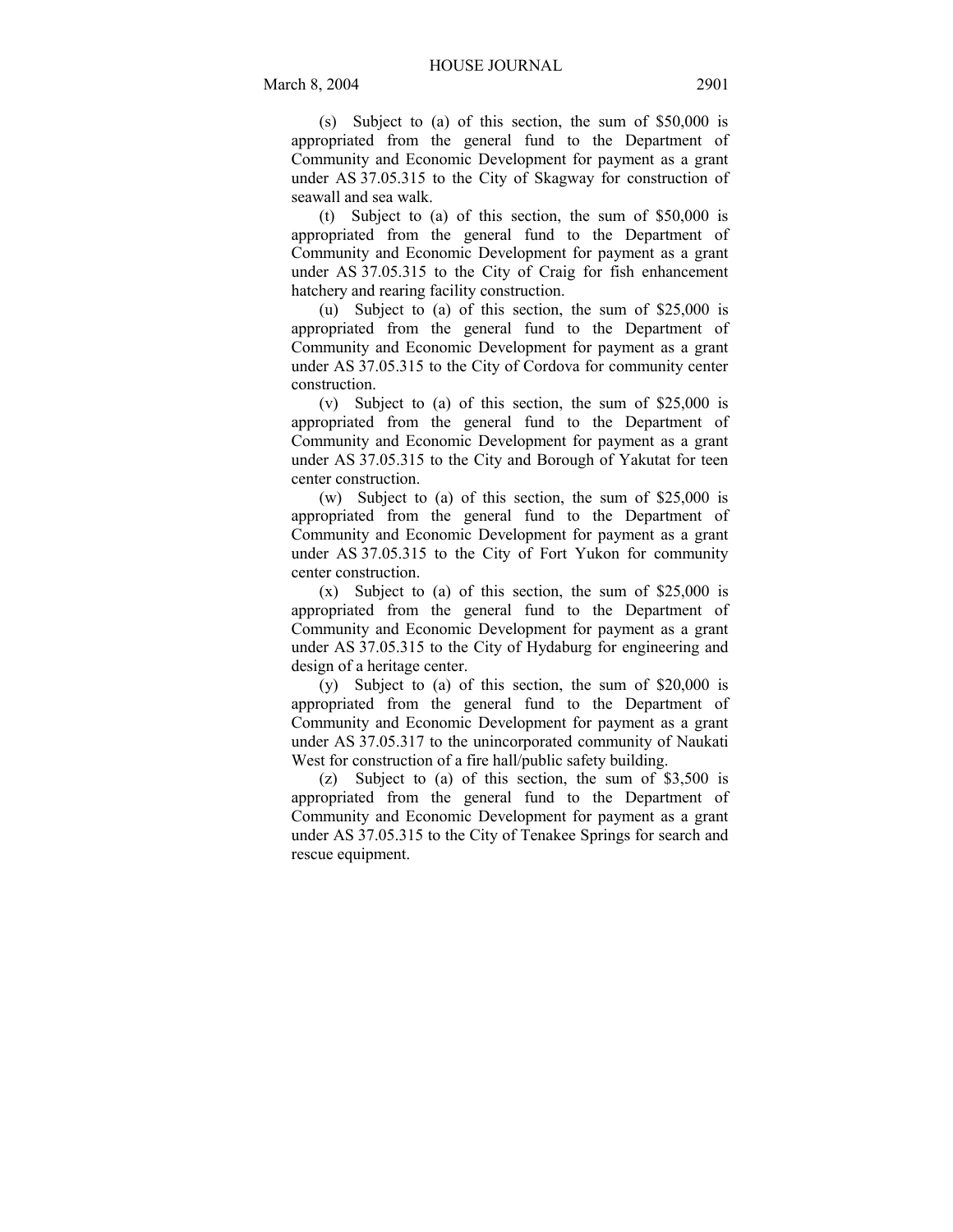(s) Subject to (a) of this section, the sum of \$50,000 is appropriated from the general fund to the Department of Community and Economic Development for payment as a grant under AS 37.05.315 to the City of Skagway for construction of seawall and sea walk.

(t) Subject to (a) of this section, the sum of \$50,000 is appropriated from the general fund to the Department of Community and Economic Development for payment as a grant under AS 37.05.315 to the City of Craig for fish enhancement hatchery and rearing facility construction.

(u) Subject to (a) of this section, the sum of \$25,000 is appropriated from the general fund to the Department of Community and Economic Development for payment as a grant under AS 37.05.315 to the City of Cordova for community center construction.

(v) Subject to (a) of this section, the sum of \$25,000 is appropriated from the general fund to the Department of Community and Economic Development for payment as a grant under AS 37.05.315 to the City and Borough of Yakutat for teen center construction.

(w) Subject to (a) of this section, the sum of \$25,000 is appropriated from the general fund to the Department of Community and Economic Development for payment as a grant under AS 37.05.315 to the City of Fort Yukon for community center construction.

(x) Subject to (a) of this section, the sum of \$25,000 is appropriated from the general fund to the Department of Community and Economic Development for payment as a grant under AS 37.05.315 to the City of Hydaburg for engineering and design of a heritage center.

(y) Subject to (a) of this section, the sum of \$20,000 is appropriated from the general fund to the Department of Community and Economic Development for payment as a grant under AS 37.05.317 to the unincorporated community of Naukati West for construction of a fire hall/public safety building.

(z) Subject to (a) of this section, the sum of \$3,500 is appropriated from the general fund to the Department of Community and Economic Development for payment as a grant under AS 37.05.315 to the City of Tenakee Springs for search and rescue equipment.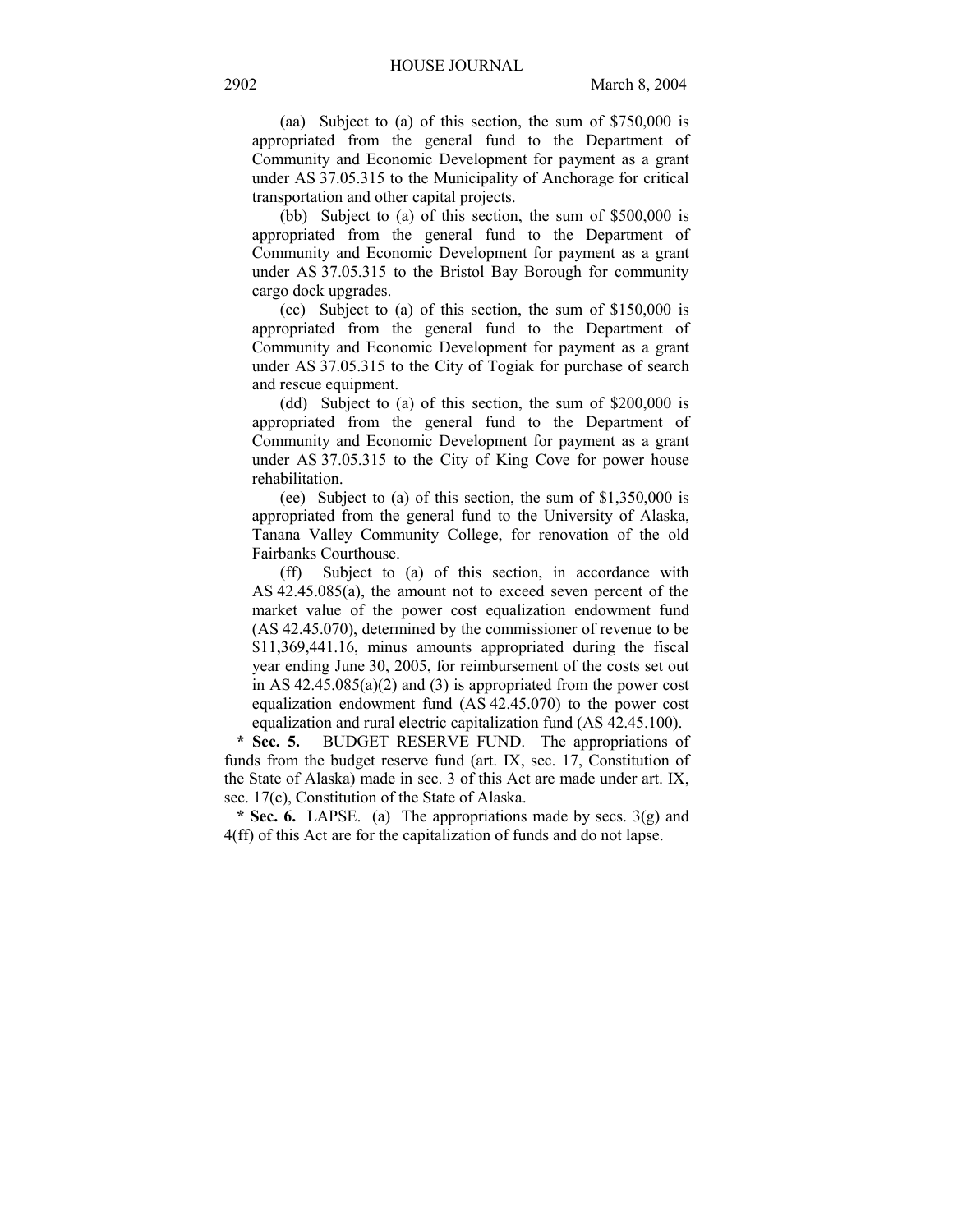(aa) Subject to (a) of this section, the sum of \$750,000 is appropriated from the general fund to the Department of Community and Economic Development for payment as a grant under AS 37.05.315 to the Municipality of Anchorage for critical transportation and other capital projects.

(bb) Subject to (a) of this section, the sum of \$500,000 is appropriated from the general fund to the Department of Community and Economic Development for payment as a grant under AS 37.05.315 to the Bristol Bay Borough for community cargo dock upgrades.

(cc) Subject to (a) of this section, the sum of \$150,000 is appropriated from the general fund to the Department of Community and Economic Development for payment as a grant under AS 37.05.315 to the City of Togiak for purchase of search and rescue equipment.

(dd) Subject to (a) of this section, the sum of \$200,000 is appropriated from the general fund to the Department of Community and Economic Development for payment as a grant under AS 37.05.315 to the City of King Cove for power house rehabilitation.

(ee) Subject to (a) of this section, the sum of \$1,350,000 is appropriated from the general fund to the University of Alaska, Tanana Valley Community College, for renovation of the old Fairbanks Courthouse.

(ff) Subject to (a) of this section, in accordance with AS 42.45.085(a), the amount not to exceed seven percent of the market value of the power cost equalization endowment fund (AS 42.45.070), determined by the commissioner of revenue to be \$11,369,441.16, minus amounts appropriated during the fiscal year ending June 30, 2005, for reimbursement of the costs set out in AS  $42.45.085(a)(2)$  and (3) is appropriated from the power cost equalization endowment fund (AS 42.45.070) to the power cost equalization and rural electric capitalization fund (AS 42.45.100).

 **\* Sec. 5.** BUDGET RESERVE FUND. The appropriations of funds from the budget reserve fund (art. IX, sec. 17, Constitution of the State of Alaska) made in sec. 3 of this Act are made under art. IX, sec. 17(c), Constitution of the State of Alaska.

 **\* Sec. 6.** LAPSE. (a) The appropriations made by secs. 3(g) and 4(ff) of this Act are for the capitalization of funds and do not lapse.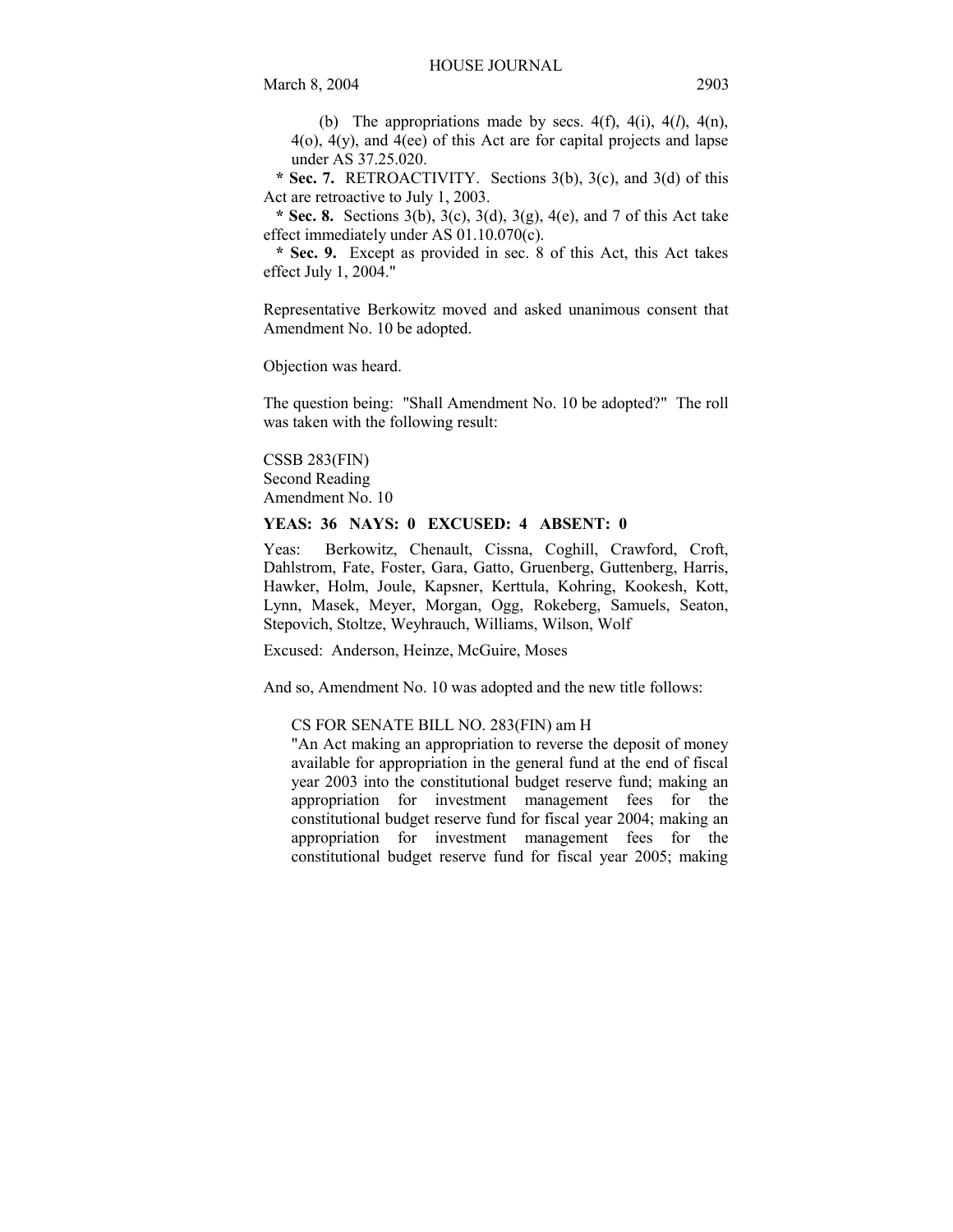(b) The appropriations made by secs.  $4(f)$ ,  $4(i)$ ,  $4(l)$ ,  $4(n)$ , 4(o), 4(y), and 4(ee) of this Act are for capital projects and lapse under AS 37.25.020.

 **\* Sec. 7.** RETROACTIVITY. Sections 3(b), 3(c), and 3(d) of this Act are retroactive to July 1, 2003.

 **\* Sec. 8.** Sections 3(b), 3(c), 3(d), 3(g), 4(e), and 7 of this Act take effect immediately under AS 01.10.070(c).

 **\* Sec. 9.** Except as provided in sec. 8 of this Act, this Act takes effect July 1, 2004."

Representative Berkowitz moved and asked unanimous consent that Amendment No. 10 be adopted.

Objection was heard.

The question being: "Shall Amendment No. 10 be adopted?" The roll was taken with the following result:

CSSB 283(FIN) Second Reading Amendment No. 10

# **YEAS: 36 NAYS: 0 EXCUSED: 4 ABSENT: 0**

Yeas: Berkowitz, Chenault, Cissna, Coghill, Crawford, Croft, Dahlstrom, Fate, Foster, Gara, Gatto, Gruenberg, Guttenberg, Harris, Hawker, Holm, Joule, Kapsner, Kerttula, Kohring, Kookesh, Kott, Lynn, Masek, Meyer, Morgan, Ogg, Rokeberg, Samuels, Seaton, Stepovich, Stoltze, Weyhrauch, Williams, Wilson, Wolf

Excused: Anderson, Heinze, McGuire, Moses

And so, Amendment No. 10 was adopted and the new title follows:

#### CS FOR SENATE BILL NO. 283(FIN) am H

"An Act making an appropriation to reverse the deposit of money available for appropriation in the general fund at the end of fiscal year 2003 into the constitutional budget reserve fund; making an appropriation for investment management fees for the constitutional budget reserve fund for fiscal year 2004; making an appropriation for investment management fees for the constitutional budget reserve fund for fiscal year 2005; making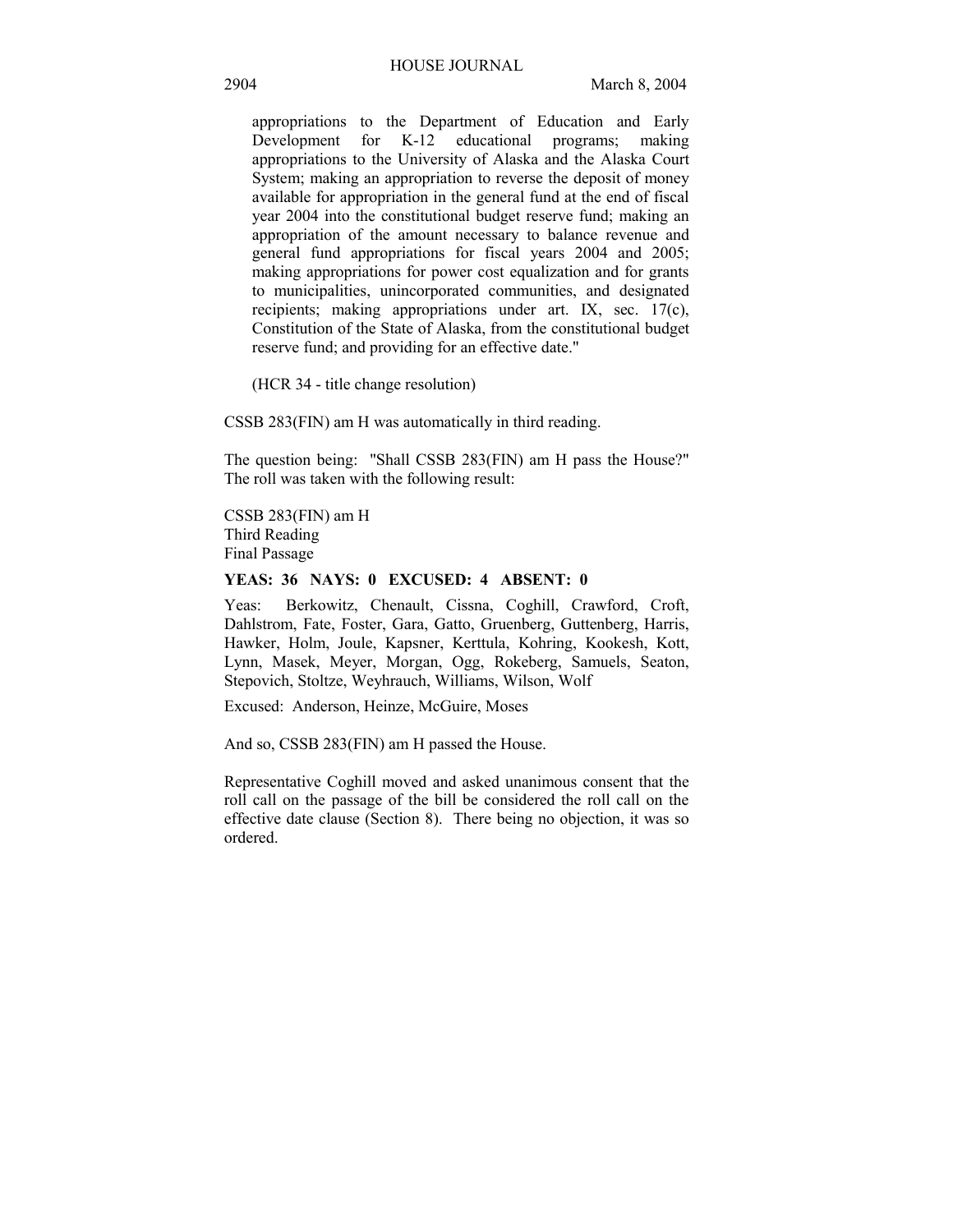appropriations to the Department of Education and Early Development for K-12 educational programs; making appropriations to the University of Alaska and the Alaska Court System; making an appropriation to reverse the deposit of money available for appropriation in the general fund at the end of fiscal year 2004 into the constitutional budget reserve fund; making an appropriation of the amount necessary to balance revenue and general fund appropriations for fiscal years 2004 and 2005; making appropriations for power cost equalization and for grants to municipalities, unincorporated communities, and designated recipients; making appropriations under art. IX, sec. 17(c), Constitution of the State of Alaska, from the constitutional budget reserve fund; and providing for an effective date."

(HCR 34 - title change resolution)

CSSB 283(FIN) am H was automatically in third reading.

The question being: "Shall CSSB 283(FIN) am H pass the House?" The roll was taken with the following result:

CSSB 283(FIN) am H Third Reading Final Passage

### **YEAS: 36 NAYS: 0 EXCUSED: 4 ABSENT: 0**

Yeas: Berkowitz, Chenault, Cissna, Coghill, Crawford, Croft, Dahlstrom, Fate, Foster, Gara, Gatto, Gruenberg, Guttenberg, Harris, Hawker, Holm, Joule, Kapsner, Kerttula, Kohring, Kookesh, Kott, Lynn, Masek, Meyer, Morgan, Ogg, Rokeberg, Samuels, Seaton, Stepovich, Stoltze, Weyhrauch, Williams, Wilson, Wolf

Excused: Anderson, Heinze, McGuire, Moses

And so, CSSB 283(FIN) am H passed the House.

Representative Coghill moved and asked unanimous consent that the roll call on the passage of the bill be considered the roll call on the effective date clause (Section 8). There being no objection, it was so ordered.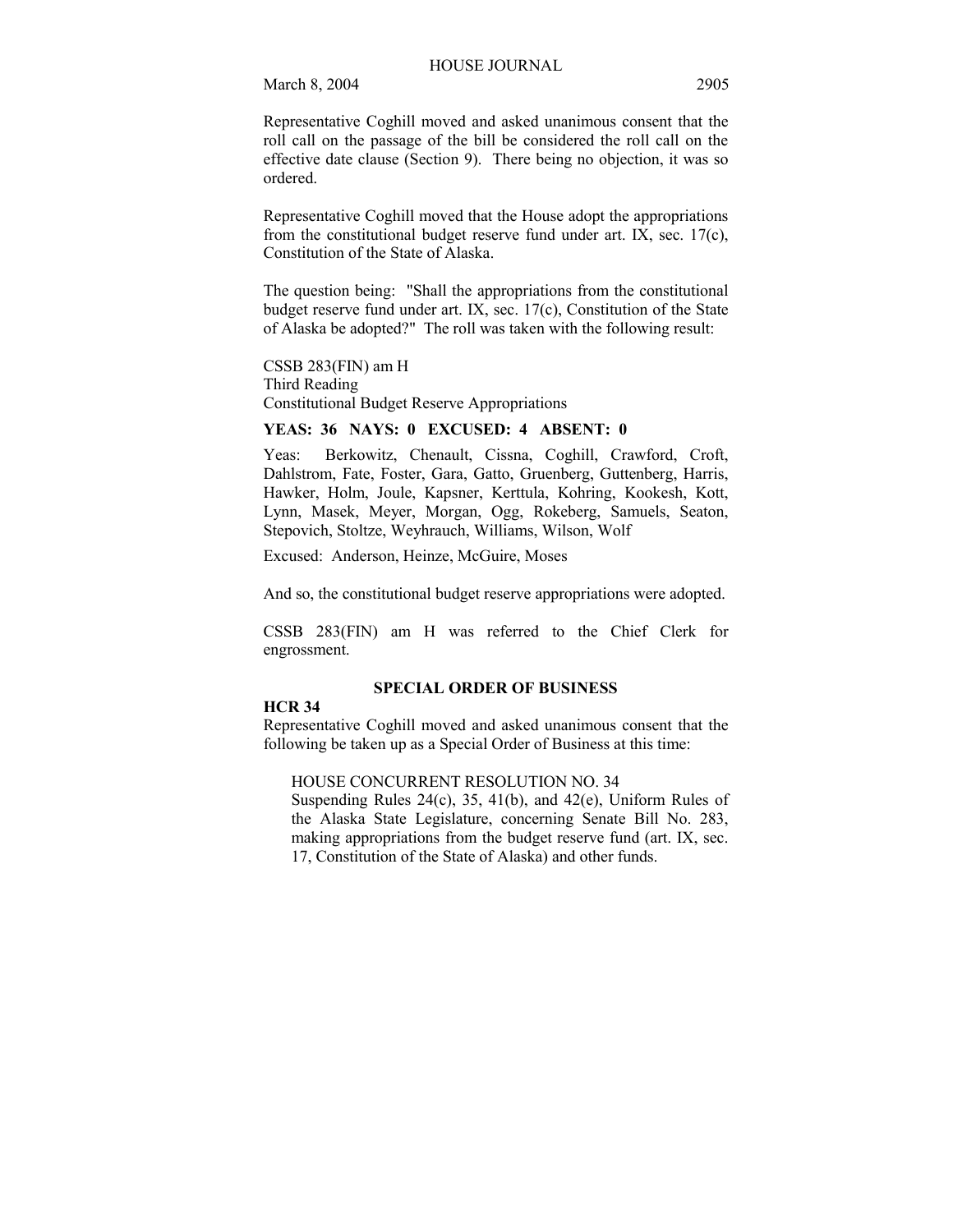Representative Coghill moved and asked unanimous consent that the roll call on the passage of the bill be considered the roll call on the effective date clause (Section 9). There being no objection, it was so ordered.

Representative Coghill moved that the House adopt the appropriations from the constitutional budget reserve fund under art. IX, sec. 17(c), Constitution of the State of Alaska.

The question being: "Shall the appropriations from the constitutional budget reserve fund under art. IX, sec. 17(c), Constitution of the State of Alaska be adopted?" The roll was taken with the following result:

CSSB 283(FIN) am H Third Reading Constitutional Budget Reserve Appropriations

# **YEAS: 36 NAYS: 0 EXCUSED: 4 ABSENT: 0**

Yeas: Berkowitz, Chenault, Cissna, Coghill, Crawford, Croft, Dahlstrom, Fate, Foster, Gara, Gatto, Gruenberg, Guttenberg, Harris, Hawker, Holm, Joule, Kapsner, Kerttula, Kohring, Kookesh, Kott, Lynn, Masek, Meyer, Morgan, Ogg, Rokeberg, Samuels, Seaton, Stepovich, Stoltze, Weyhrauch, Williams, Wilson, Wolf

Excused: Anderson, Heinze, McGuire, Moses

And so, the constitutional budget reserve appropriations were adopted.

CSSB 283(FIN) am H was referred to the Chief Clerk for engrossment.

## **SPECIAL ORDER OF BUSINESS**

## **HCR 34**

Representative Coghill moved and asked unanimous consent that the following be taken up as a Special Order of Business at this time:

# HOUSE CONCURRENT RESOLUTION NO. 34

Suspending Rules 24(c), 35, 41(b), and 42(e), Uniform Rules of the Alaska State Legislature, concerning Senate Bill No. 283, making appropriations from the budget reserve fund (art. IX, sec. 17, Constitution of the State of Alaska) and other funds.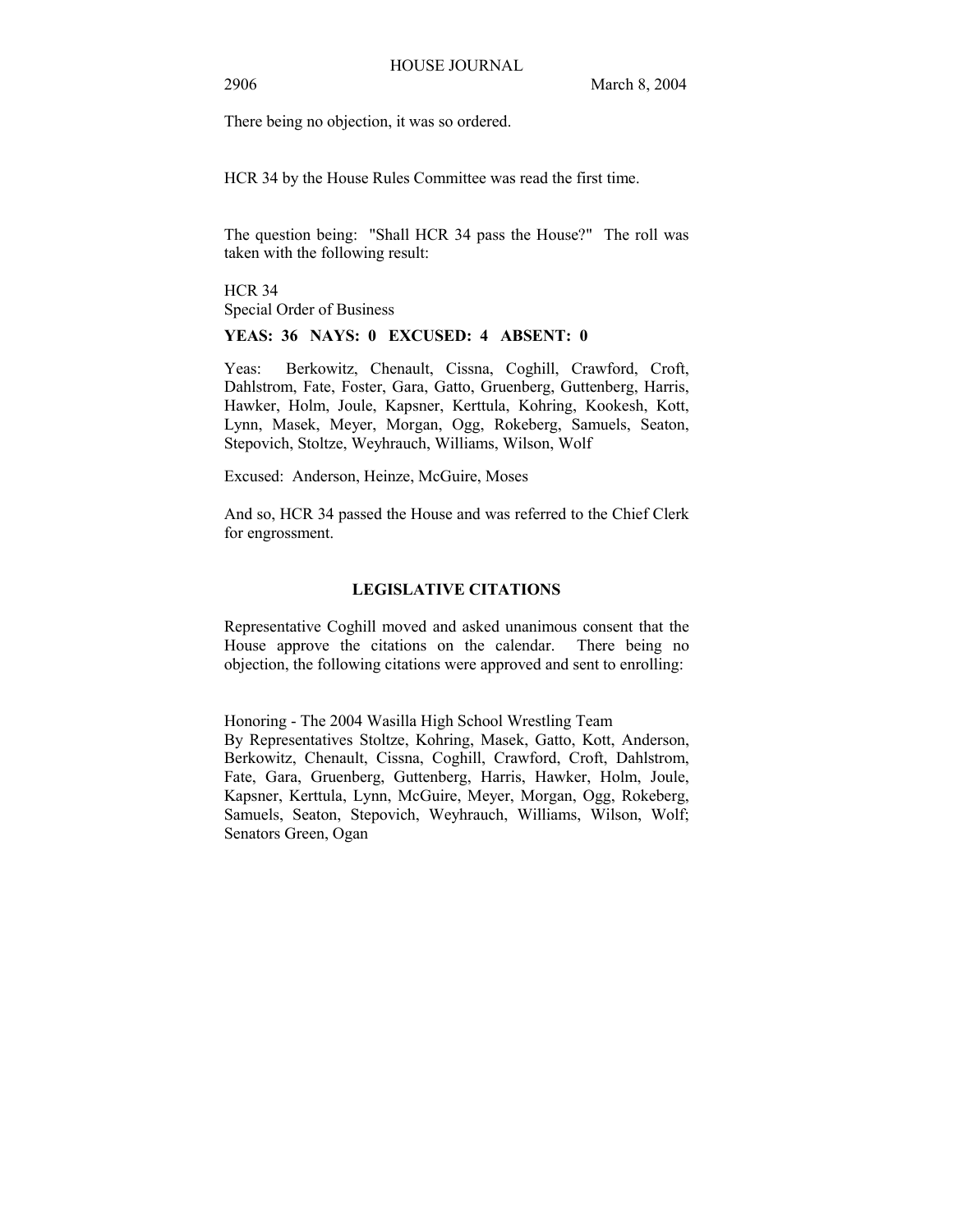There being no objection, it was so ordered.

HCR 34 by the House Rules Committee was read the first time.

The question being: "Shall HCR 34 pass the House?" The roll was taken with the following result:

HCR 34 Special Order of Business

**YEAS: 36 NAYS: 0 EXCUSED: 4 ABSENT: 0** 

Yeas: Berkowitz, Chenault, Cissna, Coghill, Crawford, Croft, Dahlstrom, Fate, Foster, Gara, Gatto, Gruenberg, Guttenberg, Harris, Hawker, Holm, Joule, Kapsner, Kerttula, Kohring, Kookesh, Kott, Lynn, Masek, Meyer, Morgan, Ogg, Rokeberg, Samuels, Seaton, Stepovich, Stoltze, Weyhrauch, Williams, Wilson, Wolf

Excused: Anderson, Heinze, McGuire, Moses

And so, HCR 34 passed the House and was referred to the Chief Clerk for engrossment.

# **LEGISLATIVE CITATIONS**

Representative Coghill moved and asked unanimous consent that the House approve the citations on the calendar. There being no objection, the following citations were approved and sent to enrolling:

Honoring - The 2004 Wasilla High School Wrestling Team By Representatives Stoltze, Kohring, Masek, Gatto, Kott, Anderson, Berkowitz, Chenault, Cissna, Coghill, Crawford, Croft, Dahlstrom, Fate, Gara, Gruenberg, Guttenberg, Harris, Hawker, Holm, Joule, Kapsner, Kerttula, Lynn, McGuire, Meyer, Morgan, Ogg, Rokeberg, Samuels, Seaton, Stepovich, Weyhrauch, Williams, Wilson, Wolf; Senators Green, Ogan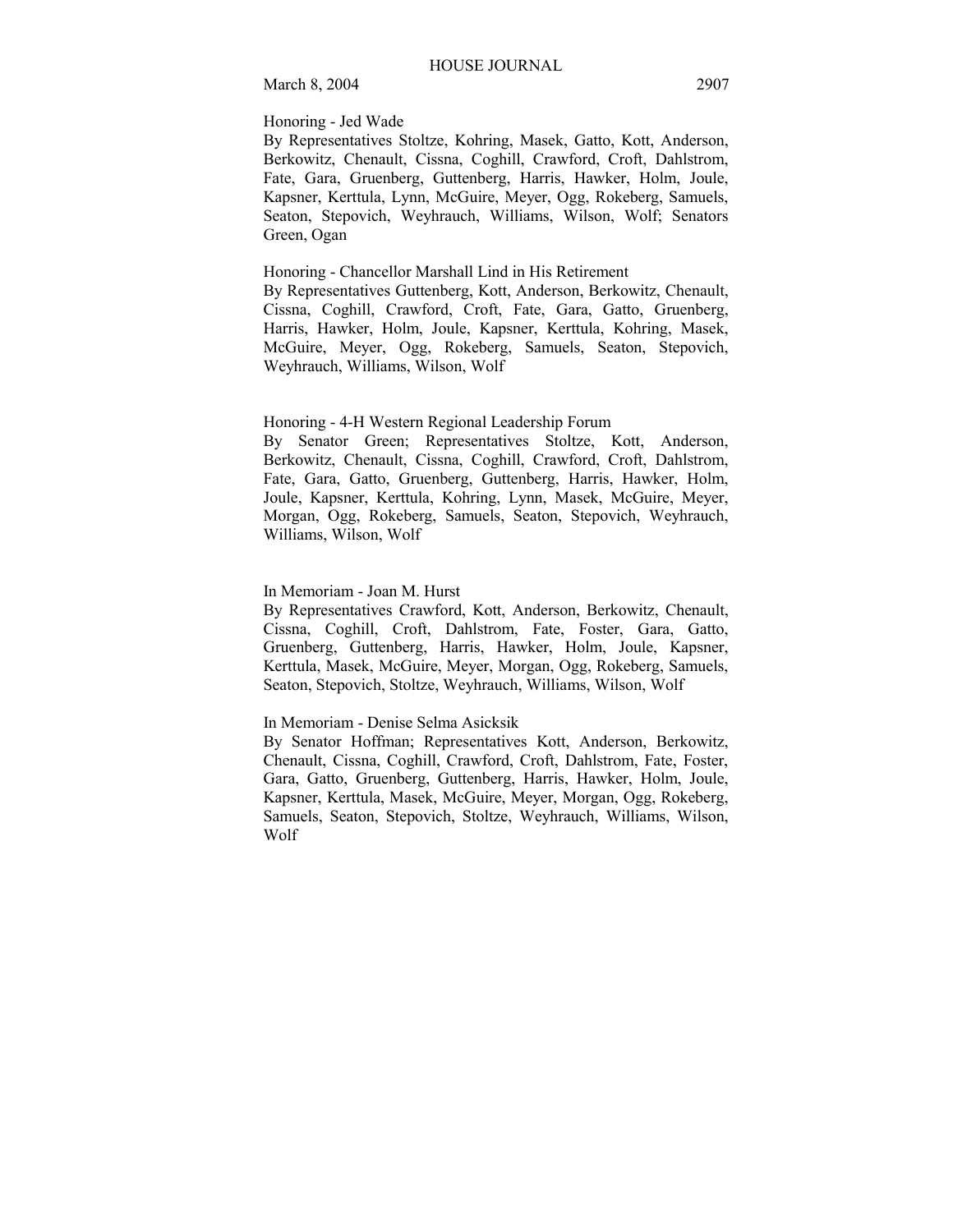## Honoring - Jed Wade

By Representatives Stoltze, Kohring, Masek, Gatto, Kott, Anderson, Berkowitz, Chenault, Cissna, Coghill, Crawford, Croft, Dahlstrom, Fate, Gara, Gruenberg, Guttenberg, Harris, Hawker, Holm, Joule, Kapsner, Kerttula, Lynn, McGuire, Meyer, Ogg, Rokeberg, Samuels, Seaton, Stepovich, Weyhrauch, Williams, Wilson, Wolf; Senators Green, Ogan

## Honoring - Chancellor Marshall Lind in His Retirement

By Representatives Guttenberg, Kott, Anderson, Berkowitz, Chenault, Cissna, Coghill, Crawford, Croft, Fate, Gara, Gatto, Gruenberg, Harris, Hawker, Holm, Joule, Kapsner, Kerttula, Kohring, Masek, McGuire, Meyer, Ogg, Rokeberg, Samuels, Seaton, Stepovich, Weyhrauch, Williams, Wilson, Wolf

## Honoring - 4-H Western Regional Leadership Forum

By Senator Green; Representatives Stoltze, Kott, Anderson, Berkowitz, Chenault, Cissna, Coghill, Crawford, Croft, Dahlstrom, Fate, Gara, Gatto, Gruenberg, Guttenberg, Harris, Hawker, Holm, Joule, Kapsner, Kerttula, Kohring, Lynn, Masek, McGuire, Meyer, Morgan, Ogg, Rokeberg, Samuels, Seaton, Stepovich, Weyhrauch, Williams, Wilson, Wolf

# In Memoriam - Joan M. Hurst

By Representatives Crawford, Kott, Anderson, Berkowitz, Chenault, Cissna, Coghill, Croft, Dahlstrom, Fate, Foster, Gara, Gatto, Gruenberg, Guttenberg, Harris, Hawker, Holm, Joule, Kapsner, Kerttula, Masek, McGuire, Meyer, Morgan, Ogg, Rokeberg, Samuels, Seaton, Stepovich, Stoltze, Weyhrauch, Williams, Wilson, Wolf

# In Memoriam - Denise Selma Asicksik

By Senator Hoffman; Representatives Kott, Anderson, Berkowitz, Chenault, Cissna, Coghill, Crawford, Croft, Dahlstrom, Fate, Foster, Gara, Gatto, Gruenberg, Guttenberg, Harris, Hawker, Holm, Joule, Kapsner, Kerttula, Masek, McGuire, Meyer, Morgan, Ogg, Rokeberg, Samuels, Seaton, Stepovich, Stoltze, Weyhrauch, Williams, Wilson, Wolf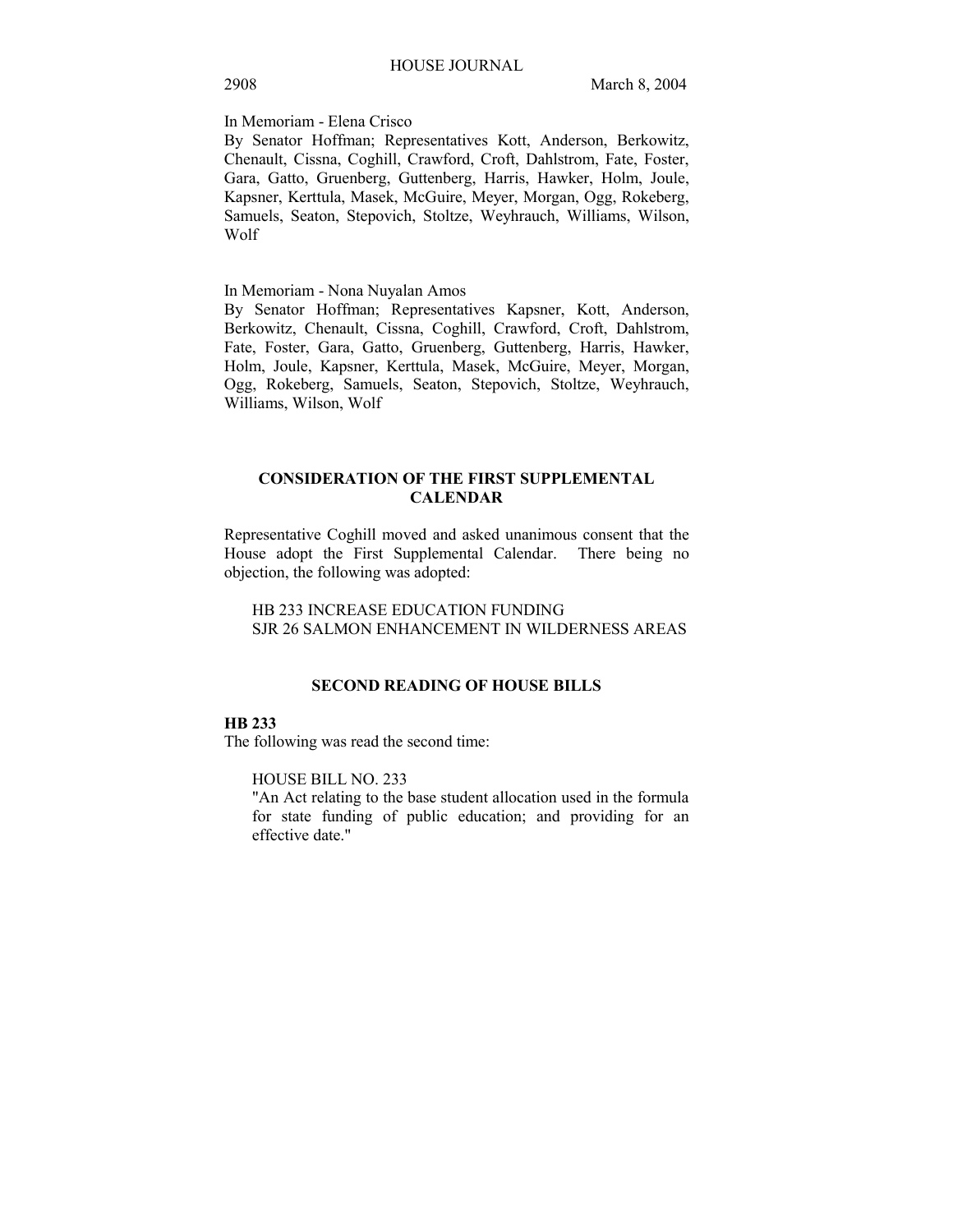In Memoriam - Elena Crisco

By Senator Hoffman; Representatives Kott, Anderson, Berkowitz, Chenault, Cissna, Coghill, Crawford, Croft, Dahlstrom, Fate, Foster, Gara, Gatto, Gruenberg, Guttenberg, Harris, Hawker, Holm, Joule, Kapsner, Kerttula, Masek, McGuire, Meyer, Morgan, Ogg, Rokeberg, Samuels, Seaton, Stepovich, Stoltze, Weyhrauch, Williams, Wilson, Wolf

In Memoriam - Nona Nuyalan Amos

By Senator Hoffman; Representatives Kapsner, Kott, Anderson, Berkowitz, Chenault, Cissna, Coghill, Crawford, Croft, Dahlstrom, Fate, Foster, Gara, Gatto, Gruenberg, Guttenberg, Harris, Hawker, Holm, Joule, Kapsner, Kerttula, Masek, McGuire, Meyer, Morgan, Ogg, Rokeberg, Samuels, Seaton, Stepovich, Stoltze, Weyhrauch, Williams, Wilson, Wolf

# **CONSIDERATION OF THE FIRST SUPPLEMENTAL CALENDAR**

Representative Coghill moved and asked unanimous consent that the House adopt the First Supplemental Calendar. There being no objection, the following was adopted:

HB 233 INCREASE EDUCATION FUNDING SJR 26 SALMON ENHANCEMENT IN WILDERNESS AREAS

# **SECOND READING OF HOUSE BILLS**

## **HB 233**

The following was read the second time:

HOUSE BILL NO. 233

"An Act relating to the base student allocation used in the formula for state funding of public education; and providing for an effective date."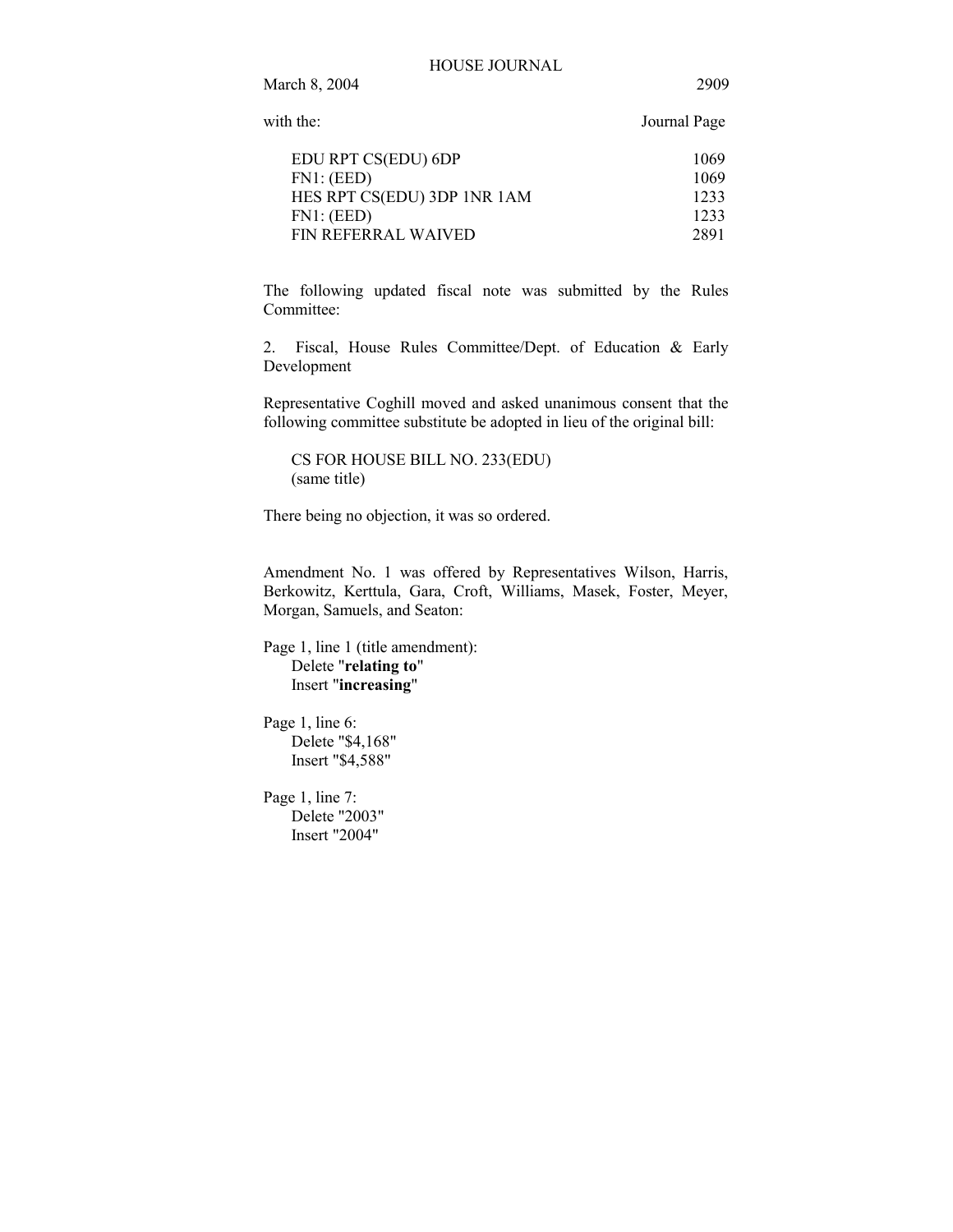| with the:                   | Journal Page |
|-----------------------------|--------------|
| EDU RPT CS(EDU) 6DP         | 1069         |
| FN1: (EED)                  | 1069         |
| HES RPT CS(EDU) 3DP 1NR 1AM | 1233         |
| FN1: (EED)                  | 1233         |
| FIN REFERRAL WAIVED         | 2891         |

The following updated fiscal note was submitted by the Rules Committee:

2. Fiscal, House Rules Committee/Dept. of Education & Early Development

Representative Coghill moved and asked unanimous consent that the following committee substitute be adopted in lieu of the original bill:

CS FOR HOUSE BILL NO. 233(EDU) (same title)

There being no objection, it was so ordered.

Amendment No. 1 was offered by Representatives Wilson, Harris, Berkowitz, Kerttula, Gara, Croft, Williams, Masek, Foster, Meyer, Morgan, Samuels, and Seaton:

Page 1, line 1 (title amendment): Delete "**relating to**" Insert "**increasing**"

Page 1, line 6: Delete "\$4,168" Insert "\$4,588"

Page 1, line 7: Delete "2003" Insert "2004"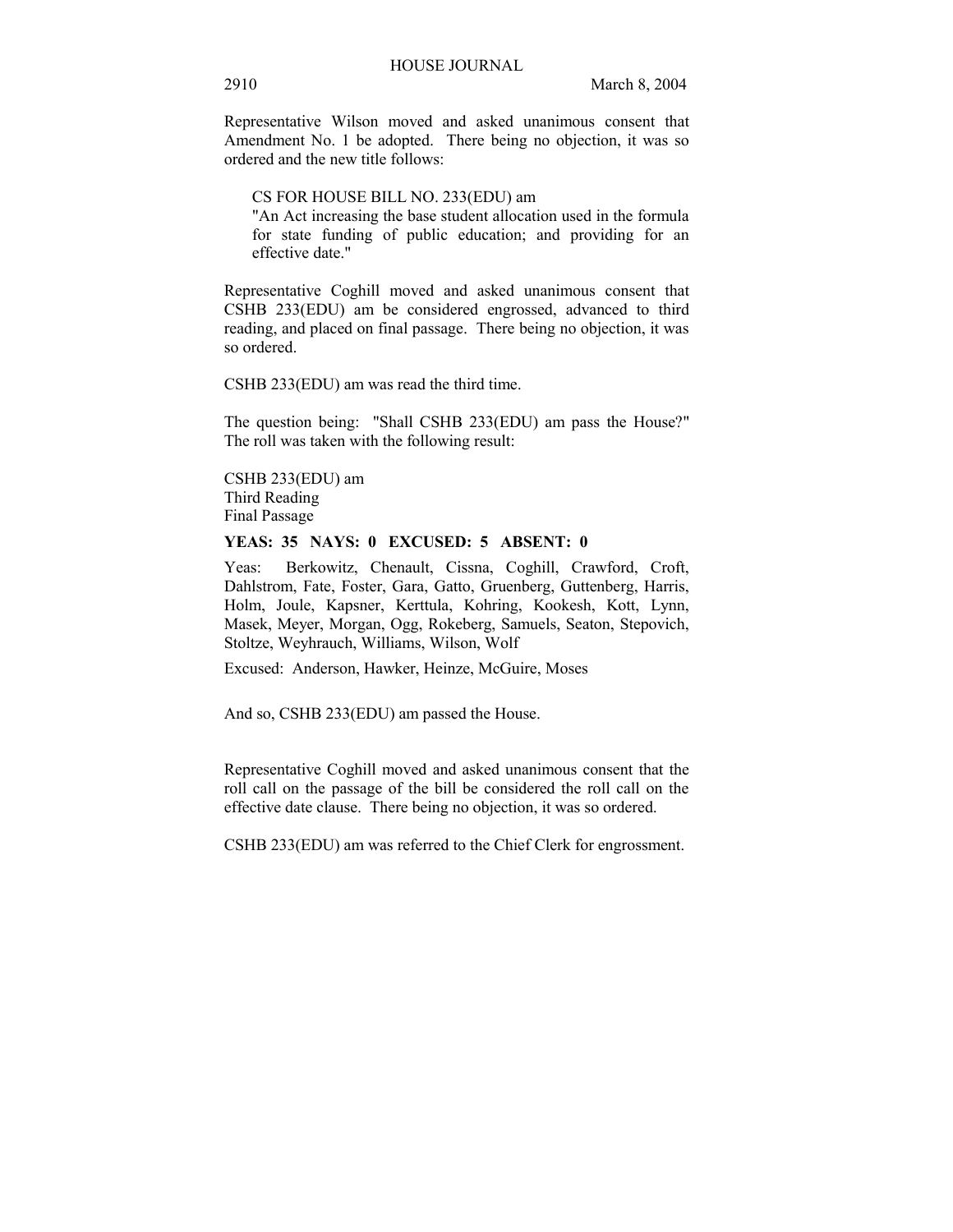Representative Wilson moved and asked unanimous consent that Amendment No. 1 be adopted. There being no objection, it was so ordered and the new title follows:

CS FOR HOUSE BILL NO. 233(EDU) am

"An Act increasing the base student allocation used in the formula for state funding of public education; and providing for an effective date."

Representative Coghill moved and asked unanimous consent that CSHB 233(EDU) am be considered engrossed, advanced to third reading, and placed on final passage. There being no objection, it was so ordered.

CSHB 233(EDU) am was read the third time.

The question being: "Shall CSHB 233(EDU) am pass the House?" The roll was taken with the following result:

CSHB 233(EDU) am Third Reading Final Passage

# **YEAS: 35 NAYS: 0 EXCUSED: 5 ABSENT: 0**

Yeas: Berkowitz, Chenault, Cissna, Coghill, Crawford, Croft, Dahlstrom, Fate, Foster, Gara, Gatto, Gruenberg, Guttenberg, Harris, Holm, Joule, Kapsner, Kerttula, Kohring, Kookesh, Kott, Lynn, Masek, Meyer, Morgan, Ogg, Rokeberg, Samuels, Seaton, Stepovich, Stoltze, Weyhrauch, Williams, Wilson, Wolf

Excused: Anderson, Hawker, Heinze, McGuire, Moses

And so, CSHB 233(EDU) am passed the House.

Representative Coghill moved and asked unanimous consent that the roll call on the passage of the bill be considered the roll call on the effective date clause. There being no objection, it was so ordered.

CSHB 233(EDU) am was referred to the Chief Clerk for engrossment.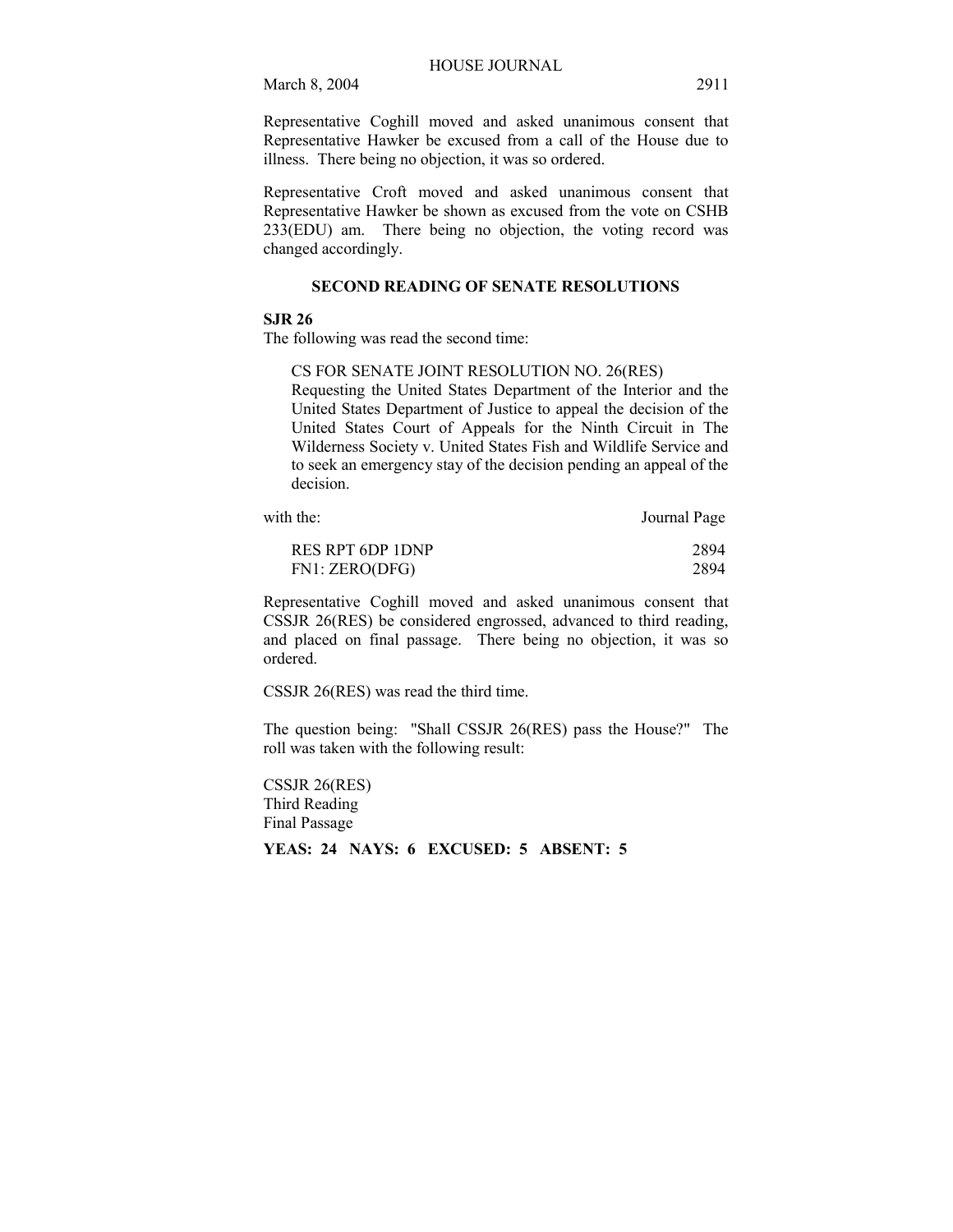Representative Coghill moved and asked unanimous consent that Representative Hawker be excused from a call of the House due to illness. There being no objection, it was so ordered.

Representative Croft moved and asked unanimous consent that Representative Hawker be shown as excused from the vote on CSHB 233(EDU) am. There being no objection, the voting record was changed accordingly.

# **SECOND READING OF SENATE RESOLUTIONS**

# **SJR 26**

The following was read the second time:

CS FOR SENATE JOINT RESOLUTION NO. 26(RES)

Requesting the United States Department of the Interior and the United States Department of Justice to appeal the decision of the United States Court of Appeals for the Ninth Circuit in The Wilderness Society v. United States Fish and Wildlife Service and to seek an emergency stay of the decision pending an appeal of the decision.

with the: Journal Page

| RES RPT 6DP 1DNP | 2894 |
|------------------|------|
| FN1: ZERO(DFG)   | 2894 |

Representative Coghill moved and asked unanimous consent that CSSJR 26(RES) be considered engrossed, advanced to third reading, and placed on final passage. There being no objection, it was so ordered.

CSSJR 26(RES) was read the third time.

The question being: "Shall CSSJR 26(RES) pass the House?" The roll was taken with the following result:

CSSJR 26(RES) Third Reading Final Passage

# **YEAS: 24 NAYS: 6 EXCUSED: 5 ABSENT: 5**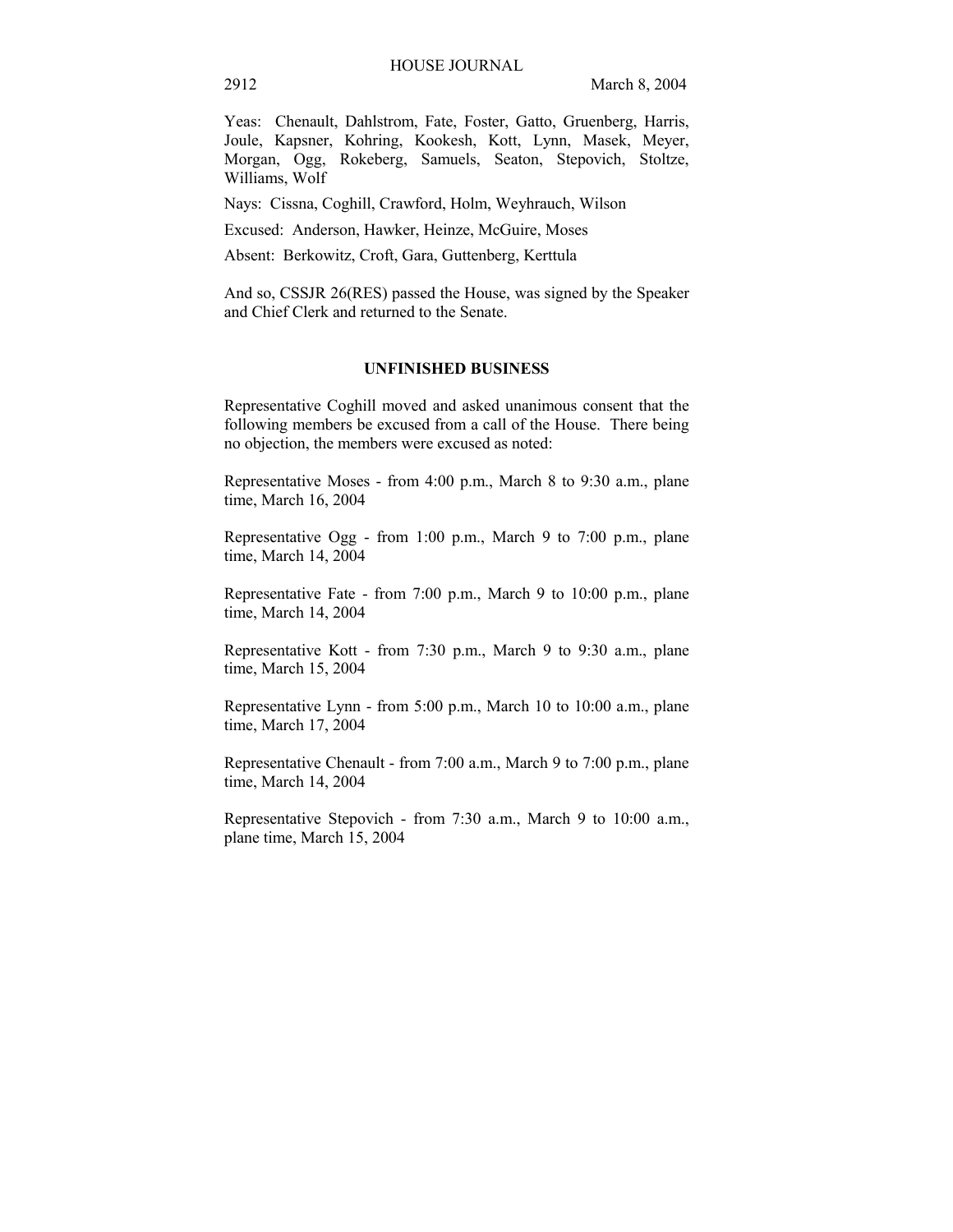Yeas: Chenault, Dahlstrom, Fate, Foster, Gatto, Gruenberg, Harris, Joule, Kapsner, Kohring, Kookesh, Kott, Lynn, Masek, Meyer, Morgan, Ogg, Rokeberg, Samuels, Seaton, Stepovich, Stoltze, Williams, Wolf

Nays: Cissna, Coghill, Crawford, Holm, Weyhrauch, Wilson

Excused: Anderson, Hawker, Heinze, McGuire, Moses

Absent: Berkowitz, Croft, Gara, Guttenberg, Kerttula

And so, CSSJR 26(RES) passed the House, was signed by the Speaker and Chief Clerk and returned to the Senate.

# **UNFINISHED BUSINESS**

Representative Coghill moved and asked unanimous consent that the following members be excused from a call of the House. There being no objection, the members were excused as noted:

Representative Moses - from 4:00 p.m., March 8 to 9:30 a.m., plane time, March 16, 2004

Representative Ogg - from 1:00 p.m., March 9 to 7:00 p.m., plane time, March 14, 2004

Representative Fate - from 7:00 p.m., March 9 to 10:00 p.m., plane time, March 14, 2004

Representative Kott - from 7:30 p.m., March 9 to 9:30 a.m., plane time, March 15, 2004

Representative Lynn - from 5:00 p.m., March 10 to 10:00 a.m., plane time, March 17, 2004

Representative Chenault - from 7:00 a.m., March 9 to 7:00 p.m., plane time, March 14, 2004

Representative Stepovich - from 7:30 a.m., March 9 to 10:00 a.m., plane time, March 15, 2004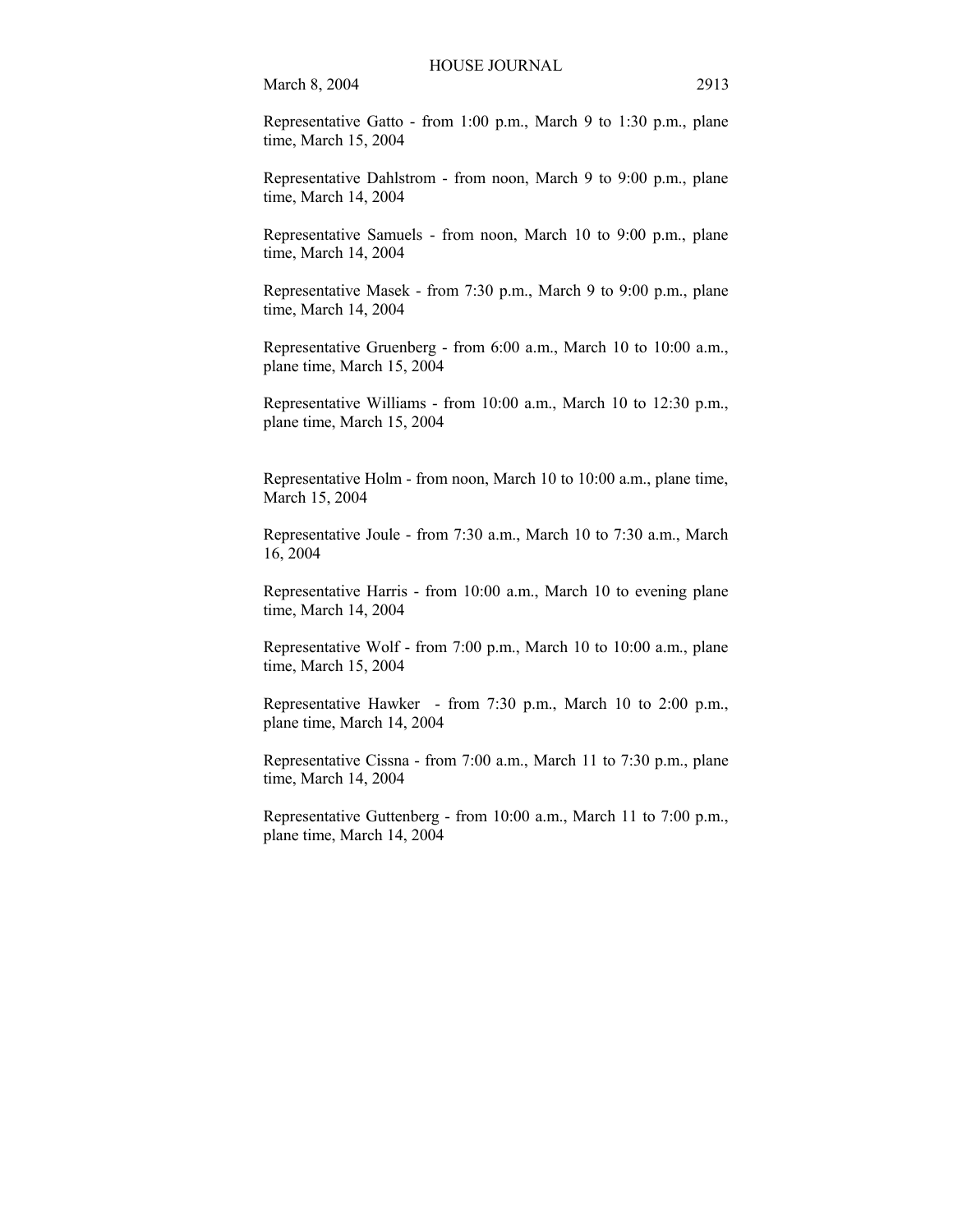Representative Gatto - from 1:00 p.m., March 9 to 1:30 p.m., plane time, March 15, 2004

Representative Dahlstrom - from noon, March 9 to 9:00 p.m., plane time, March 14, 2004

Representative Samuels - from noon, March 10 to 9:00 p.m., plane time, March 14, 2004

Representative Masek - from 7:30 p.m., March 9 to 9:00 p.m., plane time, March 14, 2004

Representative Gruenberg - from 6:00 a.m., March 10 to 10:00 a.m., plane time, March 15, 2004

Representative Williams - from 10:00 a.m., March 10 to 12:30 p.m., plane time, March 15, 2004

Representative Holm - from noon, March 10 to 10:00 a.m., plane time, March 15, 2004

Representative Joule - from 7:30 a.m., March 10 to 7:30 a.m., March 16, 2004

Representative Harris - from 10:00 a.m., March 10 to evening plane time, March 14, 2004

Representative Wolf - from 7:00 p.m., March 10 to 10:00 a.m., plane time, March 15, 2004

Representative Hawker - from 7:30 p.m., March 10 to 2:00 p.m., plane time, March 14, 2004

Representative Cissna - from 7:00 a.m., March 11 to 7:30 p.m., plane time, March 14, 2004

Representative Guttenberg - from 10:00 a.m., March 11 to 7:00 p.m., plane time, March 14, 2004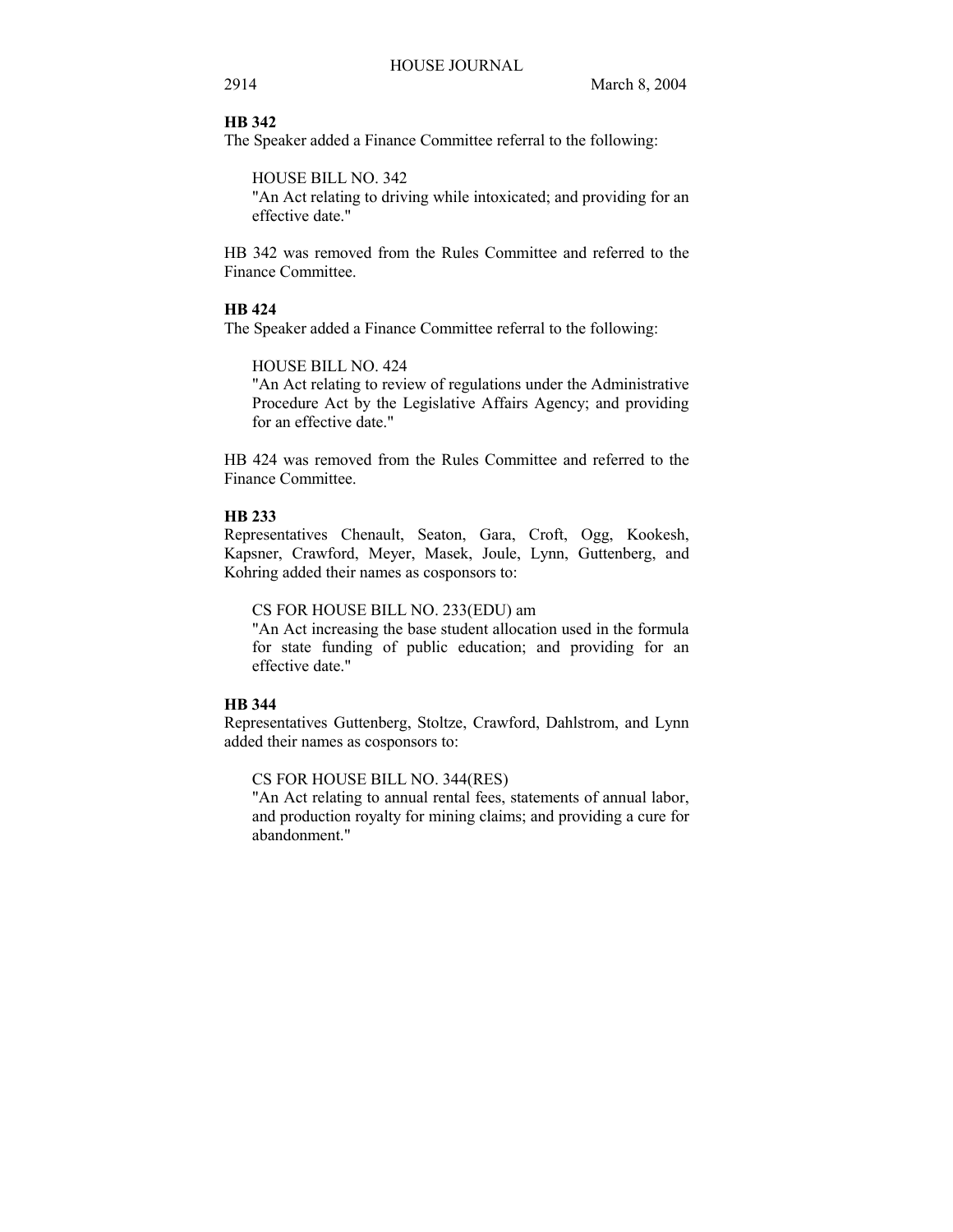# **HB 342**

The Speaker added a Finance Committee referral to the following:

HOUSE BILL NO. 342

"An Act relating to driving while intoxicated; and providing for an effective date."

HB 342 was removed from the Rules Committee and referred to the Finance Committee.

# **HB 424**

The Speaker added a Finance Committee referral to the following:

HOUSE BILL NO. 424

"An Act relating to review of regulations under the Administrative Procedure Act by the Legislative Affairs Agency; and providing for an effective date."

HB 424 was removed from the Rules Committee and referred to the Finance Committee.

# **HB 233**

Representatives Chenault, Seaton, Gara, Croft, Ogg, Kookesh, Kapsner, Crawford, Meyer, Masek, Joule, Lynn, Guttenberg, and Kohring added their names as cosponsors to:

## CS FOR HOUSE BILL NO. 233(EDU) am

"An Act increasing the base student allocation used in the formula for state funding of public education; and providing for an effective date."

# **HB 344**

Representatives Guttenberg, Stoltze, Crawford, Dahlstrom, and Lynn added their names as cosponsors to:

CS FOR HOUSE BILL NO. 344(RES)

"An Act relating to annual rental fees, statements of annual labor, and production royalty for mining claims; and providing a cure for abandonment."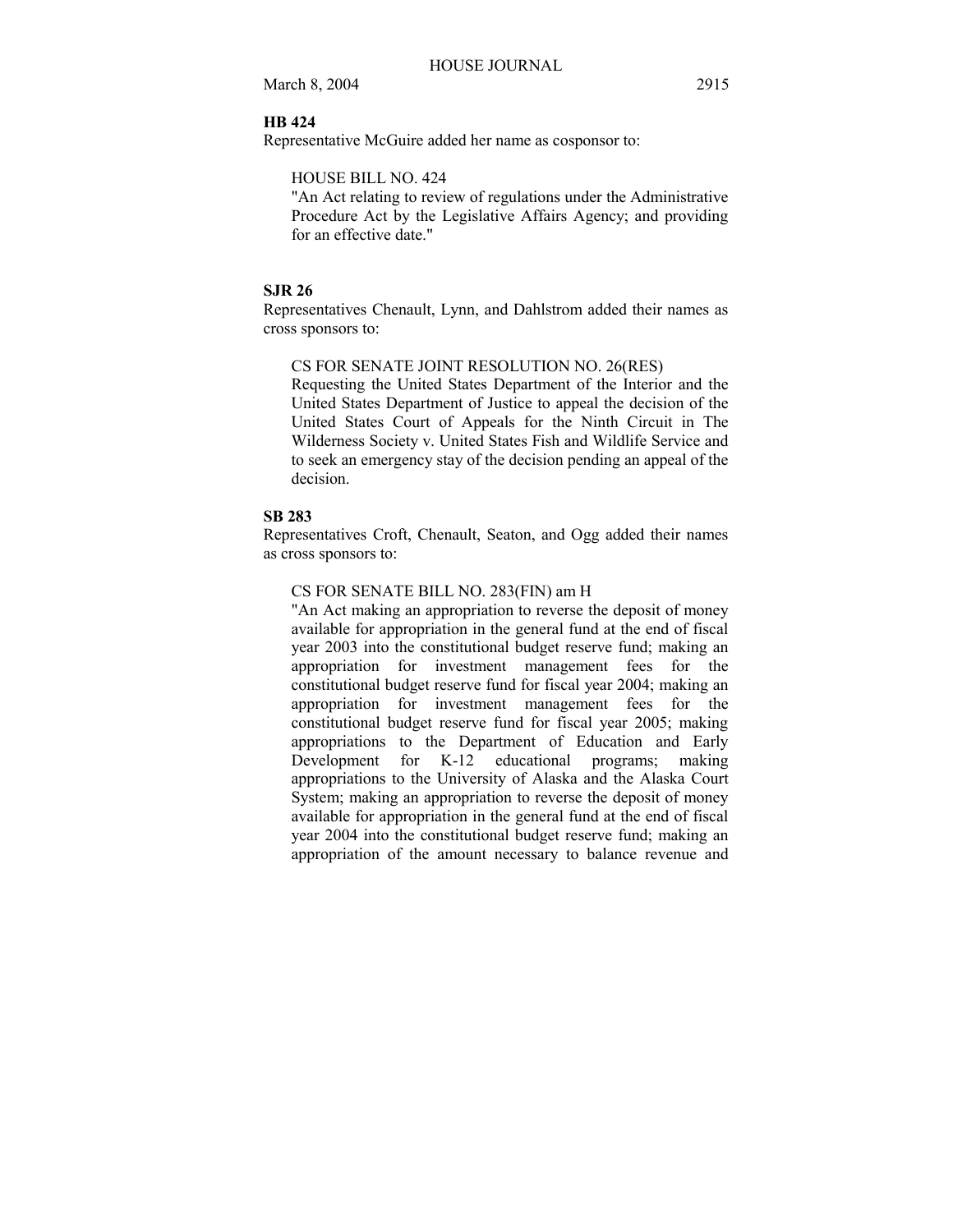## **HB 424**

Representative McGuire added her name as cosponsor to:

### HOUSE BILL NO. 424

"An Act relating to review of regulations under the Administrative Procedure Act by the Legislative Affairs Agency; and providing for an effective date."

# **SJR 26**

Representatives Chenault, Lynn, and Dahlstrom added their names as cross sponsors to:

CS FOR SENATE JOINT RESOLUTION NO. 26(RES)

Requesting the United States Department of the Interior and the United States Department of Justice to appeal the decision of the United States Court of Appeals for the Ninth Circuit in The Wilderness Society v. United States Fish and Wildlife Service and to seek an emergency stay of the decision pending an appeal of the decision.

## **SB 283**

Representatives Croft, Chenault, Seaton, and Ogg added their names as cross sponsors to:

# CS FOR SENATE BILL NO. 283(FIN) am H

"An Act making an appropriation to reverse the deposit of money available for appropriation in the general fund at the end of fiscal year 2003 into the constitutional budget reserve fund; making an appropriation for investment management fees for the constitutional budget reserve fund for fiscal year 2004; making an appropriation for investment management fees for the constitutional budget reserve fund for fiscal year 2005; making appropriations to the Department of Education and Early Development for K-12 educational programs; making appropriations to the University of Alaska and the Alaska Court System; making an appropriation to reverse the deposit of money available for appropriation in the general fund at the end of fiscal year 2004 into the constitutional budget reserve fund; making an appropriation of the amount necessary to balance revenue and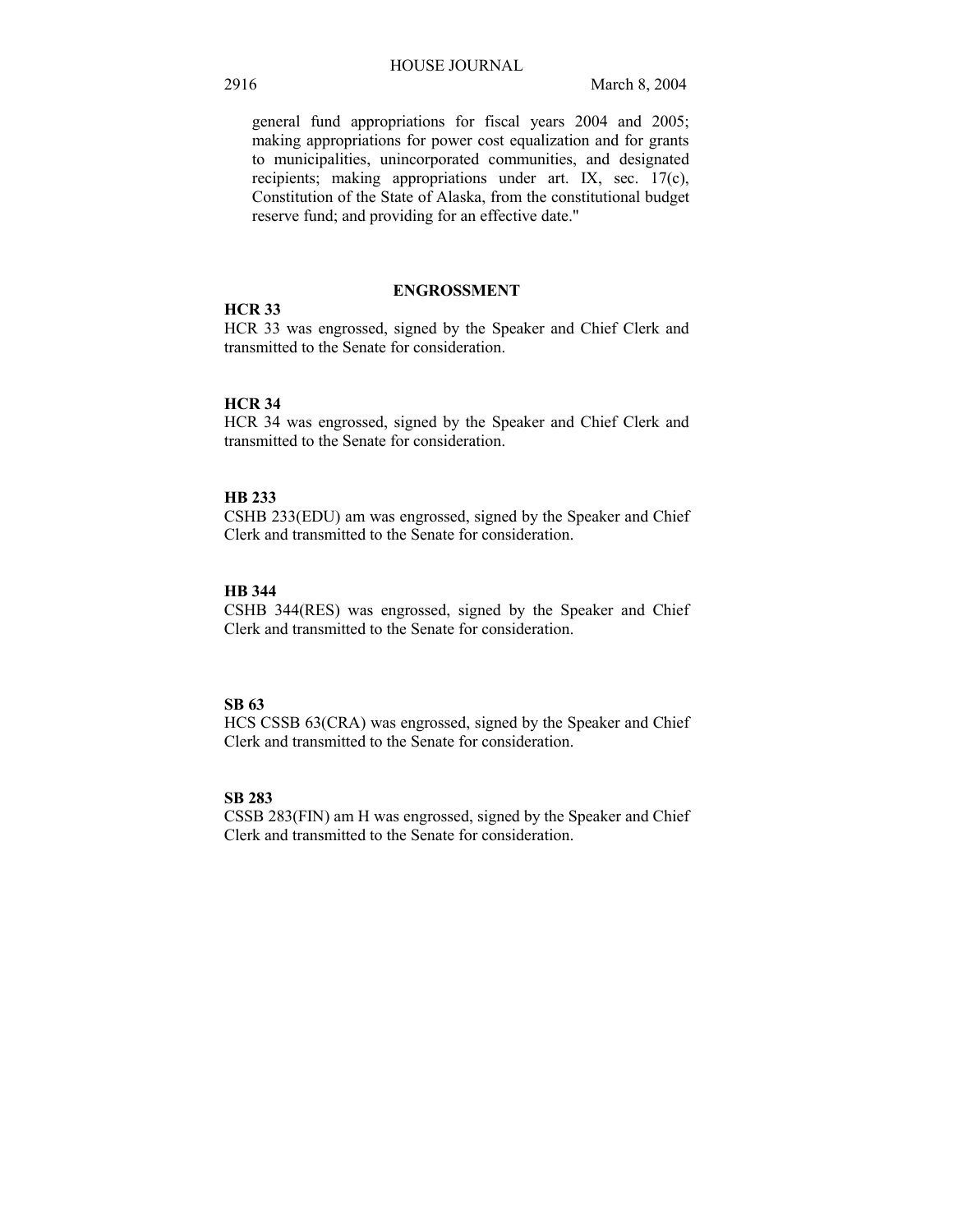general fund appropriations for fiscal years 2004 and 2005; making appropriations for power cost equalization and for grants to municipalities, unincorporated communities, and designated recipients; making appropriations under art. IX, sec. 17(c), Constitution of the State of Alaska, from the constitutional budget reserve fund; and providing for an effective date."

## **ENGROSSMENT**

# **HCR 33**

HCR 33 was engrossed, signed by the Speaker and Chief Clerk and transmitted to the Senate for consideration.

# **HCR 34**

HCR 34 was engrossed, signed by the Speaker and Chief Clerk and transmitted to the Senate for consideration.

## **HB 233**

CSHB 233(EDU) am was engrossed, signed by the Speaker and Chief Clerk and transmitted to the Senate for consideration.

# **HB 344**

CSHB 344(RES) was engrossed, signed by the Speaker and Chief Clerk and transmitted to the Senate for consideration.

# **SB 63**

HCS CSSB 63(CRA) was engrossed, signed by the Speaker and Chief Clerk and transmitted to the Senate for consideration.

# **SB 283**

CSSB 283(FIN) am H was engrossed, signed by the Speaker and Chief Clerk and transmitted to the Senate for consideration.